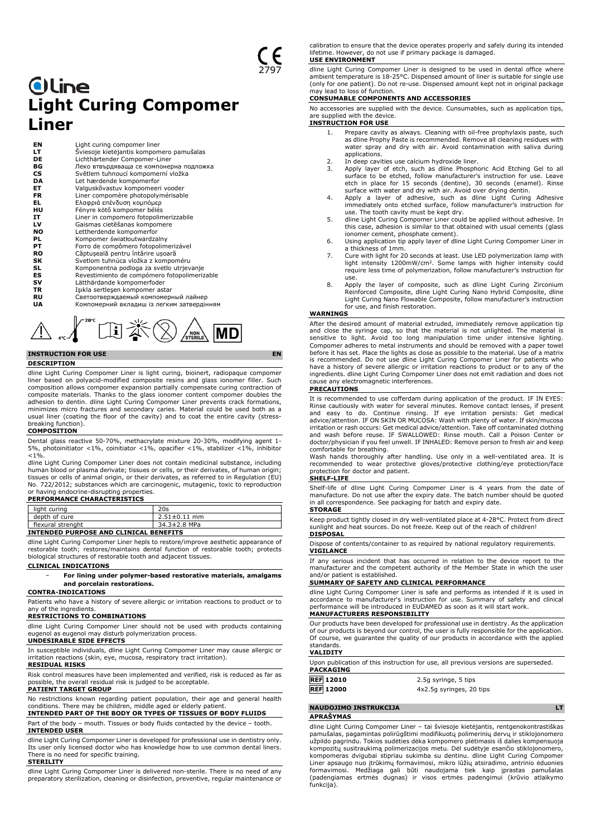# **Oline Light Curing Compomer Liner**

| ΕN<br>LТ<br>DE | Light curing compomer liner<br>Šviesoje kietėjantis kompomero pamušalas<br>Lichthärtender Compomer-Liner |
|----------------|----------------------------------------------------------------------------------------------------------|
| ВG             | Леко втвърдяваща се компонерна подложка                                                                  |
| <b>CS</b>      | Světlem tuhnoucí kompomerní vložka                                                                       |
| DA             | Let hærdende kompomerfor                                                                                 |
| EТ             | Valguskõvastuv kompomeeri vooder                                                                         |
| <b>FR</b>      | Liner compomère photopolymérisable                                                                       |
| EL             | Ελαφριά επένδυση κομπόμερ                                                                                |
| нu             | Fényre kötő kompomer bélés                                                                               |
| IT             | Liner in compomero fotopolimerizzabile                                                                   |
| LV             | Gaismas cietēšanas kompomere                                                                             |
| <b>NO</b>      | Lettherdende kompomerfor                                                                                 |
| PL             | Kompomer światłoutwardzalny                                                                              |
| PT             | Forro de compômero fotopolimerizável                                                                     |
| <b>RO</b>      | Căptuseală pentru întărire usoară                                                                        |
| SK             | Svetlom tuhnúca vložka z kompoméru                                                                       |
| SL             | Komponentna podloga za svetlo utrjevanje                                                                 |
| ES             | Revestimiento de compómero fotopolimerizable                                                             |
| sv             | Lätthärdande kompomerfoder                                                                               |
| TR             | Işıkla sertleşen kompomer astar                                                                          |
| RU             | Светоотверждаемый компомерный лайнер                                                                     |
| UA             | Компомерний вкладиш із легким затвердінням                                                               |



# **INSTRUCTION FOR USE EN**

#### **DESCRIPTION**

dline Light Curing Compomer Liner is light curing, bioinert, radiopaque compomer liner based on polyacid-modified composite resins and glass ionomer filler. Such composition allows compomer expansion partially compensate curing contraction of composite materials. Thanks to the glass ionomer content compomer doubles the<br>adhesion to dentin. dline Light Curing Compomer Liner prevents crack formations,<br>minimizes micro fractures and secondary caries. Material could usual liner (coating the floor of the cavity) and to coat the entire cavity (stressbreaking function).

#### **COMPOSITION**

Dental glass reactive 50-70%, methacrylate mixture 20-30%, modifying agent 1- 5%, photoinitiator <1%, coinitiator <1%, opacifier <1%, stabilizer <1%, inhibitor  $< 1%$ 

dline Light Curing Compomer Liner does not contain medicinal substance, including human blood or plasma derivate; tissues or cells, or their derivates, of human origin; tissues or cells of animal origin, or their derivates, as referred to in Regulation (EU) No. 722/2012; substances which are carcinogenic, mutagenic, toxic to reproduction or having endocrine-disrupting properties. **PERFORMANCE CHARACTERISTICS**

| light curing                                  | 20s                |  |
|-----------------------------------------------|--------------------|--|
| depth of cure                                 | $2.51 \pm 0.11$ mm |  |
| flexural strenght                             | 34.3±2.8 MPa       |  |
| <b>INTENDED PURPOSE AND CLINICAL BENEFITS</b> |                    |  |

dline Light Curing Compomer Liner hepls to restore/improve aesthetic appearance of restorable tooth; restores/maintains dental function of restorable tooth; protects biological structures of restorable tooth and adjacent tissues.

#### **CLINICAL INDICATIONS**

− **For lining under polymer-based restorative materials, amalgams and porcelain restorations.**

## **CONTRA-INDICATIONS**

Patients who have a history of severe allergic or irritation reactions to product or to any of the ingredients.

# **RESTRICTIONS TO COMBINATIONS**

dline Light Curing Compomer Liner should not be used with products containing eugenol as eugenol may disturb polymerization process.

# **UNDESIRABLE SIDE EFFECTS**

In susceptible individuals, dline Light Curing Compomer Liner may cause allergic or irritation reactions (skin, eye, mucosa, respiratory tract irritation).

# **RESIDUAL RISKS**

Risk control measures have been implemented and verified, risk is reduced as far as possible, the overall residual risk is judged to be acceptable. **PATIENT TARGET GROUP**

# No restrictions known regarding patient population, their age and general health conditions. There may be children, middle aged or elderly patient. **INTENDED PART OF THE BODY OR TYPES OF TISSUES OF BODY FLUIDS**

Part of the body – mouth. Tissues or body fluids contacted by the device – tooth. **INTENDED USER**

dline Light Curing Compomer Liner is developed for professional use in dentistry only. Its user only licensed doctor who has knowledge how to use common dental liners. There is no need for specific training. **STERILITY**

dline Light Curing Compomer Liner is delivered non-sterile. There is no need of any preparatory sterilization, cleaning or disinfection, preventive, regular maintenance or

calibration to ensure that the device operates properly and safely during its intended lifetime. However, do not use if primary package is damaged. **USE ENVIRONMENT**

#### dline Light Curing Compomer Liner is designed to be used in dental office where ambient temperature is 18-25°C. Dispensed amount of liner is suitable for single use (only for one patient). Do not re-use. Dispensed amount kept not in original package

#### may lead to loss of function. **CONSUMABLE COMPONENTS AND ACCESSORIES**

No accessories are supplied with the device. Cunsumables, such as application tips, are supplied with the device.

# **INSTRUCTION FOR USE**

- 1. Prepare cavity as always. Cleaning with oil-free prophylaxis paste, such as dline Prophy Paste is recommended. Remove all cleaning residues with water spray and dry with air. Avoid contamination with saliva during applications.
- 2. In deep cavities use calcium hydroxide liner.<br>3. Apply layer of etch, such as dline Phosphe
- 3. Apply layer of etch, such as dilne Phosphoric Acid Etching Gel to all<br>surface to be etched, follow manufacturer's instruction for use. Leave<br>etch in place for 15 seconds (dentine, 30 seconds (enamel). Rinse<br>surface with
- use. The tooth cavity must be kept dry.
- 5. dline Light Curing Compomer Liner could be applied without adhesive. In this case, adhesion is similar to that obtained with usual cements (glass ionomer cement, phosphate cement).
- 6. Using application tip apply layer of dline Light Curing Compomer Liner in a thickness of 1mm.
- 7. Cure with light for 20 seconds at least. Use LED polymerization lamp with light intensity 1200mW/cm<sup>2</sup> . Some lamps with higher intensity could require less time of polymerization, follow manufacturer's instruction for use.
- 8. Apply the layer of composite, such as dline Light Curing Zirconium Reinforced Composite, dline Light Curing Nano Hybrid Composite, dline Light Curing Nano Flowable Composite, follow manufacturer's instruction for use, and finish restoration.

## **WARNINGS**

After the desired amount of material extruded, immediately remove application tip and close the syringe cap, so that the material is not unlighted. The material is<br>sensitive to light. Avoid too long manipulation time under intensive lighting.<br>Compomer adheres to metal instruments and should be removed w before it has set. Place the lights as close as possible to the material. Use of a matrix is recommended. Do not use dline Light Curing Compomer Liner for patients who have a history of severe allergic or irritation reactions to product or to any of the ingredients. dline Light Curing Compomer Liner does not emit radiation and does not cause any electromagnetic interferences.

#### **PRECAUTIONS**

It is recommended to use cofferdam during application of the product. IF IN EYES: Rinse cautiously with water for several minutes. Remove contact lenses, if present<br>and easy to do. Continue rinsing. If eye irritation persists: Get medical<br>advice/attention. IF ON SKIN OR MUCOSA: Wash with plenty of water doctor/physician if you feel unwell. IF INHALED: Remove person to fresh air and keep comfortable for breathing.

Wash hands thoroughly after handling. Use only in a well-ventilated area. It is recommended to wear protective gloves/protective clothing/eye protection/face protection for doctor and patient.

### **SHELF-LIFE**

Shelf-life of dline Light Curing Compomer Liner is 4 years from the date of manufacture. Do not use after the expiry date. The batch number should be quoted in all correspondence. See packaging for batch and expiry date. **STORAGE**

Keep product tightly closed in dry well-ventilated place at 4-28°C. Protect from direct sunlight and heat sources. Do not freeze. Keep out of the reach of children! **DISPOSAL**

Dispose of contents/container to as required by national regulatory requirements. **VIGILANCE**

If any serious incident that has occurred in relation to the device report to the manufacturer and the competent authority of the Member State in which the user and/or patient is established.

## **SUMMARY OF SAFETY AND CLINICAL PERFORMANCE**

dline Light Curing Compomer Liner is safe and performs as intended if it is used in accordance to manufacturer's instruction for use. Summary of safety and clinical performance will be introduced in EUDAMED as soon as it will start work. **MANUFACTURERS RESPONSIBILITY**

Our products have been developed for professional use in dentistry. As the application<br>of our products is beyond our control, the user is fully responsible for the application.<br>Of course, we guarantee the quality of our pr standards.

### **VALIDITY**

Upon publication of this instruction for use, all previous versions are superseded. **PAC** 

| PALNAGING        |                          |
|------------------|--------------------------|
| <b>REF 12010</b> | 2.5g syringe, 5 tips     |
| <b>REF 12000</b> | 4x2.5g syringes, 20 tips |

#### **NAUDOJIMO INSTRUKCIJA LT**

#### **APRAŠYMAS**

dline Light Curing Compomer Liner – tai šviesoje kietėjantis, rentgenokontrastiškas pamušalas, pagamintas polirūgštimi modifikuotų polimerinių dervų ir stiklojonomero užpildo pagrindu. Tokios sudėties dėka kompomero plėtimasis iš dalies kompensuoja kompozitų susitraukimą polimerizacijos metu. Dėl sudėtyje esančio stiklojonomero, kompomeras dvigubai stipriau sukimba su dentinu. dline Light Curing Compomer Liner apsaugo nuo įtrūkimų formavimosi, mikro lūžių atsiradimo, antrinio ėduonies formavimosi. Medžiaga gali būti naudojama tiek kaip įprastas pamušalas (padengiamas ertmės dugnas) ir visos ertmės padengimui (krūvio atlaikymo funkcija).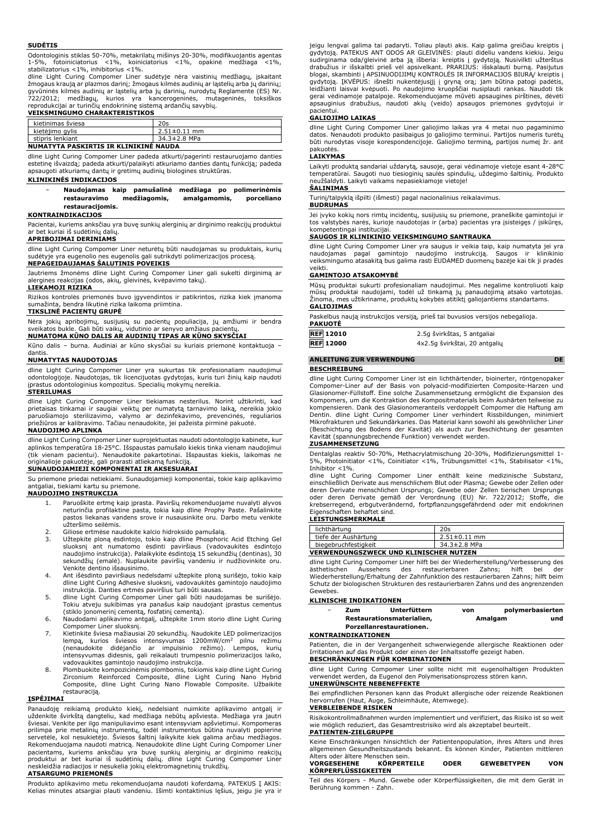#### **SUDĖTIS**

Odontologinis stiklas 50-70%, metakrilatų mišinys 20-30%, modifikuojantis agentas 1-5%, fotoiniciatorius <1%, koiniciatorius <1%, opakinė medžiaga <1%, stabilizatorius <1%, inhibitorius <1%.

dline Light Curing Compomer Liner sudėtyje nėra vaistinių medžiagų, įskaitant žmogaus kraują ar plazmos darinį; žmogaus kilmės audinių ar ląstelių arba jų darinių; gyvūninės kilmės audinių ar ląstelių arba jų darinių, nurodytų Reglamente (ES) Nr.<br>722/2012; medžiagų, kurios yra kancerogeninės, mutageninės, toksiškos<br>reprodukcijai ar turinčių endokrininę sistemą ardančių savybių.

# **VEIKSMINGUMO CHARAKTERISTIKOS**

| kietinimas šviesa                          | 20s                |
|--------------------------------------------|--------------------|
| kietėjimo gylis                            | $2.51 \pm 0.11$ mm |
| stipris lenkiant                           | 34.3±2.8 MPa       |
| MUIMATVTA DACI/IDTIC ID I/I INII/INÉ MAUDA |                    |

# **NUMATYTA PASKIRTIS IR KLINIKINĖ NAUDA**

dline Light Curing Compomer Liner padeda atkurti/pagerinti restauruojamo danties estetinę išvaizdą; padeda atkurti/palaikyti atkuriamo danties dantų funkciją; padeda apsaugoti atkuriamų dantų ir gretimų audinių biologines struktūras.

## **KLINIKINĖS INDIKACIJOS**

#### − **Naudojamas kaip pamušalinė medžiaga po polimerinėmis restauravimo medžiagomis, amalgamomis, porceliano restauracijomis.**

### **KONTRAINDIKACIJOS**

Pacientai, kuriems anksčiau yra buvę sunkių alerginių ar dirginimo reakcijų produktui ar bet kuriai iš sudėtinių dalių.

#### **APRIBOJIMAI DERINIAMS**

dline Light Curing Compomer Liner neturėtų būti naudojamas su produktais, kurių<br>sudėtyje yra eugenolio nes eugenolis gali sutrikdyti polimerizacijos procesą. .<br>nes eugenolis gali sutrikdyti polimerizacijos procesą. **NEPAGEIDAUJAMAS ŠALUTINIS POVEIKIS**

Jautriems žmonėms dline Light Curing Compomer Liner gali sukelti dirginimą ar alergines reakcijas (odos, akių, gleivinės, kvėpavimo takų). **LIEKAMOJI RIZIKA**

Rizikos kontrolės priemonės buvo įgyvendintos ir patikrintos, rizika kiek įmanoma sumažinta, bendra likutinė rizika laikoma priimtina.

# **TIKSLINĖ PACIENTŲ GRUPĖ**

Nėra jokių apribojimų, susijusių su pacientų populiacija, jų amžiumi ir bendra sveikatos bukle. Gali būti vaikų, vidutinio ar senyvo amžiaus pacient

**NUMATOMA KŪNO DALIS AR AUDINIŲ TIPAS AR KŪNO SKYSČIAI** Kūno dalis – burna. Audiniai ar kūno skysčiai su kuriais priemonė kontaktuoja –

#### dantis. **NUMATYTAS NAUDOTOJAS**

dline Light Curing Compomer Liner yra sukurtas tik profesionaliam naudojimui odontologijoje. Naudotojas, tik licencijuotas gydytojas, kuris turi žinių kaip naudoti įprastus odontologinius kompozitus. Specialių mokymų nereikia.

### **STERILUMAS**

dline Light Curing Compomer Liner tiekiamas nesterilus. Norint užtikrinti, kad<br>prietaisas tinkamai ir saugiai veiktų per numatytą tarnavimo laiką, nereikia jokio<br>paruošiamojo sterilizavimo, valymo ar dezinfekavimo, prevenc priežiūros ar kalibravimo. Tačiau nenaudokite, jei pažeista pirminė pakuotė.

#### **NAUDOJIMO APLINKA**

dline Light Curing Compomer Liner suprojektuotas naudoti odontologijo kabinete, kur aplinkos temperatūra 18-25°C. Išspaustas pamušalo kiekis tinka vienam naudojimui (tik vienam pacientui). Nenaudokite pakartotinai. Išspaustas kiekis, laikomas ne

# originalioje pakuotėje, gali prarasti atliekamą funkciją. **SUNAUDOJAMIEJI KOMPONENTAI IR AKSESUARAI**

Su priemone priedai netiekiami. Sunaudojamieji komponentai, tokie kaip aplikavimo antgaliai, tiekiami kartu su priemone.

# **NAUDOJIMO INSTRUKCIJA**

- 1. Paruoškite ertmę kaip įprasta. Paviršių rekomenduojame nuvalyti alyvos neturinčia profilaktine pasta, tokia kaip dline Prophy Paste. Pašalinkite pastos liekanas vandens srove ir nusausinkite oru. Darbo metu venkite užteršimo seilėmis.
- 2. Giliose ertmėse naudokite kalcio hidroksido pamušalą.<br>3. Užtepkite ploną ėsdintojo, tokio kaip dline Phosphori
- 3. Užtepkite ploną ėsdintojo, tokio kaip dline Phosphoric Acid Etching Gel sluoksnį ant numatomo ėsdinti paviršiaus (vadovaukitės ėsdintojo naudojimo instrukcija). Palaikykite ėsdintoją 15 sekundžių (dentinas), 30 sekundžių (emalė). Nuplaukite paviršių vandeniu ir nudžiovinkite oru.
- Venkite dentino išsausinimo. 4. Ant išėsdinto paviršiaus nedelsdami užtepkite ploną surišėjo, tokio kaip dline Light Curing Adhesive sluoksnį, vadovaukitės gamintojo naudojimo
- instrukcija. Danties ertmės paviršius turi būti sausas.<br>5. dline Light Curing Compomer Liner gali būti naudojamas be surišėjo.<br>Tokiu atveju sukibimas yra panašus kaip naudojant įprastus cementus<br>(stiklo jonomerinį cemen
- 6. Naudodami aplikavimo antgalį, užtepkite 1mm storio dline Light Curing Compomer Liner sluoksnį. 7. Kietinkite šviesa mažiausiai 20 sekundžių. Naudokite LED polimerizacijos
- lempą, kurios šviesos intensyvumas 1200mW/cm<sup>2</sup> pilnu režimu<br>(nenaudokite didėjančio ar impulsinio režimo). Lempos, kurių<br>intensyvumas didesnis, gali reikalauti trumpesnio polimerizacijos laiko,
- vadovaukites gamintojo naudojimo instrukcija. 8. Plombuokite kompozicinėmis plombomis, tokiomis kaip dline Light Curing Zirconium Reinforced Composite, dline Light Curing Nano Hybrid Composite, dline Light Curing Nano Flowable Composite. Užbaikite restauraciją.

# **ĮSPĖJIMAI**

Panaudoję reikiamą produkto kiekį, nedelsiant nuimkite aplikavimo antgalį ir uždenkite švirkštą dangteliu, kad medžiaga nebūtų apšviesta. Medžiaga yra jautri šviesai. Venkite per ilgo manipuliavimo esant intensyviam apšvietimui. Kompomeras prilimpa prie metalinių instrumentų, todėl instrumentus būtina nuvalyti popierine<br>servetėle, kol nesukietėjo. Šviesos šaltinį laikykite kiek galima arčiau medžiagos.<br>Rekomenduojama naudoti matricą. Nenaudokite dline Light pacientams, kuriems anksčiau yra buvę sunkių alerginių ar dirginimo reakcijų produktui ar bet kuriai iš sudėtinių dalių. dline Light Curing Compomer Liner neskleidžia radiacijos ir nesukelia jokių elektromagnetinių trukdžių. **ATSARGUMO PRIEMONĖS**

Produkto aplikavimo metu rekomenduojama naudoti koferdamą. PATEKUS Į AKIS: Kelias minutes atsargiai plauti vandeniu. Išimti kontaktinius lęšius, jeigu jie yra ir

jeigu lengvai galima tai padaryti. Toliau plauti akis. Kaip galima greičiau kreiptis į gydytoją. PATEKUS ANT ODOS AR GLEIVINES: plauti dideliu vandens kiekiu. Jeigu<br>sudirginama oda/gleivinė arba ją išberia: kreiptis į gydytoją. Nusivilkti užterštus<br>drabužius ir išskalbti prieš vėl apsivelkant. PRARIJUS: išsk blogai, skambinti į APSINUODIJIMŲ KONTROLĖS IR INFORMACIJOS BIURĄ/ kreiptis į gydytoją. ĮKVĖPUS: išnešti nukentėjusįjį į gryną orą; jam būtina patogi padėtis, leidžianti laisvai kvėpuoti. Po naudojimo kruopščiai nusiplauti rankas. Naudoti tik gerai vėdinamoje patalpoje. Rekomenduojame mūvėti apsaugines pirštines, dėvėti apsauginius drabužius, naudoti akių (veido) apsaugos priemones gydytojui ir pacientui.

# **GALIOJIMO LAIKAS**

dline Light Curing Compomer Liner galiojimo laikas yra 4 metai nuo pagaminimo datos. Nenaudoti produkto pasibaigus jo galiojimo terminui. Partijos numeris turėtų būti nurodytas visoje korespondencijoje. Galiojimo terminą, partijos numeį žr. ant pakuotės.

# **LAIKYMAS**

Laikyti produktą sandariai uždarytą, sausoje, gerai vėdinamoje vietoje esant 4-28°C temperatūrai. Saugoti nuo tiesioginių saulės spindulių, uždegimo šaltinių. Produkto neužšaldyti. Laikyti vaikams nepasiekiamoje vietoje! **ŠALINIMAS**

Turinį/talpyklą išpilti (išmesti) pagal nacionalinius reikalavimus. **BUDRUMAS**

Jei įvyko kokių nors rimtų incidentų, susijusių su priemone, praneškite gamintojui ir tos valstybės narės, kurioje naudotojas ir (arba) pacientas yra įsisteigęs / įsikūręs, kompetentingai institucijai.

# **SAUGOS IR KLINIKINIO VEIKSMINGUMO SANTRAUKA**

dline Light Curing Compomer Liner yra saugus ir veikia taip, kaip numatyta jei yra naudojamas pagal gamintojo naudojimo instrukciją. Saugos ir klinikinio veiksmingumo atasakitą bus galima rasti EUDAMED duomenų bazėje kai tik ji pradės veikti

# **GAMINTOJO ATSAKOMYBĖ**

Mūsų produktai sukurti profesionaliam naudojimui. Mes negalime kontroliuoti kaip mūsų produktai naudojami, todėl už tinkamą jų panaudojimą atsako vartotojas. Žinoma, mes užtikriname, produktų kokybės atitiktį galiojantiems standartams. **GALIOJIMAS**

| Paskelbus naują instrukcijos versiją, prieš tai buvusios versijos nebegalioja.<br>PAKUOTĖ |                      |  |
|-------------------------------------------------------------------------------------------|----------------------|--|
| ——— <i>.</i>                                                                              | -- - - - - - - - - - |  |

| <b>REF 12010</b> | 2.5g švirkštas, 5 antgaliai   |
|------------------|-------------------------------|
| <b>REF 12000</b> | 4x2.5g švirkštai, 20 antgalių |
|                  |                               |

#### **ANLEITUNG ZUR VERWENDUNG DE BESCHREIBUNG**

dline Light Curing Compomer Liner ist ein lichthärtender, bioinerter, röntgenopaker Compomer-Liner auf der Basis von polyacid-modifizierten Composite-Harzen und Glasionomer-Füllstoff. Eine solche Zusammensetzung ermöglicht die Expansion des Kompomers, um die Kontraktion des Kompositmaterials beim Aushärten teilweise zu kompensieren. Dank des Glasionomeranteils verdoppelt Compomer die Haftung am Dentin. dline Light Curing Compomer Liner verhindert Rissbildungen, minimiert Mikrofrakturen und Sekundärkaries. Das Material kann sowohl als gewöhnlicher Liner (Beschichtung des Bodens der Kavität) als auch zur Beschichtung der gesamten Kavität (spannungsbrechende Funktion) verwendet werden.

#### **ZUSAMMENSETZUNG**

Dentalglas reaktiv 50-70%, Methacrylatmischung 20-30%, Modifizierungsmittel 1- 5%, Photoinitiator <1%, Coinitiator <1%, Trübungsmittel <1%, Stabilisator <1%, Inhibitor <1%.

dline Light Curing Compomer Liner enthält keine medizinische Substanz, einschließlich Derivate aus menschlichem Blut oder Plasma; Gewebe oder Zellen oder deren Derivate menschlichen Ursprungs; Gewebe oder Zellen tierischen Ursprungs oder deren Derivate gemäß der Verordnung (EU) Nr. 722/2012; Stoffe, die krebserregend, erbgutverändernd, fortpflanzungsgefährdend oder mit endokrinen Eigenschaften behaftet sind.

#### **LEISTUNGSMERKMALE**

| lichthärtung                                  | 20s                |
|-----------------------------------------------|--------------------|
| tiefe der Aushärtung                          | $2.51 \pm 0.11$ mm |
| biegebruchfestigkeit                          | 34.3±2.8 MPa       |
| <b>VERWENDUNGSZWECK UND KLINISCHER NUTZEN</b> |                    |

dline Light Curing Compomer Liner hilft bei der Wiederherstellung/Verbesserung des ästhetischen Aussehens des restaurierbaren Zahns; hilft bei der ästhetischen Aussehens des restaurierbaren Zahns; hilft bei der Wiederherstellung/Erhaltung der Zahnfunktion des restaurierbaren Zahns; hilft beim Schutz der biologischen Strukturen des restaurierbaren Zahns und des angrenzenden Gewebes.

### **KLINISCHE INDIKATIONEN**

| $\overline{\phantom{a}}$ | Zum              | Unterfüttern              | von |         | polymerbasierten |
|--------------------------|------------------|---------------------------|-----|---------|------------------|
|                          |                  | Restaurationsmaterialien, |     | Amalgam | und              |
|                          |                  | Porzellanrestaurationen.  |     |         |                  |
|                          | NTRAINDIKATIONEN |                           |     |         |                  |

# **KO**

Patienten, die in der Vergangenheit schwerwiegende allergische Reaktionen oder Irritationen auf das Produkt oder einen der Inhaltsstoffe gezeigt haben. **BESCHRÄNKUNGEN FÜR KOMBINATIONEN**

dline Light Curing Compomer Liner sollte nicht mit eugenolhaltigen Produkten verwendet werden, da Eugenol den Polymerisationsprozess stören kann. **UNERWÜNSCHTE NEBENEFFEKTE**

Bei empfindlichen Personen kann das Produkt allergische oder reizende Reaktionen hervorrufen (Haut, Auge, Schleimhäute, Atemwege).

## **VERBLEIBENDE RISIKEN**

Risikokontrollmaßnahmen wurden implementiert und verifiziert, das Risiko ist so weit wie möglich reduziert, das Gesamtrestrisiko wird als akzeptabel beurteilt. **PATIENTEN-ZIELGRUPPE**

Keine Einschränkungen hinsichtlich der Patientenpopulation, ihres Alters und ihres allgemeinen Gesundheitszustands bekannt. Es können Kinder, Patienten mittleren

# Alters oder ältere Menschen sein. **VORGESEHENE KÖRPERTEILE ODER GEWEBETYPEN VON KÖRPERFLÜSSIGKEITEN**

Teil des Körpers - Mund. Gewebe oder Körperflüssigkeiten, die mit dem Gerät in Berührung kommen - Zahn.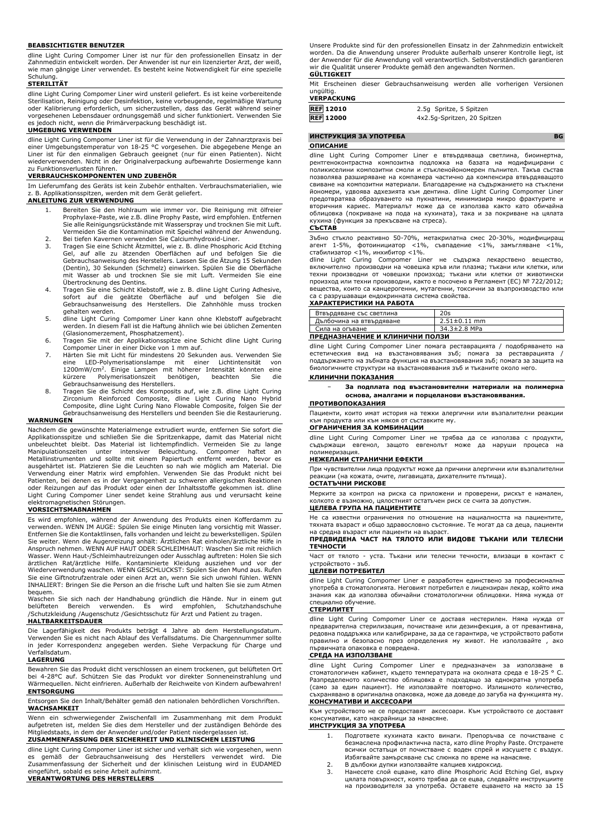#### **BEABSICHTIGTER BENUTZER**

dline Light Curing Compomer Liner ist nur für den professionellen Einsatz in der Zahnmedizin entwickelt worden. Der Anwender ist nur ein lizenzierter Arzt, der weiß, wie man gängige Liner verwendet. Es besteht keine Notwendigkeit für eine spezielle Schulung.

### **STERILITÄT**

dline Light Curing Compomer Liner wird unsteril geliefert. Es ist keine vorbereitende Sterilisation, Reinigung oder Desinfektion, keine vorbeugende, regelmäßige Wartung oder Kalibrierung erforderlich, um sicherzustellen, dass das Gerät während seiner<br>vorgesehenen Lebensdauer ordnungsgemäß und sicher funktioniert. Verwenden Sie<br>es jedoch nicht, wenn die Primärverpackung beschädigt ist.

#### **UMGEBUNG VERWENDEN**

dline Light Curing Compomer Liner ist für die Verwendung in der Zahnarztpraxis bei einer Umgebungstemperatur von 18-25 °C vorgesehen. Die abgegebene Menge an Liner ist für den einmaligen Gebrauch geeignet (nur für einen Patienten). Nicht wiederverwenden. Nicht in der Originalverpackung aufbewahrte Dosiermenge kann

# zu Funktionsverlusten führen. **VERBRAUCHSKOMPONENTEN UND ZUBEHÖR**

Im Lieferumfang des Geräts ist kein Zubehör enthalten. Verbrauchsmaterialien, wie z. B. Applikationsspitzen, werden mit dem Gerät geliefert.

# **ANLEITUNG ZUR VERWENDUNG**

- 1. Bereiten Sie den Hohlraum wie immer vor. Die Reinigung mit ölfreier Prophylaxe-Paste, wie z.B. dline Prophy Paste, wird empfohlen. Entfernen Sie alle Reinigungsrückstände mit Wasserspray und trocknen Sie mit Luft. Vermeiden Sie die Kontamination mit Speichel während der Anwendung.
- 2. Bei tiefen Kavernen verwenden Sie Calciumhydroxid-Liner.<br>3. Tragen Sie eine Schicht Ätzmittel, wie z. B. dline Phosphoric Acid Etching<br>Gel, auf alle zu ätzenden Oberflächen auf und befolgen Sie die<br>Gebrauc (Dentin), 30 Sekunden (Schmelz) einwirken. Spülen Sie die Oberfläche mit Wasser ab und trocknen Sie sie mit Luft. Vermeiden Sie eine Übertrocknung des Dentins.
- 4. Tragen Sie eine Schicht Klebstoff, wie z. B. dline Light Curing Adhesive, sofort auf die geätzte Oberfläche auf und befolgen Sie die Gebrauchsanweisung des Herstellers. Die Zahnhöhle muss trocken gehalten werden.
- 5. dline Light Curing Compomer Liner kann ohne Klebstoff aufgebracht werden. In diesem Fall ist die Haftung ähnlich wie bei üblichen Zementen (Glasionomerzement, Phosphatzement).
- 6. Tragen Sie mit der Applikationsspitze eine Schicht dline Light Curing Compomer Liner in einer Dicke von 1 mm auf.
- 7. Härten Sie mit Licht für mindestens 20 Sekunden aus. Verwenden Sie<br>eine LED-Polymerisationslampe mit einer Lichtintensität von<br>1200mW/cm<sup>2</sup>. Einige Lampen mit höherer Intensität könnten eine<br>kürzere Polymerisationszeit Gebrauchsanweisung des Herstellers.
- 8. Tragen Sie die Schicht des Komposits auf, wie z.B. dline Light Curing Zirconium Reinforced Composite, dline Light Curing Nano Hybrid Composite, dline Light Curing Nano Flowable Composite, folgen Sie der Gebrauchsanweisung des Herstellers und beenden Sie die Restaurierung.

#### **WARNUNGEN**

Nachdem die gewünschte Materialmenge extrudiert wurde, entfernen Sie sofort die Applikationsspitze und schließen Sie die Spritzenkappe, damit das Material nicht unbeleuchtet bleibt. Das Material ist lichtempfindlich. Vermeiden Sie zu lange<br>Manipulationszeiten unter intensiver Beleuchtung. Compomer haftet an<br>Metallinstrumenten und sollte mit einem Papiertuch entfernt werden, bevor oder Reizungen auf das Produkt oder einen der Inhaltsstoffe gekommen ist. dline Light Curing Compomer Liner sendet keine Strahlung aus und verursacht keine elektromagnetischen Störungen.

#### **VORSICHTSMAßNAHMEN**

Es wird empfohlen, während der Anwendung des Produkts einen Kofferdamm zu verwenden. WENN IM AUGE: Spülen Sie einige Minuten lang vorsichtig mit Wasser. Entfernen Sie die Kontaktlinsen, falls vorhanden und leicht zu bewerkstelligen. Spülen Sie weiter. Wenn die Augenreizung anhält: Ärztlichen Rat einholen/ärztliche Hilfe in Anspruch nehmen. WENN AUF HAUT ODER SCHLEIMHAUT: Waschen Sie mit reichlich<br>Wasser. Wenn Haut-/Schleimhautreizungen oder Ausschlag auftreten: Holen Sie sich<br>ärztlichen Rat/ärztliche Hilfe. Kontaminierte Kleidung auszie Sie eine Giftnotrufzentrale oder einen Arzt an, wenn Sie sich unwohl fühlen. WENN INHALIERT: Bringen Sie die Person an die frische Luft und halten Sie sie zum Atmen bequem.

Waschen Sie sich nach der Handhabung gründlich die Hände. Nur in einem gut belüfteten Bereich verwenden. Es wird empfohlen, Schutzhandschuhe /Schutzkleidung /Augenschutz /Gesichtsschutz für Arzt und Patient zu tragen.

#### **HALTBARKEITSDAUER**

Die Lagerfähigkeit des Produkts beträgt 4 Jahre ab dem Herstellungsdatum. Verwenden Sie es nicht nach Ablauf des Verfallsdatums. Die Chargennummer sollte in jeder Korrespondenz angegeben werden. Siehe Verpackung für Charge und .<br>fallsdatum.

#### **LAGERUNG**

Bewahren Sie das Produkt dicht verschlossen an einem trockenen, gut belüfteten Ort bei 4-28°C auf. Schützen Sie das Produkt vor direkter Sonneneinstrahlung und Wärmequellen. Nicht einfrieren. Außerhalb der Reichweite von Kindern aufbewahren! **ENTSORGUNG**

Entsorgen Sie den Inhalt/Behälter gemäß den nationalen behördlichen Vorschriften. **WACHSAMKEIT**

Wenn ein schwerwiegender Zwischenfall im Zusammenhang mit dem Produkt aufgetreten ist, melden Sie dies dem Hersteller und der zuständigen Behörde des Mitgliedstaats, in dem der Anwender und/oder Patient niedergelassen ist. **ZUSAMMENFASSUNG DER SICHERHEIT UND KLINISCHEN LEISTUNG**

dline Light Curing Compomer Liner ist sicher und verhält sich wie vorgesehen, wenn es gemäß der Gebrauchsanweisung des Herstellers verwendet wird. Die Zusammenfassung der Sicherheit und der klinischen Leistung wird in EUDAMED eingeführt, sobald es seine Arbeit aufnimmt.

**VERANTWORTUNG DES HERSTELLERS**

Unsere Produkte sind für den professionellen Einsatz in der Zahnmedizin entwickelt worden. Da die Anwendung unserer Produkte außerhalb unserer Kontrolle liegt, ist der Anwender für die Anwendung voll verantwortlich. Selbstverständlich garantieren wir die Qualität unserer Produkte gemäß den angewandten Normen. **GÜLTIGKEIT**

Mit Erscheinen dieser Gebrauchsanweisung werden alle vorherigen Versionen ungültig. **VERPACKUNG**

**REF** 12010 2.5g Spritze, 5 Spitzen<br> **REF** 12000 4x2.5g-Spritzen, 20 Spit **REF 12000** 4x2.5g-Spritzen, 20 Spitzen

# **ИНСТРУКЦИЯ ЗА УПОТРЕБА BG**

#### **ОПИСАНИЕ**

dline Light Curing Compomer Liner е втвърдяваща светлина, биоинертна, рентгеноконтрастна композитна подложка на базата на модифицирани с поликиселини композитни смоли и стъкленойономерен пълнител. Такъв състав позволява разширяване на компамера частично да компенсира втвърдяващото свиване на композитни материали. Благодарение на съдържанието на стъклени йономери, удвоява адхезията към дентина. dline Light Curing Compomer Liner предотвратява образуването на пукнатини, минимизира микро фрактурите и вторичния кариес. Материалът може да се използва както като обичайна облицовка (покриване на пода на кухината), така и за покриване на цялата кухина (функция за прекъсване на стреса). **СЪСТАВ**

Зъбно стъкло реактивно 50-70%, метакрилатна смес 20-30%, модифициращ агент 1-5%, фотоинициатор <1%, съвпадение <1%, замъгляване <1%,

стабилизатор <1%, инхибитор <1%. dline Light Curing Compomer Liner не съдържа лекарствено вещество, включително производни на човешка кръв или плазма; тъкани или клетки, или техни производни от човешки произход; тъкани или клетки от животински произход или техни производни, както е посочено в Регламент (ЕС) № 722/2012; вещества, които са канцерогенни, мутагенни, токсични за възпроизводство или са с разрушаващи ендокринната система свойства.

#### **XАРАКТЕРИСТИКИ НА РАБОТА**

| Втвърдяване със светлина        | 20s                |
|---------------------------------|--------------------|
| Дълбочина на втвърдяване        | $2.51 \pm 0.11$ mm |
| Сила на огъване                 | 34.3±2.8 MPa       |
| ПРЕДНАЗНАЧЕНИЕ И КЛИНИЧНИ ПОЛЗИ |                    |

dline Light Curing Compomer Liner помага реставрацията / подобряването на естетическия вид на възстановявания зъб; помага за реставрацията поддържането на зъбната функция на възстановявания зъб; помага за защита на биологичните структури на възстановявания зъб и тъканите около него.

#### **КЛИНИЧНИ ПОКАЗАНИЯ**

− **За подплата под възстановителни материали на полимерна основа, амалгами и порцеланови възстановявания.**

#### **ПРОТИВОПОКАЗАНИЯ**

Пациенти, които имат история на тежки алергични или възпалителни реакции към продукта или към някоя от съставките му. **ОГРАНИЧЕНИЯ ЗА КОМБИНАЦИИ**

dline Light Curing Compomer Liner не трябва да се използва с продукти, съдържащи евгенол, защото евгенолът може да наруши процеса на полимеризация.

#### **НЕЖЕЛАНИ СТРАНИЧНИ ЕФЕКТИ**

При чувствителни лица продуктът може да причини алергични или възпалителни реакции (на кожата, очите, лигавицата, дихателните пътища).

# **ОСТАТЪЧНИ РИСКОВЕ**

Мерките за контрол на риска са приложени и проверени, рискът е намален, колкото е възможно, цялостният остатъчен риск се счита за допустим. **ЦЕЛЕВА ГРУПА НА ПАЦИЕНТИТЕ**

Не са известни ограничения по отношение на нациалността на пациентите, тяхната възраст и общо здравословно състояние. Те могат да са деца, пациенти на средна възраст или пациенти на възраст.

#### **ПРЕДВИДЕНА ЧАСТ НА ТЯЛОТО ИЛИ ВИДОВЕ ТЪКАНИ ИЛИ ТЕЛЕСНИ ТЕЧНОСТИ**

Част от тялото - уста. Тъкани или телесни течности, влизащи в контакт с устройството - зъб.

# **ЦЕЛЕВИ ПОТРЕБИТЕЛ**

dline Light Curing Compomer Liner е разработен единствено за професионална употреба в стоматологията. Неговият потребител е лицензиран лекар, който има знания как да използва обичайни стоматологични облицовки. Няма нужда от специално обучение.

#### **СТЕРИЛИТЕТ**

dline Light Curing Compomer Liner се доставя нестерилен. Няма нужда от предварителна стерилизация, почистване или дезинфекция, а от превантивна, редовна поддръжка или калибриране, за да се гарантира, че устройството работи правилно и безопасно през определения му живот. Не използвайте , ако първичната опаковка е повредена.

#### **СРЕДА НА ИЗПОЛЗВАНЕ**

dline Light Curing Compomer Liner е предназначен за използване в стоматологичен кабинет, където температурата на околната среда е 18-25 ° C. Разпределеното количество облицовка е подходящо за еднократна употреба (само за един пациент). Не използвайте повторно. Излишното количество, съхранявано в оригинална опаковка, може да доведе до загуба на функцията му. **КОНСУМАТИВИ И АКСЕСОАРИ**

Към устройството не се предоставят аксесоари. Към устройството се доставят консумативи, като накрайници за нанасяне.

# **ИНСТРУКЦИЯ ЗА УПОТРЕБА**

- 1. Подгответе кухината както винаги. Препоръчва се почистване с безмаслена профилактична паста, като dline Prophy Paste. Отстранете всички остатъци от почистване с воден спрей и изсушете с въздух. Избягвайте замърсяване със слюнка по време на нанасяне.
- 2. В дълбоки дупки използвайте калциев хидроксид.
- 3. Нанесете слой ецване, като dline Phosphoric Acid Etching Gel, върху цялата повърхност, която трябва да се ецва, следвайте инструкциите на производителя за употреба. Оставете ецването на място за 15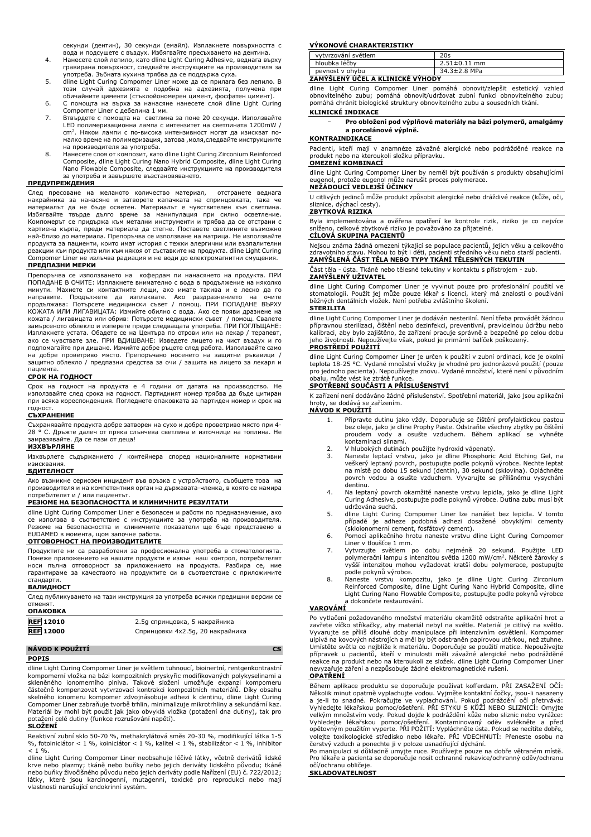секунди (дентин), 30 секунди (емайл). Изплакнете повърхността с

- вода и подсушете с въздух. Избягвайте пресъхването на дентина. 4. Нанесете слой лепило, като dline Light Curing Adhesive, веднага върху гравирана повърхност, следвайте инструкциите на производителя за употреба. Зъбната кухина трябва да се поддържа суха.
- 5. dline Light Curing Compomer Liner може да се прилага без лепило. В този случай адхезията е подобна на адхезията, получена при обичайните цименти (стъклойономерен цимент, фосфатен цимент).
- 6. С помощта на върха за нанасяне нанесете слой dline Light Curing
- Compomer Liner с дебелина 1 мм. 7. Втвърдете с помощта на светлина за поне 20 секунди. Използвайте LED полимеризационна лампа с интензитет на светлината 1200mW / cm<sup>2</sup> . Някои лампи с по-висока интензивност могат да изискват по-малко време на полимеризация, затова ,моля,следвайте инструкциите на производителя за употреба.
- 8. Нанесете слоя от композит, като dline Light Curing Zirconium Reinforced Composite, dline Light Curing Nano Hybrid Composite, dline Light Curing Nano Flowable Composite, следвайте инструкциите на производителя за употреба и завършете възстановяването.

#### **ПРЕДУПРЕЖДЕНИЯ**

След пресоване на желаното количество материал, отстранете веднага накрайника за нанасяне и затворете капачката на спринцовката, така че материалът да не бъде осветен. Материалът е чувствителен към светлина. Избягвайте твърде дълго време за манипулация при силно осветление. Компомерът се придържа към метални инструменти и трябва да се отстрани с<br>хартиена кърпа, преди материала да стегне. Поставете светлините възможно<br>най-близо до материала. Препоръчва се използване на матрица. Не използвайте продукта за пациенти, които имат история с тежки алергични или възпалителни реакции към продукта или към някоя от съставките на продукта. dline Light Curing Compomer Liner не излъчва радиация и не води до електромагнитни смущения. **ПРЕДПАЗНИ МЕРКИ**

Препоръчва се използването на кофердам пи нанасянето на продукта. ПРИ ПОПАДАНЕ В ОЧИТЕ: Изплакнете внимателно с вода в продължение на няколко минути. Махнете си контактните лещи, ако имате такива и е лесно да го<br>направите. Продължете да изплаквате. Ако раздразнението на очите<br>продължава: Потърсете медицински съвет / помощ. ПРИ ПОПАДАНЕ ВЪРХУ КОЖАТА ИЛИ ЛИГАВИЦАТА: Измийте обилно с вода. Ако се появи дразнене на кожата / лигавицата или обрив: Потърсете медицински съвет / помощ. Свалете замърсеното облекло и изперете преди следващата употреба. ПРИ ПОГЛЪЩАНЕ: Изплакнете устата. Обадете се на Центъра по отрови или на лекар / терапевт, ако се чувствате зле. ПРИ ВДИШВАНЕ: Изведете лицето на чист въздух и го подпомагайте при дишане. Измийте добре ръцете след работа. Използвайте само на добре проветриво място. Препоръчано носенето на защитни ръкавици / защитно облекло / предпазни средства за очи / защита на лицето за лекаря и

# пациента. **СРОК НА ГОДНОСТ**

Срок на годност на продукта е 4 години от датата на производство. Не използвайте след срока на годност. Партидният номер трябва да бъде цитиран при всяка кореспонденция. Погледнете опаковката за партиден номер и срок на годност.

## **СЪХРАНЕНИЕ**

Съхранявайте продукта добре затворен на сухо и добре проветриво място при 4- 28 ° C. Дръжте далеч от пряка слънчева светлина и източници на топлина. Не замразявайте. Да се пази от деца!

# **ИЗХВЪРЛЯНЕ**

Изхвърлете съдържанието / контейнера според националните нормативни изисквания.

# **БДИТЕЛНОСТ**

Ако възникне сериозен инцидент във връзка с устройството, съобщете това на производителя и на компетентния орган на държавата-членка, в която се намира потребителят и / или пациентът.

#### **РЕЗЮМЕ НА БЕЗОПАСНОСТТА И КЛИНИЧНИТЕ РЕЗУЛТАТИ**

dline Light Curing Compomer Liner е безопасен и работи по предназначение, ако се използва в съответствие с инструкциите за употреба на производителя. Резюме на безопасността и клиничните показатели ще бъде представено в EUDAMED в момента, щом започне работа.

## **ОТГОВОРНОСТ НА ПРОИЗВОДИТЕЛИТЕ**

Продуктите ни са разработени за професионална употреба в стоматологията. Понеже приложението на нашите продукти е извън наш контрол, потребителят носи пълна отговорност за приложението на продукта. Разбира се, ние гарантираме за качеството на продуктите си в съответствие с приложимите стандарти.

#### **ВАЛИДНОСТ**

След публикуването на тази инструкция за употреба всички предишни версии се отменят.

| 2.5 дспринцовка, 5 накрайника    |
|----------------------------------|
| Спринцовки 4x2.5g, 20 накрайника |
|                                  |

# **NÁVOD K POUŽITÍ CS**

# **POPIS**

dline Light Curing Compomer Liner je světlem tuhnoucí, bioinertní, rentgenkontrastní kompomerní vložka na bázi kompozitních pryskyřic modifikovaných polykyselinami a<br>skleněného ionomerního plniva. Takové složení umožňuje expanzi kompomeru<br>částečně kompenzovat vytvrzovací kontrakci kompozitních mater skelného ionomeru kompomer zdvojnásobuje adhezi k dentinu, dline Light Curing Compomer Liner zabraňuje tvorbě trhlin, minimalizuje mikrotrhliny a sekundární kaz. Materiál by mohl být použit jak jako obvyklá vložka (potažení dna dutiny), tak pro potažení celé dutiny (funkce rozrušování napětí).

# **SLOŽENÍ**

Reaktivní zubní sklo 50-70 %, methakrylátová směs 20-30 %, modifikující látka 1-5 %, fotoiniciátor < 1 %, koiniciátor < 1 %, kalitel < 1 %, stabilizátor < 1 %, inhibitor  $< 1 \%$ .

dline Light Curing Compomer Liner neobsahuje léčivé látky, včetně derivátů lidské krve nebo plazmy; tkáně nebo buňky nebo jejich deriváty lidského původu; tkáně nebo buňky živočišného původu nebo jejich deriváty podle Nařízení (EU) č. 722/2012; látky, které jsou karcinogenní, mutagenní, toxické pro reprodukci nebo mají vlastnosti narušující endokrinní systém.

# **VÝKONOVÉ CHARAKTERISTIKY**

| vytvrzování světlem              | 20s                |  |
|----------------------------------|--------------------|--|
| hloubka léčby                    | $2.51 \pm 0.11$ mm |  |
| peynost y ohybu                  | 34.3±2.8 MPa       |  |
| ZAMYŚLENY UCEL A KLINICKE VYHODY |                    |  |

dline Light Curing Compomer Liner pomáhá obnovit/zlepšit estetický vzhled<br>obnovitelného zubu; pomáhá obnovit/udržovat zubní funkci obnovitelného zubu;<br>pomáhá-chránit-biologické-struktury-obnovitelného-zubu-a-sousedních-tká

# **KLINICKÉ INDIKACE**

| $\overline{\phantom{a}}$ | Pro obložení pod výplňové materiály na bázi polymerů, amalgámy |
|--------------------------|----------------------------------------------------------------|
|                          | a porcelánové výplně.                                          |

## **KONTRAINDIKACE**

Pacienti, kteří mají v anamnéze závažné alergické nebo podrážděné reakce na produkt nebo na kteroukoli složku přípravku. **OMEZENÍ KOMBINACÍ**

dline Light Curing Compomer Liner by neměl být používán s produkty obsahujícími eugenol, protože eugenol může narušit proces polymerace. **NEŽÁDOUCÍ VEDLEJŠÍ ÚČINKY**

U citlivých jedinců může produkt způsobit alergické nebo dráždivé reakce (kůže, oči, sliznice, dýchací cesty).

# **ZBYTKOVÁ RIZIKA**

Byla implementována a ověřena opatření ke kontrole rizik, riziko je co nejvíce sníženo, celkové zbytkové riziko je považováno za přijatelné. **CÍLOVÁ SKUPINA PACIENTŮ**

Nejsou známa žádná omezení týkající se populace pacientů, jejich věku a celkového zdravotního stavu. Mohou to být i děti, pacienti středního věku nebo starší pacienti. **ZAMÝŠLENÁ ČÁST TĚLA NEBO TYPY TKÁNÍ TĚLESNÝCH TEKUTIN**

#### Část těla - ústa. Tkáně nebo tělesné tekutiny v kontaktu s přístrojem - zub. **ZAMÝŠLENÝ UŽIVATEL**

dline Light Curing Compomer Liner je vyvinut pouze pro profesionální použití ve stomatologii. Použít jej může pouze lékař s licencí, který má znalosti o používání běžných dentálních vložek. Není potřeba zvláštního školení.

#### **STERILITA**

dline Light Curing Compomer Liner je dodáván nesterilní. Není třeba provádět žádnou přípravnou sterilizaci, čištění nebo dezinfekci, preventivní, pravidelnou údržbu nebo kalibraci, aby bylo zajištěno, že zařízení pracuje správně a bezpečně po celou dobu jeho životnosti. Nepoužívejte však, pokud je primární balíček poškozený. **PROSTŘEDÍ POUŽITÍ**

dline Light Curing Compomer Liner je určen k použití v zubní ordinaci, kde je okolní teplota 18-25 °C. Vydané množství vložky je vhodné pro jednorázové použití (pouze pro jednoho pacienta). Nepoužívejte znovu. Vydané množství, které není v původním obalu, může vést ke ztrátě funkce.

# **SPOTŘEBNÍ SOUČÁSTI A PŘÍSLUŠENSTVÍ**

K zařízení není dodáváno žádné příslušenství. Spotřební materiál, jako jsou aplikační hroty, se dodává se zařízením. **NÁVOD K POUŽITÍ**

- 1. Připravte dutinu jako vždy. Doporučuje se čištění profylaktickou pastou bez oleje, jako je dline Prophy Paste. Odstraňte všechny zbytky po čištění proudem vody a osušte vzduchem. Během aplikací se kontaminaci slinami.
- 2. V hlubokých dutinách použijte hydroxid vápenatý.<br>3. Naneste Jentací vrstvu, jako je dline Phosphoric
- 3. Naneste leptací vrstvu, jako je dline Phosphoric Acid Etching Gel, na<br>veškerý leptaný povrch, postupujte podle pokynů výrobce. Nechte leptat<br>na místě po dobu 15 sekund (dentin), 30 sekund (sklovina). Opláchněte<br>povrch v .<br>dentinu.
- 4. Na leptaný povrch okamžitě naneste vrstvu lepidla, jako je dline Light Curing Adhesive, postupujte podle pokynů výrobce. Dutina zubu musí být udržována suchá.
- 5. dline Light Curing Compomer Liner lze nanášet bez lepidla. V tomto případě je adheze podobná adhezi dosažené obvyklými cementy (skloionomerní cement, fosfátový cement).
- 6. Pomocí aplikačního hrotu naneste vrstvu dline Light Curing Compomer
- Liner v tloušťce 1 mm. 7. Vytvrzujte světlem po dobu nejméně 20 sekund. Použijte LED polymerační lampu s intenzitou světla 1200 mW/cm<sup>2</sup> . Některé žárovky s vyšší intenzitou mohou vyžadovat kratší dobu polymerace, postupujte
- podle pokynů výrobce. 8. Naneste vrstvu kompozitu, jako je dline Light Curing Zirconium Reinforced Composite, dline Light Curing Nano Hybrid Composite, dline Light Curing Nano Flowable Composite, postupujte podle pokynů výrobce a dokončete restaurování.<br>**VAROVÁNÍ**

Po vytlačení požadovaného množství materiálu okamžitě odstraňte aplikační hrot a zavřete víčko stříkačky, aby materiál nebyl na světle. Materiál je citlivý na světlo. Vyvarujte se příliš dlouhé doby manipulace při intenzivním osvětlení. Kompomer ulpívá na kovových nástrojích a měl by být odstraněn papírovou utěrkou, než ztuhne. Umístěte světla co nejblíže k materiálu. Doporučuje se použití matice. Nepoužívejte přípravek u pacientů, kteří v minulosti měli závažné alergické nebo podrážděné reakce na produkt nebo na kteroukoli ze složek. dline Light Curing Compomer Liner nevyzařuje záření a nezpůsobuje žádné elektromagnetické rušení.

#### **OPATŘENÍ**

Během aplikace produktu se doporučuje používat kofferdam. PRI ZASAZENI OCI:<br>Několik minut opatrně vyplachujte vodou. Vyjměte kontaktní čočky, jsou-li nasazeny<br>a je-li to snadné. Pokračujte ve vyplachování. Pokud podráždění Vyhledejte lékařskou pomoc/ošetření. Kontaminovaný oděv svlékněte a před<br>opětovným použitím vyperte. PŘI POŽITÍ: Vypláchněte ústa. Pokud se necítíte dobře,<br>volejte toxikologické středisko nebo lékaře. PŘI VDECHNUTÍ: Přenes

očí/ochranu obličeje.

#### **SKLADOVATELNOST**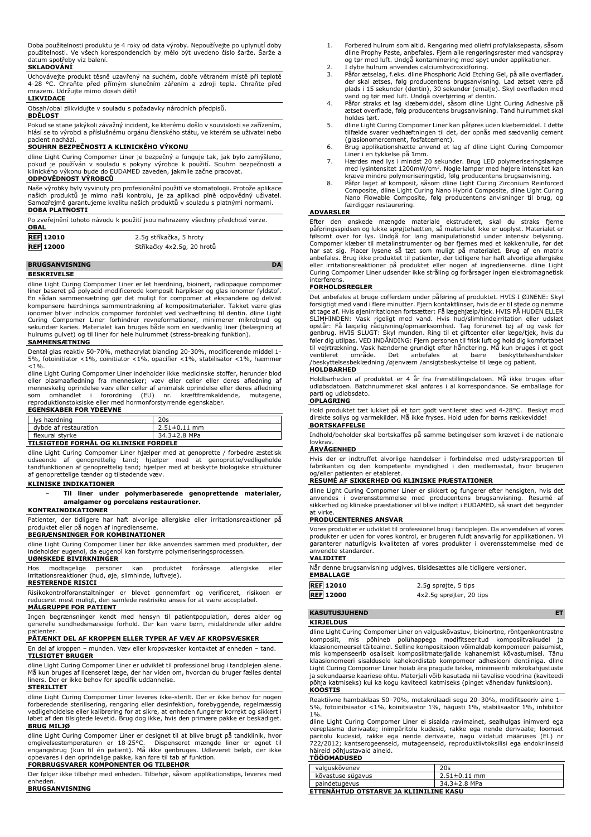Doba použitelnosti produktu je 4 roky od data výroby. Nepoužívejte po uplynutí doby použitelnosti. Ve všech korespondencích by mělo být uvedeno číslo šarže. Šarže a datum spotřeby viz balení.

# **SKLADOVÁNÍ**

Uchovávejte produkt těsně uzavřený na suchém, dobře větraném místě při teplotě 4-28 °C. Chraňte před přímým slunečním zářením a zdroji tepla. Chraňte před mrazem. Udržujte mimo dosah dětí!

#### **LIKVIDACE**

Obsah/obal zlikvidujte v souladu s požadavky národních předpisů.

#### **BDĚLOST**

Pokud se stane jakýkoli závažný incident, ke kterému došlo v souvislosti se zařízením, hlásí se to výrobci a příslušnému orgánu členského státu, ve kterém se uživatel nebo pacient nachází.

# **SOUHRN BEZPEČNOSTI A KLINICKÉHO VÝKONU**

dline Light Curing Compomer Liner je bezpečný a funguje tak, jak bylo zamýšleno,<br>pokud je používán v souladu s pokyny výrobce k použití. Souhrn bezpečnosti a<br>klinického výkonu bude do EUDAMED zaveden, jakmile začne pracova **ODPOVĚDNOST VÝROBCŮ**

Naše výrobky byly vyvinuty pro profesionální použití ve stomatologii. Protože aplikace<br>našich produktů je mimo naši kontrolu, je za aplikaci plně odpovědný uživatel.<br>Samozřejmě garantujeme kvalitu naších produkt **DOBA PLATNOSTI**

Po zveřejnění tohoto návodu k použití jsou nahrazeny všechny předchozí verze. **OBAL**

| <b>REF 12010</b> | 2.5g stříkačka, 5 hroty    |
|------------------|----------------------------|
| <b>REF 12000</b> | Stříkačky 4x2.5g, 20 hrotů |

# **BRUGSANVISNING DA**

**BESKRIVELSE**

dline Light Curing Compomer Liner er let hærdning, bioinert, radiopaque compomer liner baseret på polyacid-modificerede komposit harpikser og glas ionomer fyldstof. En sådan sammensætning gør det muligt for compomer at ekspandere og delvist kompensere hærdnings sammentrækning af kompositmaterialer. Takket være glas ionomer bliver indholds compomer fordoblet ved vedhæftning til dentin. dline Light Curing Compomer Liner forhindrer revneformationer, minimerer mikrobrud og sekundær karies. Materialet kan bruges både som en sædvanlig liner (belægning af hulrums gulvet) og til liner for hele hulrummet (stress-breaking funktion).

#### **SAMMENSÆTNING**

Dental glas reaktiv 50-70%, methacrylat blanding 20-30%, modificerende middel 1- 5%, fotoinitiator <1%, coinitiator <1%, opacifier <1%, stabilisator <1%, hæmmer <1%.

dline Light Curing Compomer Liner indeholder ikke medicinske stoffer, herunder blod eller plasmaafledning fra mennesker; væv eller celler eller deres afledning af<br>menneskelig oprindelse væv eller celler af animalsk oprindelse eller deres afledning<br>som omhandlet i forordning (EU) nr. kræftfremkaldende, mut

### **EGENSKABER FOR YDEEVNE**

| lys hærdning                                                                                                                                                                                                                                                                                                                                  | 20s                |  |
|-----------------------------------------------------------------------------------------------------------------------------------------------------------------------------------------------------------------------------------------------------------------------------------------------------------------------------------------------|--------------------|--|
| dybde af restauration                                                                                                                                                                                                                                                                                                                         | $2.51 \pm 0.11$ mm |  |
| flexural styrke                                                                                                                                                                                                                                                                                                                               | 34.3±2.8 MPa       |  |
| $\overline{a}$ , a correct radial as $\overline{a}$ , $\overline{a}$ , $\overline{a}$ , $\overline{a}$ , $\overline{a}$ , $\overline{a}$ , $\overline{a}$ , $\overline{a}$ , $\overline{a}$ , $\overline{a}$ , $\overline{a}$ , $\overline{a}$ , $\overline{a}$ , $\overline{a}$ , $\overline{a}$ , $\overline{a}$ , $\overline{a}$ , $\over$ |                    |  |

# **TILSIGTEDE FORMÅL OG KLINISKE FORDELE**

dline Light Curing Compomer Liner hjælper med at genoprette / forbedre æstetisk<br>udseende af genoprettelig tand; hjælper med at genoprette/vedligeholde<br>tandfunktionen af genoprettelig tand; hjælper med at beskytte b af genoprettelige tænder og tilstødende væv.

# **KLINISKE INDIKATIONER**

#### − **Til liner under polymerbaserede genoprettende materialer, amalgamer og porcelæns restaurationer.**

### **KONTRAINDIKATIONER**

Patienter, der tidligere har haft alvorlige allergiske eller irritationsreaktioner på produktet eller på nogen af ingredienserne.

#### **BEGRÆNSNINGER FOR KOMBINATIONER**

dline Light Curing Compomer Liner bør ikke anvendes sammen med produkter, der indeholder eugenol, da eugenol kan forstyrre polymeriseringsprocessen. **UØNSKEDE BIVIRKNINGER**

Hos modtagelige personer kan produktet forårsage allergiske eller irritationsreaktioner (hud, øje, slimhinde, luftveje). **RESTERENDE RISICI**

Risikokontrolforanstaltninger er blevet gennemført og verificeret, risikoen er reduceret mest muligt, den samlede restrisiko anses for at være acceptabel.

#### **MÅLGRUPPE FOR PATIENT**

Ingen begrænsninger kendt med hensyn til patientpopulation, deres alder og generelle sundhedsmæssige forhold. Der kan være børn, midaldrende eller ældre patienter.

# **PÅTÆNKT DEL AF KROPPEN ELLER TYPER AF VÆV AF KROPSVÆSKER**

En del af kroppen – munden. Væv eller kropsvæsker kontaktet af enheden – tand. **TILSIGTET BRUGER**

dline Light Curing Compomer Liner er udviklet til professionel brug i tandplejen alene. Må kun bruges af licenseret læge, der har viden om, hvordan du bruger fælles dental liners. Der er ikke behov for specifik uddannelse.

### **STERILITET**

dline Light Curing Compomer Liner leveres ikke-sterilt. Der er ikke behov for nogen forberedende sterilisering, rengøring eller desinfektion, forebyggende, regelmæssig vedligeholdelse eller kalibrering for at sikre, at enheden fungerer korrekt og sikkert i løbet af den tilsigtede levetid. Brug dog ikke, hvis den primære pakke er beskadiget. **BRUG MILJØ**

dline Light Curing Compomer Liner er designet til at blive brugt på tandklinik, hvor<br>omgivelsestemperaturen er 18-25°C. Dispenseret mængde liner er egnet til<br>engangsbrug (kun til én patient). Må likke genb

#### **FORBRUGSVARER KOMPONENTER OG TILBEHØR**

Der følger ikke tilbehør med enheden. Tilbehør, såsom applikationstips, leveres med enheden.

### **BRUGSANVISNING**

- 1. Forbered hulrum som altid. Rengøring med oliefri profylaksepasta, såsom dline Prophy Paste, anbefales. Fjern alle rengøringsrester med vandspray og tør med luft. Undgå kontaminering med spyt under applikationer.
- 2. I dybe hulrum anvendes calciumhydroxidforing.
- 3. Päfør ætselag, f.eks. dline Phosphoric Acid Etching Gel, på alle overflader,<br>der skal ætses, følg producentens brugsanvisning. Lad ætset være på<br>plads i 15 sekunder (dentin), 30 sekunder (emalje). Skyl overfladen med<br>va
- ætset overflade, følg producentens brugsanvisning. Tand hulrummet skal holdes tørt.
- 5. dline Light Curing Compomer Liner kan påføres uden klæbemiddel. I dette tilfælde svarer vedhæftningen til det, der opnås med sædvanlig cement (glasionomercement, fosfatcement).
- 6. Brug applikationshætte anvend et lag af dline Light Curing Compomer Liner i en tykkelse på 1mm.
- 7. Hærdes med lys i mindst 20 sekunder. Brug LED polymeriseringslampe med lysintensitet 1200mW/cm<sup>2</sup> . Nogle lamper med højere intensitet kan kræve mindre polymeriseringstid, følg producentens brugsanvisning.
- 8. Påfør laget af komposit, såsom dline Light Curing Zirconium Reinforced Composite, dline Light Curing Nano Hybrid Composite, dline Light Curing Nano Flowable Composite, følg producentens anvisninger til brug, og færdiggør restaurering.

### **ADVARSLER**

Efter den ønskede mængde materiale ekstruderet, skal du straks fjerne<br>påføringsspidsen og lukke sprøjtehaetten, så materialet ikke er uoplyst. Materialet er følsomt over for lys. Undgå for lang manipulationstid under inten Curing Compomer Liner udsender ikke stråling og forårsager ingen elektromagnetisk interferens.

#### **FORHOLDSREGLER**

Det anbefales at bruge cofferdam under påføring af produktet. HVIS I ØJNENE: Skyl forsigtigt med vand i flere minutter. Fjern kontaktlinser, hvis de er til stede og nemme at tage af. Hvis øjenirritationen fortsætter: Få lægehjælp/tjek. HVIS PÅ HUDEN ELLER SLIMHINDEN: Vask rigeligt med vand. Hvis hud/slimhindeirritation eller udslæt<br>opstår: Få lægelig rådgivning/opmærksomhed. Tag forurenet tøj af og vask før<br>genbrug. HVIS SLUGT: Skyl munden. Ring til et giftcenter eller læge føler dig utilpas. VED INDANDING: Fjern personen til frisk luft og hold dig komfortabel<br>til vejrtrækning. Vask hænderne grundigt efter håndtering. Må kun bruges i et godt<br>ventileret – område. – Det – anbefales – at – bære /beskyttelsesbeklædning /øjenværn /ansigtsbeskyttelse til læge og patient.

## **HOLDBARHED**

Holdbarheden af produktet er 4 år fra fremstillingsdatoen. Må ikke bruges efter udløbsdatoen. Batchnummeret skal anføres i al korrespondance. Se emballage for parti og udløbsdato.

## **OPLAGRING**

Hold produktet tæt lukket på et tørt godt ventileret sted ved 4-28°C. Beskyt mod direkte sollys og varmekilder. Må ikke fryses. Hold uden for børns rækkevidde! **BORTSKAFFELSE**

Indhold/beholder skal bortskaffes på samme betingelser som krævet i de nationale lovkrav.

## **ÅRVÅGENHED**

Hvis der er indtruffet alvorlige hændelser i forbindelse med udstyrsrapporten til fabrikanten og den kompetente myndighed i den medlemsstat, hvor brugeren og/eller patienten er etableret.

#### **RESUMÉ AF SIKKERHED OG KLINISKE PRÆSTATIONER**

dline Light Curing Compomer Liner er sikkert og fungerer efter hensigten, hvis det anvendes i overensstemmelse med producentens brugsanvisning. Resumé af sikkerhed og kliniske præstationer vil blive indført i EUDAMED, så snart det begynder at virke.

### **PRODUCENTERNES ANSVAR**

Vores produkter er udviklet til professionel brug i tandplejen. Da anvendelsen af vores produkter er uden for vores kontrol, er brugeren fuldt ansvarlig for applikationen. Vi garanterer naturligvis kvaliteten af vores produkter i overensstemmelse med de anvendte standarder. **VALIDITET**

Når denne brugsanvisning udgives, tilsidesættes alle tidligere versioner. **EMBALLAGE**

| <b>REF 12010</b> | 2.5g sprøjte, 5 tips     |
|------------------|--------------------------|
| <b>REF 12000</b> | 4x2.5g sprøjter, 20 tips |

# **KASUTUSJUHEND ET**

**KIRJELDUS** dline Light Curing Compomer Liner on valguskõvastuv, bioinertne, röntgenkontrastne komposiit, mis põhineb polühappega modifitseeritud komposiitvaikudel ja klaasionomeersel täiteainel. Selline kompositsioon võimaldab kompomeeri paisumist, mis kompenseerib osaliselt komposiitmaterjalide kahanemist kõvastumisel. Tänu klaasionomeeri sisaldusele kahekordistab kompomeer adhesiooni dentiiniga. dline Light Curing Compomer Liner hoiab ära pragude tekke, minimeerib mikrokahjustuste ja sekundaarse kaariese ohtu. Materjali võib kasutada nii tavalise voodrina (kaviteedi

#### põhja katmiseks) kui ka kogu kaviteedi katmiseks (pinget vähendav funktsioon). **KOOSTIS**

Reaktiivne hambaklaas 50–70%, metakrülaadi segu 20–30%, modifitseeriv aine 1– 5%, fotoinitsiaator <1%, koinitsiaator 1%, hägusti 1%, stabilisaator 1%, inhibiitor  $1\%$ 

dline Light Curing Compomer Liner ei sisalda ravimainet, sealhulgas inimverd ega vereplasma derivaate; inimpäritolu kudesid, rakke ega nende derivaate; loomset päritolu kudesid, rakke ega nende derivaate, nagu viidatud määruses (EL) nr 722/2012; kantserogeenseid, mutageenseid, reproduktiivtoksilisi ega endokriinseid häireid põhjustavaid aineid.

#### **TÖÖOMADUSED**

| valguskõvenev                          | 20s                |  |
|----------------------------------------|--------------------|--|
| kõvastuse sügavus                      | $2.51 \pm 0.11$ mm |  |
| paindetugevus                          | 34.3±2.8 MPa       |  |
| ETTENÄHTUD OTSTARVE JA KLIINILINE KASU |                    |  |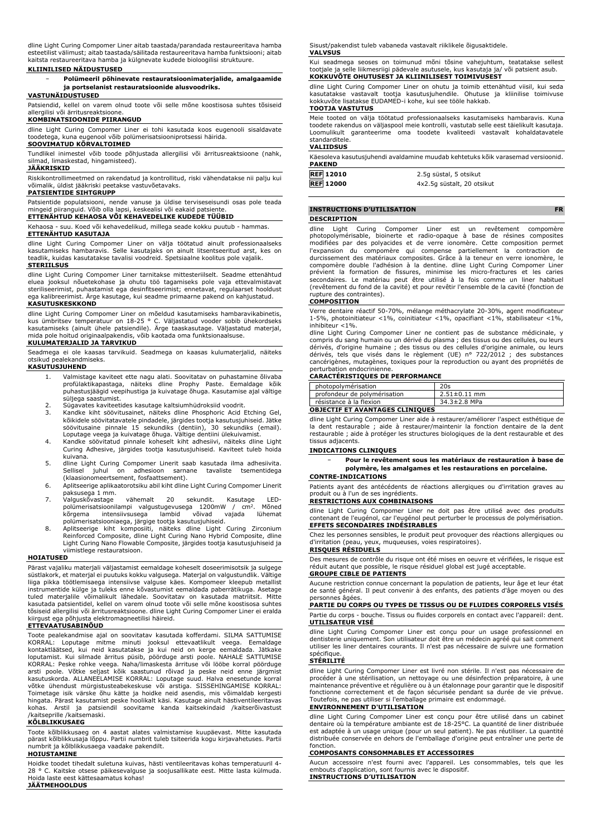dline Light Curing Compomer Liner aitab taastada/parandada restaureeritava hamba esteetilist välimust; aitab taastada/säilitada restaureeritava hamba funktsiooni; aitab kaitsta restaureeritava hamba ja külgnevate kudede bioloogilisi struktuure.

#### **KLIINILISED NÄIDUSTUSED**

− **Polümeeril põhinevate restauratsioonimaterjalide, amalgaamide ja portselanist restauratsioonide alusvoodriks.**

### **VASTUNÄIDUSTUSED**

Patsiendid, kellel on varem olnud toote või selle mõne koostisosa suhtes tõsiseid allergilisi või ärritusreaktsioone.

#### **KOMBINATSIOONIDE PIIRANGUD**

dline Light Curing Compomer Liner ei tohi kasutada koos eugenooli sisaldavate toodetega, kuna eugenool võib polümerisatsiooniprotsessi häirida.

## **SOOVIMATUD KÕRVALTOIMED**

Tundlikel inimestel võib toode põhjustada allergilisi või ärritusreaktsioone (nahk, silmad, limaskestad, hingamisteed).

#### **JÄÄKRISKID**

Riskikontrollimeetmed on rakendatud ja kontrollitud, riski vähendatakse nii palju kui võimalik, üldist jääkriski peetakse vastuvõetavaks. **PATSIENTIDE SIHTGRUPP**

Patsientide populatsiooni, nende vanuse ja üldise terviseseisundi osas pole teada mingeid piiranguid. Võib olla lapsi, keskealisi või eakaid patsiente.

**ETTENÄHTUD KEHAOSA VÕI KEHAVEDELIKE KUDEDE TÜÜBID**

Kehaosa - suu. Koed või kehavedelikud, millega seade kokku puutub - hammas. **ETTENÄHTUD KASUTAJA**

dline Light Curing Compomer Liner on välja töötatud ainult professionaalseks kasutamiseks hambaravis. Selle kasutajaks on ainult litsentseeritud arst, kes on teadlik, kuidas kasutatakse tavalisi voodreid. Spetsiaalne koolitus pole vajalik. **STERIILSUS**

dline Light Curing Compomer Liner tarnitakse mittesteriilselt. Seadme ettenähtud eluea jooksul nõuetekohase ja ohutu töö tagamiseks pole vaja ettevalmistavat steriliseerimist, puhastamist ega desinfitseerimist; ennetavat, regulaarset hooldust ega kalibreerimist. Ärge kasutage, kui seadme primaarne pakend on kahjustatud.

#### **KASUTUSKESKKOND**

dline Light Curing Compomer Liner on mõeldud kasutamiseks hambaravikabinetis,<br>kus ümbritsev temperatuur on 18-25 ° C. Väljastatud vooder sobib ühekordseks<br>kasutamiseks (ainult ühele patsiendile). Ärge taaskasutage. Väljast

# **KULUMATERJALID JA TARVIKUD**

Seadmega ei ole kaasas tarvikuid. Seadmega on kaasas kulumaterjalid, näiteks otsikud pealekandmiseks. **KASUTUSJUHEND**

- 1. Valmistage kaviteet ette nagu alati. Soovitatav on puhastamine õlivaba profülaktikapastaga, näiteks dline Prophy Paste. Eemaldage kõik puhastusjäägid veepihustiga ja kuivatage õhuga. Kasutamise ajal vältige süljega saastumist.
- 2. Sügavates kaviteetides kasutage kaltsiumhüdroksiid voodrit.<br>3. Kandke kiht söövitusainet, näiteks dline Phosphoric Acid
- 3. Kandke kiht söövitusainet, näiteks dline Phosphoric Acid Etching Gel, kõikidele söövitatavatele pindadele, järgides tootja kasutusjuhiseid. Jätke<br>söövitusaine pinnale 15 sekundiks (dentiin), 30 sekundiks (email).<br>Loputage veega ja kuivatage õhuga. Vältige dentiini ülekuivamist.<br>Andke söövita
- kuivana.
- 5. dline Light Curing Compomer Linerit saab kasutada ilma adhesiivita. Sellisel juhul on adhesioon sarnane tavaliste tsementidega
- (klaasionomeertsement, fosfaattsement). 6. Aplitseerige aplikaatorotsiku abil kiht dline Light Curing Compomer Linerit paksusega 1 mm.
- 7. Valguskõvastage vähemalt 20 sekundit. Kasutage LED-polümerisatsioonilampi valgustugevusega 1200mW / cm<sup>2</sup> . Mõned kõrgema intensiivsusega lambid võivad vajada lühemat polümerisatsiooniaega, järgige tootja kasutusjuhiseid.
- 8. Aplitseerige kiht komposiiti, näiteks dline Light Curing Zirconium Reinforced Composite, dline Light Curing Nano Hybrid Composite, dline Light Curing Nano Flowable Composite, järgides tootja kasutusjuhiseid ja viimistlege restauratsioon.

#### **HOIATUSED**

Pärast vajaliku materjali väljastamist eemaldage koheselt doseerimisotsik ja sulgege süstlakork, et materjal ei puutuks kokku valgusega. Materjal on valgustundlik. Vältige liiga pikka töötlemisaega intensiivse valguse käes. Kompomeer kleepub metallist<br>instrumentide külge ja tuleks enne kõvastumist eemaldada paberrätikuga. Asetage<br>tuled materjalile võimalikult lähedale. Soovitatav on kasutada tõsiseid allergilisi või ärritusreaktsioone. dline Light Curing Compomer Liner ei eralda kiirgust ega põhjusta elektromagneetilisi häireid. **ETTEVAATUSABINÕUD**

Toote pealekandmise ajal on soovitatav kasutada kofferdami. SILMA SATTUMISE KORRAL: Loputage mitme minuti jooksul ettevaatlikult veega. Eemaldage kontaktläätsed, kui neid kasutatakse ja kui neid on kerge eemaldada. Jätkake loputamist. Kui silmade ärritus püsib, pöörduge arsti poole. NAHALE SATTUMISE KORRAL: Peske rohke veega. Naha/limaskesta ärrituse või lööbe korral pöörduge arsti poole. Võtke seljast kõik saastunud rõivad ja peske neid enne järgmist<br>kasutuskorda. ALLANEELAMISE KORRAL: Loputage suud. Halva enesetunde korral<br>võtke ühendust mürgistusteabekeskuse või arstiga. SISSEHINGAMISE KORRA kohas. Arstil ja patsiendil soovitame kanda kaitsekindaid /kaitserõivastust /kaitseprille /kaitsemaski.

# **KÕLBLIKKUSAEG**

Toote kõlblikkusaeg on 4 aastat alates valmistamise kuupäevast. Mitte kasutada pärast kõlblikkusaja lõppu. Partii numbrit tuleb tsiteerida kogu kirjavahetuses. Partii numbrit ja kõlblikkusaega vaadake pakendilt.

# **HOIUSTAMINE**

Hoidke toodet tihedalt suletuna kuivas, hästi ventileeritavas kohas temperatuuril 4- 28 ° C. Kaitske otsese päikesevalguse ja soojusallikate eest. Mitte lasta külmuda. Hoida laste eest kättesaamatus kohas! **JÄÄTMEHOOLDUS**

Sisust/pakendist tuleb vabaneda vastavalt riiklikele õigusaktidele. **VALVSUS**

Kui seadmega seoses on toimunud mõni tõsine vahejuhtum, teatatakse sellest tootjale ja selle liikmesriigi pädevale asutusele, kus kasutaja ja/ või patsient asub. **KOKKUVÕTE OHUTUSEST JA KLIINILISEST TOIMIVUSEST**

dline Light Curing Compomer Liner on ohutu ja toimib ettenähtud viisil, kui seda kasutatakse vastavalt tootja kasutusjuhendile. Ohutuse ja kliinilise toimivuse kokkuvõte lisatakse EUDAMED-i kohe, kui see tööle hakkab. **TOOTJA VASTUTUS**

Meie tooted on välja töötatud professionaalseks kasutamiseks hambaravis. Kuna toodete rakendus on väljaspool meie kontrolli, vastutab selle eest täielikult kasutaja. Loomulikult garanteerime oma toodete kvaliteedi vastavalt kohaldatavatele standarditele.

#### **VALIIDSUS**

| Käesoleva kasutusjuhendi avaldamine muudab kehtetuks kõik varasemad versioonid. |                        |  |
|---------------------------------------------------------------------------------|------------------------|--|
| <b>PAKEND</b>                                                                   |                        |  |
| <b>REF</b> 12010                                                                | 2.5g süstal, 5 otsikut |  |

| <b>NELLAZOTO</b> | 2.JY SUSTAI, J ULSINUL     |
|------------------|----------------------------|
| <b>REF 12000</b> | 4x2.5q süstalt, 20 otsikut |
|                  |                            |

| <b>INSTRUCTIONS D'UTILISATION</b> |  |
|-----------------------------------|--|
| <b>DESCRIPTION</b>                |  |
|                                   |  |

dline Light Curing Compomer Liner est un revêtement compomère<br>photopolymérisable, bioinerte et radio-opaque à base de résines composites<br>modifiées par-des-polyacides et de-verre-ionomère. Cette composition-permet l'expansion du compomère qui compense partiellement la contraction de durcissement des matériaux composites. Grâce à la teneur en verre ionomère, le compomère double l'adhésion à la dentine. dline Light Curing Compomer Liner prévient la formation de fissures, minimise les micro-fractures et les caries secondaires. Le matériau peut être utilisé à la fois comme un liner habituel (revêtement du fond de la cavité) et pour revêtir l'ensemble de la cavité (fonction de rupture des contraintes).

# **COMPOSITION**

Verre dentaire réactif 50-70%, mélange méthacrylate 20-30%, agent modificateur 1-5%, photoinitiateur <1%, coinitiateur <1%, opacifiant <1%, stabilisateur <1%,

inhibiteur <1%. dline Light Curing Compomer Liner ne contient pas de substance médicinale, y compris du sang humain ou un dérivé du plasma ; des tissus ou des cellules, ou leurs dérivés, d'origine humaine ; des tissus ou des cellules d'origine animale, ou leurs dérivés, tels que visés dans le règlement (UE) n° 722/2012 ; des substances cancérigènes, mutagènes, toxiques pour la reproduction ou ayant des propriétés de perturbation endocrinienne.

#### **CARACTÉRISTIQUES DE PERFORMANCE**

| photopolymérisation                    | 20s                |
|----------------------------------------|--------------------|
| profondeur de polymérisation           | $2.51 \pm 0.11$ mm |
| résistance à la flexion                | 34.3±2.8 MPa       |
| <b>OBJECTIF ET AVANTAGES CLINIOUES</b> |                    |

dline Light Curing Compomer Liner aide à restaurer/améliorer l'aspect esthétique de la dent restaurable ; aide à restaurer/maintenir la fonction dentaire de la dent restaurable ; aide à protéger les structures biologiques de la dent restaurable et des tissus adjacents.

#### **INDICATIONS CLINIQUES**

− **Pour le revêtement sous les matériaux de restauration à base de polymère, les amalgames et les restaurations en porcelaine.**

#### **CONTRE-INDICATIONS**

Patients ayant des antécédents de réactions allergiques ou d'irritation graves au produit ou à l'un de ses ingrédients.

#### **RESTRICTIONS AUX COMBINAISONS**

dline Light Curing Compomer Liner ne doit pas être utilisé avec des produits contenant de l'eugénol, car l'eugénol peut perturber le processus de polymérisation. **EFFETS SECONDAIRES INDÉSIRABLES**

Chez les personnes sensibles, le produit peut provoquer des réactions allergiques ou d'irritation (peau, yeux, muqueuses, voies respiratoires). **RISQUES RÉSIDUELS**

Des mesures de contrôle du risque ont été mises en oeuvre et vérifiées, le risque est réduit autant que possible, le risque résiduel global est jugé acceptable.

# **GROUPE CIBLE DE PATIENTS**

Aucune restriction connue concernant la population de patients, leur âge et leur état de santé général. Il peut convenir à des enfants, des patients d'âge moyen ou des personnes âgées.

# **PARTIE DU CORPS OU TYPES DE TISSUS OU DE FLUIDES CORPORELS VISÉS**

Partie du corps - bouche. Tissus ou fluides corporels en contact avec l'appareil: dent. **UTILISATEUR VISÉ**

dline Light Curing Compomer Liner est conçu pour un usage professionnel en dentisterie uniquement. Son utilisateur doit être un médecin agréé qui sait comment utiliser les liner dentaires courants. Il n'est pas nécessaire de suivre une formation spécifique.

# **STÉRILITÉ**

dline Light Curing Compomer Liner est livré non stérile. Il n'est pas nécessaire de procéder à une stérilisation, un nettoyage ou une désinfection préparatoire, à une maintenance préventive et régulière ou à un étalonnage pour garantir que le dispositif fonctionne correctement et de façon sécurisée pendant sa durée de vie prévue. Toutefois, ne pas utiliser si l'emballage primaire est endommagé.

#### **ENVIRONNEMENT D'UTILISATION**

dline Light Curing Compomer Liner est conçu pour être utilisé dans un cabinet dentaire où la température ambiante est de 18-25°C. La quantité de liner distribuée est adaptée à un usage unique (pour un seul patient). Ne pas réutiliser. La quantité distribuée conservée en dehors de l'emballage d'origine peut entraîner une perte de fonction.

# **COMPOSANTS CONSOMMABLES ET ACCESSOIRES**

Aucun accessoire n'est fourni avec l'appareil. Les consommables, tels que les embouts d'application, sont fournis avec le dispositif. **INSTRUCTIONS D'UTILISATION**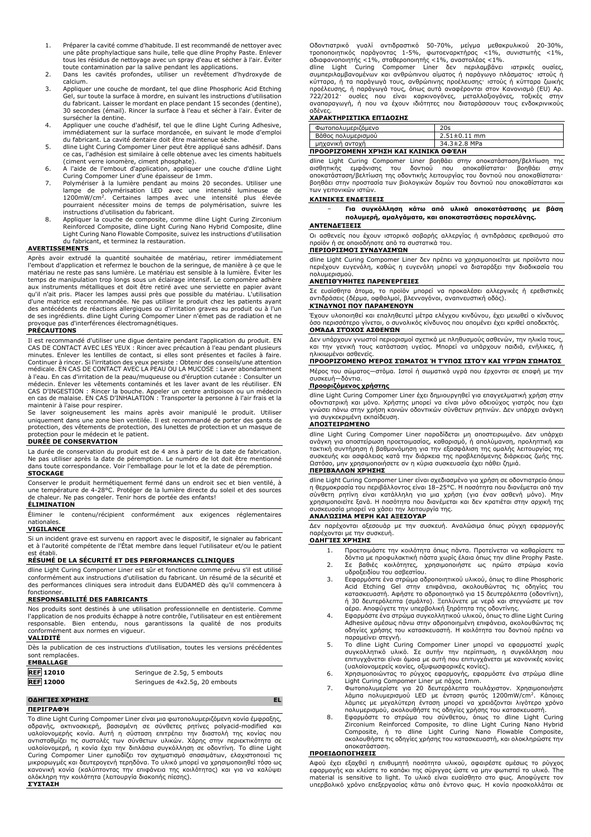- 1. Préparer la cavité comme d'habitude. Il est recommandé de nettoyer avec une pâte prophylactique sans huile, telle que dline Prophy Paste. Enlever tous les résidus de nettoyage avec un spray d'eau et sécher à l'air. Éviter toute contamination par la salive pendant les applications.
- 2. Dans les cavités profondes, utiliser un revêtement d'hydroxyde de calcium.
- 3. Appliquer une couche de mordant, tel que dline Phosphoric Acid Etching Gel, sur toute la surface à mordre, en suivant les instructions d'utilisation du fabricant. Laisser le mordant en place pendant 15 secondes (dentine), 30 secondes (émail). Rincer la surface à l'eau et sécher à l'air. Éviter de sursécher la dentine.
- 4. Appliquer une couche d'adhésif, tel que le dline Light Curing Adhesive, immédiatement sur la surface mordancée, en suivant le mode d'emploi du fabricant. La cavité dentaire doit être maintenue sèche.
- 5. dline Light Curing Compomer Liner peut être appliqué sans adhésif. Dans ce cas, l'adhésion est similaire à celle obtenue avec les ciments habituels
- (ciment verre ionomère, ciment phosphate). 6. A l'aide de l'embout d'application, appliquer une couche d'dline Light Curing Compomer Liner d'une épaisseur de 1mm.
- 7. Polymériser à la lumière pendant au moins 20 secondes. Utiliser une lampe de polymérisation LED avec une intensité lumineuse de 1200mW/cm<sup>2</sup> . Certaines lampes avec une intensité plus élevée pourraient nécessiter moins de temps de polymérisation, suivre les instructions d'utilisation du fabricant.
- 8. Appliquer la couche de composite, comme dline Light Curing Zirconium Reinforced Composite, dline Light Curing Nano Hybrid Composite, dline Light Curing Nano Flowable Composite, suivez les instructions d'utilisation du fabricant, et terminez la restauration.

#### **AVERTISSEMENTS**

Après avoir extrudé la quantité souhaitée de matériau, retirer immédiatement l'embout d'application et refermez le bouchon de la seringue, de manière à ce que le matériau ne reste pas sans lumière. Le matériau est sensible à la lumière. Éviter les temps de manipulation trop longs sous un éclairage intensif. Le compomère adhère aux instruments métalliques et doit être retiré avec une serviette en papier avant qu'il n'ait pris. Placer les lampes aussi près que possible du matériau. L'utilisation d'une matrice est recommandée. Ne pas utiliser le produit chez les patients ayant des antécédents de réactions allergiques ou d'irritation graves au produit ou à l'un de ses ingrédients. dline Light Curing Compomer Liner n'émet pas de radiation et ne provoque pas d'interférences électromagnétiques.

#### **PRÉCAUTIONS**

Il est recommandé d'utiliser une digue dentaire pendant l'application du produit. EN<br>CAS DE CONTACT AVEC LES YEUX : Rincer avec précaution à l'eau pendant plusieurs<br>minutes. Enlever les lentilles de contact, si elles sont Continuer à rincer. Si l'irritation des yeux persiste : Obtenir des conseils/une attention<br>médicale. EN CAS DE CONTACT AVEC LA PEAU OU LA MUCOSE : Laver abondamment<br>à l'eau. En cas d'irritation de la peau/muqueuse ou d'éru médecin. Enlever les vêtements contaminés et les laver avant de les réutiliser. EN CAS D'INGESTION : Rincer la bouche. Appeler un centre antipoison ou un médecin en cas de malaise. EN CAS D'INHALATION : Transporter la personne à l'air frais et la maintenir à l'aise pour respirer.

Se laver soigneusement les mains après avoir manipulé le produit. Utiliser uniquement dans une zone bien ventilée. Il est recommandé de porter des gants de protection, des vêtements de protection, des lunettes de protection et un masque de protection pour le médecin et le patient.

#### **DURÉE DE CONSERVATION**

La durée de conservation du produit est de 4 ans à partir de la date de fabrication. Ne pas utiliser après la date de péremption. Le numéro de lot doit être mentionné dans toute correspondance. Voir l'emballage pour le lot et la date de péremption. **STOCKAGE**

Conserver le produit hermétiquement fermé dans un endroit sec et bien ventilé, à une température de 4-28°C. Protéger de la lumière directe du soleil et des sources de chaleur. Ne pas congeler. Tenir hors de portée des enfants! **ÉLIMINATION**

Éliminer le contenu/récipient conformément aux exigences réglementaires nationales.

#### **VIGILANCE**

Si un incident grave est survenu en rapport avec le dispositif, le signaler au fabricant et à l'autorité compétente de l'État membre dans lequel l'utilisateur et/ou le patient est établi.

# **RÉSUMÉ DE LA SÉCURITÉ ET DES PERFORMANCES CLINIQUES**

dline Light Curing Compomer Liner est sûr et fonctionne comme prévu s'il est utilisé conformément aux instructions d'utilisation du fabricant. Un résumé de la sécurité et des performances cliniques sera introduit dans EUDAMED dès qu'il commencera à fonctionner.

#### **RESPONSABILITÉ DES FABRICANTS**

Nos produits sont destinés à une utilisation professionnelle en dentisterie. Comme l'application de nos produits échappe à notre contrôle, l'utilisateur en est entièrement responsable. Bien entendu, nous garantissons la qualité de nos produits conformément aux normes en vigueur. **VALIDITÉ**

Dès la publication de ces instructions d'utilisation, toutes les versions précédentes

| sont remplacées. |                                 |
|------------------|---------------------------------|
| <b>EMBALLAGE</b> |                                 |
| <b>REF 12010</b> | Seringue de 2.5g, 5 embouts     |
| <b>REF</b> 12000 | Seringues de 4x2.5g, 20 embouts |

# **ΟΔΗΓΊΕΣ ΧΡΉΣΗΣ EL**

# **ΠΕΡΙΓΡΑΦΉ**

Το dline Light Curing Compomer Liner είναι μια φωτοπολυμεριζόμενη κονία έμφραξης, αδρανής, ακτινοσκιερή, βασισμένη σε σύνθετες ρητίνες polyacid-modified και υαλοϊονομερής κονία. Αυτή η σύσταση επιτρέπει την διαστολή της κονίας που αντισταθμίζει τις συστολές των σύνθετων υλικών. Χάρης στην περιεκτικότητα σε υαλοϊονομερή, η κονία έχει την διπλάσια συγκόλληση σε οδοντίνη. Το dline Light Curing Compomer Liner εμποδίζει τον σχηματισμό σπασιμάτων, ελαχιστοποιεί τις<br>μικρορωγμές και δευτερογενή τερηδόνα. Το υλικό μπορεί να χρησιμοποιηθεί τόσο ως<br>κανονική κονία (καλύπτοντας την επιφάνεια της κοιλότητας) και γι ολόκληρη την κοιλότητα (λειτουργία διακοπής πίεσης). **ΣΎΣΤΑΣΗ**

Οδοντιατρικό γυαλί αντιδραστικό 50-70%, μείγμα μεθακρυλικού 20-30%,<br>τροποποιητικός παράγοντας 1-5%, φωτοεναρκτήρας <1%, συνιστωτής <1%,<br>αδιαφανοποιητής<1%,σταθεροποιητής<1%,αναστολέας<1%.<br>dline Light Curing Compomer Liner

κύτταρα, ή τα παράγωγά τους, ανθρώπινης προέλευσης· ιστούς ή κύτταρα ζωικής προέλευσης, ή παράγωγά τους, όπως αυτά αναφέρονται στον Κανονισμό (EU) Αρ. 722/2012· ουσίες που είναι καρκινογόνες, μεταλλαξιογόνες, τοξικές στην αναπαραγωγή, ή που να έχουν ιδιότητες που διαταράσσουν τους ενδοκρινικούς

# αδένες. **ΧΑΡΑΚΤΗΡΙΣΤΙΚΆ ΕΠΊΔΟΣΗΣ**

| Φωτοπολυμεριζόμενο                   | 20s                |  |
|--------------------------------------|--------------------|--|
| Βάθος πολυμερισμού                   | $2.51 \pm 0.11$ mm |  |
| μηχανική αντοχή                      | 34.3±2.8 MPa       |  |
| ΠΡΟΟΡΙΖΌΜΕΝΗ ΧΡΉΣΗ ΚΑΙ ΚΛΙΝΙΚΆ ΟΦΈΛΗ |                    |  |

dline Light Curing Compomer Liner βοηθάει στην αποκατάσταση/βελτίωση της<br>αισθητικής εμφάνισης του δοντιού που αποκαθίσταται βοηθάει στην αισθητικής εμφάνισης του δοντιού που αποκαθίσταται· βοηθάει στην αποκατάσταση/βελτίωση της οδοντικής λειτουργίας του δοντιού που αποκαθίσταται· βοηθάει στην προστασία των βιολογικών δομών του δοντιού που αποκαθίσταται και των γειτονικών ιστών.

#### **ΚΛΙΝΙΚΈΣ ΕΝΔΕΊΞΕΙΣ**

− **Για συγκόλληση κάτω από υλικά αποκατάστασης με βάση πολυμερή, αμαλγάματα, και αποκαταστάσεις πορσελάνης.**

#### **ΑΝΤΕΝΔΕΊΞΕΙΣ**

Οι ασθενείς που έχουν ιστορικό σοβαρής αλλεργίας ή αντιδράσεις ερεθισμού στο προϊόν ή σε οποιοδήποτε από τα συστατικά του.

# **ΠΕΡΙΟΡΙΣΜΟΊ ΣΥΝΔΥΑΣΜΏΝ**

dline Light Curing Compomer Liner δεν πρέπει να χρησιμοποιείται με προϊόντα που περιέχουν ευγενόλη, καθώς η ευγενόλη μπορεί να διαταράξει την διαδικασία του πολυμερισμού.

#### **ΑΝΕΠΙΘΎΜΗΤΕΣ ΠΑΡΕΝΈΡΓΕΙΕΣ**

Σε ευαίσθητα άτομα, το προϊόν μπορεί να προκαλέσει αλλεργικές ή ερεθιστικές αντιδράσεις (δέρμα, οφθαλμοί, βλεννογόνοι, αναπνευστική οδός). **ΚΊΝΔΥΝΟΙ ΠΟΥ ΠΑΡΑΜΈΝΟΥΝ**

Έχουν υλοποιηθεί και επαληθευτεί μέτρα ελέγχου κινδύνου, έχει μειωθεί ο κίνδυνος όσο περισσότερο γίνεται, ο συνολικός κίνδυνος που απομένει έχει κριθεί αποδεκτός. **ΟΜΆΔΑ ΣΤΌΧΟΣ ΑΣΘΕΝΏΝ**

Δεν υπάρχουν γνωστοί περιορισμοί σχετικά με πληθυσμούς ασθενών, την ηλικία τους, και την γενική τους κατάσταση υγείας. Μπορεί να υπάρχουν παιδιά, ενήλικες, ή ηλικιωμένοι ασθενείς.

#### **ΠΡΟΟΡΙΖΌΜΕΝΟ ΜΈΡΟΣ ΣΏΜΑΤΟΣ Ή ΤΎΠΟΣ ΙΣΤΟΎ ΚΑΙ ΥΓΡΏΝ ΣΏΜΑΤΟΣ**

Μέρος του σώματος—στόμα. Ιστοί ή σωματικά υγρά που έρχονται σε επαφή με την συσκευή—δόντια.

### **Προοριζόμενος χρήστης**

dline Light Curing Compomer Liner έχει δημιουργηθεί για επαγγελματική χρήση στην οδοντιατρική και μόνο. Χρήστης μπορεί να είναι μόνο αδειούχος γιατρός που έχει γνώσει πάνω στην χρήση κοινών οδοντικών σύνθετων ρητινών. Δεν υπάρχει ανάγκη για συγκεκριμένη εκπαίδευση.

#### **ΑΠΟΣΤΕΙΡΩΜΈΝΟ**

dline Light Curing Compomer Liner παραδίδεται μη αποστειρωμένο. Δεν υπάρχει ανάγκη για αποστείρωση προετοιμασίας, καθαρισμό, ή απολύμανση, προληπτική και τακτική συντήρηση ή βαθμονόμηση για την εξασφάλιση της ομαλής λειτουργίας της συσκευής και ασφάλειας κατά την διάρκεια της προβλεπόμενης διάρκειας ζωής της. Ωστόσο, μην χρησιμοποιήσετε αν η κύρια συσκευασία έχει πάθει ζημιά.

# **ΠΕΡΙΒΆΛΛΟΝ ΧΡΉΣΗΣ**

dline Light Curing Compomer Liner είναι σχεδιασμένο για χρήση σε οδοντιατρείο όπου η θερμοκρασία του περιβάλλοντος είναι 18–25°C. Η ποσότητα που διανέμεται από την<br>σύνθετη ρητίνη είναι κατάλληλη για μια χρήση (για έναν ασθενή μόνο). Μην<br>χρησιμοποιείτε ξανά. Η ποσότητα που διανέμεται και δεν κ συσκευασία μπορεί να χάσει την λειτουργία της.

#### **ΑΝΑΛΏΣΙΜΑ ΜΈΡΗ ΚΑΙ ΑΞΕΣΟΥΆΡ**

Δεν παρέχονται αξεσουάρ με την συσκευή. Αναλώσιμα όπως ρύγχη εφαρμογής παρέχονται με την συσκευή.

# **ΟΔΗΓΊΕΣ ΧΡΉΣΗΣ**

- 1. Προετοιμάστε την κοιλότητα όπως πάντα. Προτείνεται να καθαρίσετε τα
	- δόντια με προφυλακτική πάστα χωρίς έλαια όπως την dline Prophy Paste.
- 2. Σε βαθιές κοιλότητες, χρησιμοποιήστε ως πρώτο στρώμα κονία υδροξειδίου του ασβεστίου.
- 3. Eεφαρμόστε ένα στρώμα αδροποιητικού υλικού, όπως το dline Phosphoric Acid Etching Gel στην επιφάνεια, ακολουθώντας τις οδηγίες του κατασκευαστή. Αφήστε το αδροποιητικό για 15 δευτερόλεπτα (οδοντίνη), ή 30 δευτερόλεπτα (σμάλτο). Ξεπλύνετε με νερό και στεγνώστε με τον αέρα. Αποφύγετε την υπερβολική ξηρότητα της οδοντίνης.
- 4. Εφαρμόστε ένα στρώμα συγκολλητικού υλικού, όπως το dline Light Curing Adhesive αμέσως πάνω στην αδροποιημένη επιφάνεια, ακολουθώντας τις οδηγίες χρήσης του κατασκευαστή. Η κοιλότητα του δοντιού πρέπει να παραμείνει στεγνή.
- 5. Το dline Light Curing Compomer Liner μπορεί να εφαρμοστεί χωρίς<br>συγκολλητικό υλικό. Σε αυτήν την περίπτωση, η συγκόλληση που<br>επιτυγχάνεται είναι όμοια με αυτή που επιτυγχάνεται με κανονικές κονίες (υαλοϊονομερείς κονίες, οξυφωσφορικές κονίες).
- 6. Χρησιμοποιώντας το ρύγχος εφαρμογής, εφαρμόστε ένα στρώμα dline Light Curing Compomer Liner με πάχος 1mm.
- 7. Φωτοπολυμερίστε για 20 δευτερόλεπτα τουλάχιστον. Χρησιμοποιήστε<br>Αάμπα πολυμερισμού LED με ένταση φωτός 1200mW/cm<sup>2</sup>. Κάποιες<br>Αάμπες με μεγαλύτερη ένταση μπορεί να χρειάζονται λιγότερο χρόνο<br>πολυμερισμού, ακολουθήστε τι
- Zirconium Reinforced Composite, το dline Light Curing Nano Hybrid Composite, ή το dline Light Curing Nano Flowable Composite, ακολουθήστε τις οδηγίες χρήσης του κατασκευαστή, και ολοκληρώστε την αποκατάσταση.

#### **ΠΡΟΕΙΔΟΠΟΙΉΣΕΙΣ**

Αφού έχει εξαχθεί η επιθυμητή ποσότητα υλικού, αφαιρέστε αμέσως το ρύγχος εφαρμογής και κλείστε το καπάκι της σύριγγας ώστε να μην φωτιστεί το υλικό. The material is sensitive to light. Το υλικό είναι ευαίσθητο στο φως. Αποφύγετε τον υπερβολικό χρόνο επεξεργασίας κάτω από έντονο φως. Η κονία προσκολλάται σε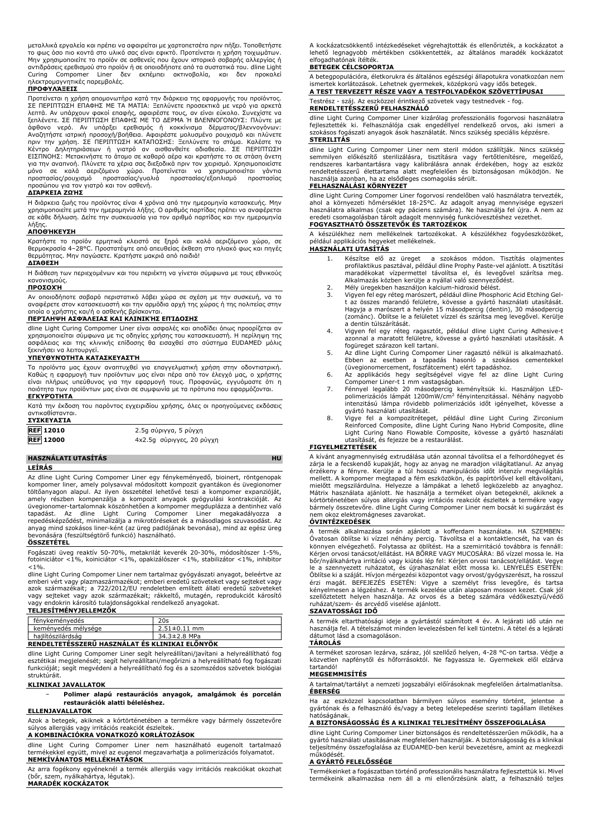μεταλλικά εργαλεία και πρέπει να αφαιρείται με χαρτοπετσέτα πριν πήξει. Τοποθετήστε το φως όσο πιο κοντά στο υλικό σας είναι εφικτό. Προτείνεται η χρήση τοιχωμάτων. Μην χρησιμοποιείτε το προϊόν σε ασθενείς που έχουν ιστορικό σοβαρής αλλεργίας ή αντιδράσεις ερεθισμού στο προϊόν ή σε οποιοδήποτε από τα συστατικά του. dline Light Curing Compomer Liner δεν εκπέμπει ακτινοβολία, και δεν προκαλεί ηλεκτρομαγνητικές παρεμβολές.

# **ΠΡΟΦΥΛΆΞΕΙΣ**

Προτείνεται η χρήση απομονωτήρα κατά την διάρκεια της εφαρμογής του προϊόντος. ΣΕ ΠΕΡΙΠΤΩΣΗ ΕΠΑΦΗΣ ΜΕ ΤΑ ΜΑΤΙΑ: Ξεπλύνετε προσεκτικά με νερό για αρκετά λεπτά. Αν υπάρχουν φακοί επαφής, αφαιρέστε τους, αν είναι εύκολο. Συνεχίστε να ξεπλένετε. ΣΕ ΠΕΡΙΠΤΩΣΗ ΕΠΑΦΗΣ ΜΕ ΤΟ ΔΕΡΜΑ Ή ΒΛΕΝΝΟΓΟΝΟΥΣ: Πλύντε με άφθονο νερό. Αν υπάρξει ερεθισμός ή κοκκίνισμα δέρματος/βλεννογόνων:<br>Αναζητήστε ιατρική προσοχή/βοήθεια. Αφαιρέστε μολυσμένο ρουχισμό και πλύνετε<br>πριν την χρήση. ΣΕ ΠΕΡΙΠΤΩΣΗ ΚΑΤΑΠΟΣΗΣ: Ξεπλύνετε το στόμα. Καλέστε το<br>Κέντ για την αναπνοή. Πλύνετε τα χέρια σας διεξοδικά πριν τον χειρισμό. Χρησιμοποιείστε μόνο σε καλά αεριζόμενο χώρο. Προτείνεται να χρησιμοποιείται γάντια προστασίας/ρουχισμό προστασίας/γυαλιά προστασίας/εξοπλισμό προστασίας προσώπου για τον γιατρό και τον ασθενή.

#### **ΔΙΆΡΚΕΙΑ ΖΩΉΣ**

Η διάρκεια ζωής του προϊόντος είναι 4 χρόνια από την ημερομηνία κατασκευής. Μην<br>χρησιμοποιείτε μετά την ημερομηνία λήξης. Ο αριθμός παρτίδας πρέπει να αναφέρεται<br>σε κάθε δήλωση. Δείτε την συσκευασία για τον αριθμό παρτίδα λήξης.

#### **ΑΠΟΘΉΚΕΥΣΗ**

Κρατήστε το προϊόν ερμητικά κλειστό σε ξηρό και καλά αεριζόμενο χώρο, σε θερμοκρασία 4–28°C. Προστατέψτε από απευθείας έκθεση στο ηλιακό φως και πηγές θερμότητας. Μην παγώσετε. Κρατήστε μακριά από παιδιά! **ΔΙΆΘΕΣΗ**

Η διάθεση των περιεχομένων και του περιέκτη να γίνεται σύμφωνα με τους εθνικούς κανονισμούς.

#### **ΠΡΟΣΟΧΉ**

Αν οποιοδήποτε σοβαρό περιστατικό λάβει χώρα σε σχέση με την συσκευή, να το αναφέρετε στον κατασκευαστή και την αρμόδια αρχή της χώρας ή της πολιτείας στην οποία ο χρήστης και/ή ο ασθενής βρίσκονται.

#### **ΠΕΡΊΛΗΨΗ ΑΣΦΆΛΕΙΑΣ ΚΑΙ ΚΛΙΝΙΚΉΣ ΕΠΊΔΟΣΗΣ**

dline Light Curing Compomer Liner είναι ασφαλές και αποδίδει όπως προορίζεται αν χρησιμοποιείται σύμφωνα με τις οδηγίες χρήσης του κατασκευαστή. Η περίληψη της ασφάλειας και της κλινικής επίδοσης θα εισαχθεί στο σύστημα EUDAMED μόλις ξεκινήσει να λειτουργεί.

# **ΥΠΕΥΘΥΝΌΤΗΤΑ ΚΑΤΑΣΚΕΥΑΣΤΉ**

Τα προϊόντα μας έχουν αναπτυχθεί για επαγγελματική χρήση στην οδοντιατρική. Καθώς η εφαρμογή των προϊόντων μας είναι πέρα από τον έλεγχό μας, ο χρήστης είναι πλήρως υπεύθυνος για την εφαρμογή τους. Προφανώς, εγγυόμαστε ότι η ποιότητα των προϊόντων μας είναι σε συμφωνία με τα πρότυπα που εφαρμόζονται. **ΕΓΚΥΡΌΤΗΤΑ**

Κατά την έκδοση του παρόντος εγχειριδίου χρήσης, όλες οι προηγούμενες εκδόσεις αντικαθίστανται. **ΣΥΣΚΕΥΑΣΊΑ**

| ZIZNEIAZIA       |                           |
|------------------|---------------------------|
| <b>REF 12010</b> | 2.5g σύριγγα, 5 ρύγχη     |
| <b>REF</b> 12000 | 4x2.5g σύριγγες, 20 ρύγχη |

## **HASZNÁLATI UTASÍTÁS HU**

#### **LEÍRÁS**

Az dline Light Curing Compomer Liner egy fénykeményedő, bioinert, röntgenopak<br>kompomer liner, amely polysavval módosított kompozit gyantákon és üvegionomer<br>töltőanyagon alapul. Az ilyen összetétel lehetővé teszi a kompomer amely részben kompenzálja a kompozit anyagok gyógyulási kontrakcióját. üvegionomer-tartalomnak köszönhetően a kompomer megduplázza a dentinhez való<br>tapadást. Az dline Light Curing Compomer Liner megakadályozza a<br>repedésképződést, minimalizálja a mikrotöréseket anyag mind szokásos liner-ként (az üreg padlójának bevonása), mind az egész üreg bevonására (feszültségtörő funkció) használható.

# **ÖSSZETÉTEL**

Fogászati üveg reaktív 50-70%, metakrilát keverék 20-30%, módosítószer 1-5%, fotoiniciátor <1%, koiniciátor <1%, opakizálószer <1%, stabilizátor <1%, inhibitor  $< 1\%$ .

dline Light Curing Compomer Liner nem tartalmaz gyógyászati anyagot, beleértve az emberi vért vagy plazmaszármazékot; emberi eredetű szöveteket vagy sejteket vagy azok származékait; a 722/2012/EU rendeletben említett állati eredetű szöveteket vagy sejteket vagy azok származékait; rákkeltő, mutagén, reprodukciót károsító<br>vagy endokrin károsító tulajdonságokkal rendelkező anyagokat.<br>**TELJESÍTMÉNYJELLEMZŐK** 

| TELJESITMENYJELLEMZOK |                     |                    |
|-----------------------|---------------------|--------------------|
|                       | fénykeményedés      | 20s                |
|                       | keményedés mélysége | $2.51 \pm 0.11$ mm |
|                       | hailítószilárdság   | 34.3±2.8 MPa       |
|                       |                     |                    |

| RENDELTETÉSSZERŰ HASZNÁLAT ÉS KLINIKAI ELŐNYÖK                                          |
|-----------------------------------------------------------------------------------------|
| dline Light Curing Compomer Liner segít helyreállítani/javítani a helyreállítható fog   |
| esztétikai megjelenését; segít helyreállítani/megőrizni a helyreállítható fog fogászati |
| funkcióját; segít megvédeni a helyreállítható fog és a szomszédos szövetek biológiai    |

struktúráit.

# **KLINIKAI JAVALLATOK**

# − **Polimer alapú restaurációs anyagok, amalgámok és porcelán restaurációk alatti béleléshez.**

## **ELLENJAVALLATOK**

Azok a betegek, akiknek a kórtörténetében a termékre vagy bármely összetevőre súlyos allergiás vagy irritációs reakciót észleltek.

## **A KOMBINÁCIÓKRA VONATKOZÓ KORLÁTOZÁSOK**

dline Light Curing Compomer Liner nem használható eugenolt tartalmazó termékekkel együtt, mivel az eugenol megzavarhatja a polimerizációs folyamatot. **NEMKÍVÁNATOS MELLÉKHATÁSOK**

Az arra fogékony egyéneknél a termék allergiás vagy irritációs reakciókat okozhat (bőr, szem, nyálkahártya, légutak). **MARADÉK KOCKÁZATOK**

A kockázatcsökkentő intézkedéseket végrehajtották és ellenőrizték, a kockázatot a lehető legnagyobb mértékben csökkentették, az általános maradék kockázatot elfogadhatónak ítélték.

#### **BETEGEK CÉLCSOPORTJA**

A betegpopulációra, életkorukra és általános egészségi állapotukra vonatkozóan nem ismertek korlátozások. Lehetnek gyermekek, középkorú vagy idős betegek. **A TEST TERVEZETT RÉSZE VAGY A TESTFOLYADÉKOK SZÖVETTÍPUSAI**

Testrész - száj. Az eszközzel érintkező szövetek vagy testnedvek - fog.

# **RENDELTETÉSSZERŰ FELHASZNÁLÓ**

dline Light Curing Compomer Liner kizárólag professzionális fogorvosi használatra fejlesztették ki. Felhasználója csak engedéllyel rendelkező orvos, aki ismeri a szokásos fogászati anyagok ások használatát. Nincs szükség speciális képzésre. **STERILITÁS**

dline Light Curing Compomer Liner nem steril módon szállítják. Nincs szükség semmilyen előkészítő sterilizálásra, tisztításra vagy fertőtlenítésre, megelőző,<br>rendszeres karbantartásra vagy kalibrálásra annak érdekében, hogy az eszköz<br>rendeltetésszerű élettartama alatt megfelelően és biztonságosan m használja azonban, ha az elsődleges csomagolás sérült.

#### **FELHASZNÁLÁSI KÖRNYEZET**

dline Light Curing Compomer Liner fogorvosi rendelőben való használatra tervezték,<br>ahol a környezeti hőmérséklet 18-25°C. Az adagolt anyag mennyisége egyszeri<br>használatra alkalmas (csak egy páciens számára). Ne használja f

A készülékhez nem mellékelnek tartozékokat. A készülékhez fogyóeszközöket, például applikációs hegyeket mellékelnek.

# **HASZNÁLATI UTASÍTÁS**

- 1. Készítse elő az üreget a szokásos módon. Tisztítás olajmentes<br>profilaktikus pasztával, például dline Prophy Paste-vel ajánlott. A tisztítási<br>maradékokat vízpermettel távolítsa el, és levegővel szárítsa meg.<br>Alkalmazás
- 2. Mély üregekben használjon kalcium-hidroxid bélést.
- 3. Vigyen fel egy réteg marószert, például dline Phosphoric Acid Etching Gel-t az összes marandó felületre, kövesse a gyártó használati utasítását. Hagyja a marószert a helyén 15 másodpercig (dentin), 30 másodpercig (zománc). Öblítse le a felületet vízzel és szárítsa meg levegővel. Kerülje a dentin túlszárítását.
- 4. Vigyen fel egy réteg ragasztót, például dline Light Curing Adhesive-t azonnal a maratott felületre, kövesse a gyártó használati utasítását. A
- fogüreget szárazon kell tartani. 5. Az dline Light Curing Compomer Liner ragasztó nélkül is alkalmazható. Ebben az esetben a tapadás hasonló a szokásos cementekkel (üvegionomercement, foszfátcement) elért tapadáshoz.
- 6. Az applikációs hegy segítségével vigye fel az dline Light Curing Compomer Liner-t 1 mm vastagságban.
- 7. Fénnyel legalább 20 másodpercig keményítsük ki. Használjon LED-polimerizációs lámpát 1200mW/cm<sup>2</sup> fényintenzitással. Néhány nagyobb intenzitású lámpa rövidebb polimerizációs időt igényelhet, kövesse a gyártó használati utasítását.
- 8. Vigye fel a kompozitréteget, például dline Light Curing Zirconium Reinforced Composite, dline Light Curing Nano Hybrid Composite, dline Light Curing Nano Flowable Composite, kövesse a gyártó használati utasítását, és fejezze be a restaurálást.

### **FIGYELMEZTETÉSEK**

A kívánt anyagmennyiség extrudálása után azonnal távolítsa el a felhordóhegyet és zárja le a fecskendő kupakját, hogy az anyag ne maradjon világítatlanul. Az anyag érzékeny a fényre. Kerülje a túl hosszú manipulációs időt intenzív megvilágítás mellett. A kompomer megtapad a fém eszközökön, és papírtörlővel kell eltávolítani, mielőtt megszilárdulna. Helyezze a lámpákat a lehető legközelebb az anyaghoz. Mátrix használata ajánlott. Ne használja a terméket olyan betegeknél, akiknek a kórtörténetében súlyos allergiás vagy irritációs reakciót észleltek a termékre vagy bármely összetevőre. dline Light Curing Compomer Liner nem bocsát ki sugárzást és nem okoz elektromágneses zavarokat. **ÓVINTÉZKEDÉSEK**

A termék alkalmazása során ajánlott a kofferdam használata. HA SZEMBEN: Óvatosan öblítse ki vízzel néhány percig. Távolítsa el a kontaktlencsét, ha van és könnyen elvégezhető. Folytassa az öblítést. Ha a szemirritáció továbbra is fennáll: Kérjen orvosi tanácsot/ellátást. HA BŐRRE VAGY MUCOSÁRA: Bő vízzel mossa le. Ha bőr/nyálkahártya irritáció vagy kiütés lép fel: Kérjen orvosi tanácsot/ellátást. Vegye le a szennyezett ruházatot, és újrahasználat előtt mossa ki. LENYELÉS ESETÉN: Öblítse ki a száját. Hívjon mérgezési központot vagy orvost/gyógyszerészt, ha rosszul érzi magát. BEFEJEZÉS ESETÉN: Vigye a személyt friss levegőre, és tartsa kényelmesen a légzéshez. A termék kezelése után alaposan mosson kezet. Csak jól szellőztetett helyen használja. Az orvos és a beteg számára védőkesztyű/védő ruházat/szem- és arcvédő viselése ajánlott. **SZAVATOSSÁGI IDŐ**

A termék eltarthatósági ideje a gyártástól számított 4 év. A lejárati idő után ne használja fel. A tételszámot minden levelezésben fel kell tüntetni. A tétel és a lejárati dátumot lásd a csomagoláson.

### **TÁROLÁS**

A terméket szorosan lezárva, száraz, jól szellőző helyen, 4-28 °C-on tartsa. Védje a közvetlen napfénytől és hőforrásoktól. Ne fagyassza le. Gyermekek elől elzárva tartandó!

# **MEGSEMMISÍTÉS**

A tartalmat/tartályt a nemzeti jogszabályi előírásoknak megfelelően ártalmatlanítsa. **ÉBERSÉG**

Ha az eszközzel kapcsolatban bármilyen súlyos esemény történt, jelentse a gyártónak és a felhasználó és/vagy a beteg letelepedése szerinti tagállam illetékes hatóságának.

## **A BIZTONSÁGOSSÁG ÉS A KLINIKAI TELJESÍTMÉNY ÖSSZEFOGLALÁSA**

dline Light Curing Compomer Liner biztonságos és rendeltetésszerűen működik, ha a gyártó használati utasításának megfelelően használják. A biztonságosság és a klinikai teljesítmény összefoglalása az EUDAMED-ben kerül bevezetésre, amint az megkezdi működését.

#### **A GYÁRTÓ FELELŐSSÉGE**

Termékeinket a fogászatban történő professzionális használatra fejlesztettük ki. Mivel termékeink alkalmazása nem áll a mi ellenőrzésünk alatt, a felhasználó teljes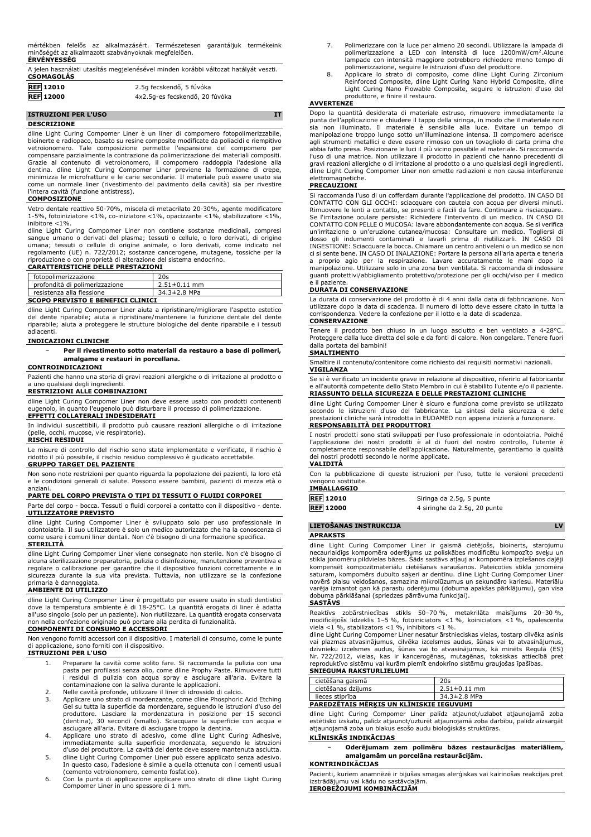mértékben felelős az alkalmazásért. Természetesen garantáljuk termékeink minőségét az alkalmazott szabványoknak megfelelően. **ÉRVÉNYESSÉG**

| A jelen használati utasítás megjelenésével minden korábbi változat hatályát veszti.<br><b>CSOMAGOLÁS</b> |                                |  |
|----------------------------------------------------------------------------------------------------------|--------------------------------|--|
| <b>REF</b> 12010                                                                                         | 2.5g fecskendő, 5 fúvóka       |  |
| <b>REF</b> 12000                                                                                         | 4x2.5g-es fecskendő, 20 fúvóka |  |

## **ISTRUZIONI PER L'USO IT DESCRIZIONE**

dline Light Curing Compomer Liner è un liner di compomero fotopolimerizzabile, bioinerte e radiopaco, basato su resine composite modificate da poliacidi e riempitivo vetroionomero. Tale composizione permette l'espansione del compomero per compensare parzialmente la contrazione da polimerizzazione dei materiali compositi. Grazie al contenuto di vetroionomero, il compomero raddoppia l'adesione alla dentina. dline Light Curing Compomer Liner previene la formazione di crepe, minimizza le microfratture e le carie secondarie. Il materiale può essere usato sia come un normale liner (rivestimento del pavimento della cavità) sia per rivestire l'intera cavità (funzione antistress).

#### **COMPOSIZIONE**

Vetro dentale reattivo 50-70%, miscela di metacrilato 20-30%, agente modificatore 1-5%, fotoiniziatore <1%, co-iniziatore <1%, opacizzante <1%, stabilizzatore <1%, inibitore <1%.

dline Light Curing Compomer Liner non contiene sostanze medicinali, compresi sangue umano o derivati del plasma; tessuti o cellule, o loro derivati, di origine umana; tessuti o cellule di origine animale, o loro derivati, come indicato nel regolamento (UE) n. 722/2012; sostanze cancerogene, mutagene, tossiche per la riproduzione o con proprietà di alterazione del sistema endocrino.

# **CARATTERISTICHE DELLE PRESTAZIONI**

|                                   | fotopolimerizzazione           | 20s                |
|-----------------------------------|--------------------------------|--------------------|
|                                   | profondità di polimerizzazione | $2.51 \pm 0.11$ mm |
|                                   | resistenza alla flessione      | 34.3±2.8 MPa       |
| CCODO DDEVICTO E DENEEICI CLINICI |                                |                    |

**SCOPO PREVISTO E BENEFICI CLINICI**

dline Light Curing Compomer Liner aiuta a ripristinare/migliorare l'aspetto estetico del dente riparabile; aiuta a ripristinare/mantenere la funzione dentale del dente riparabile; aiuta a proteggere le strutture biologiche del dente riparabile e i tessuti adiacenti.

#### **INDICAZIONI CLINICHE**

− **Per il rivestimento sotto materiali da restauro a base di polimeri, amalgame e restauri in porcellana.**

#### **CONTROINDICAZIONI**

Pazienti che hanno una storia di gravi reazioni allergiche o di irritazione al prodotto o a uno qualsiasi degli ingredienti.

#### **RESTRIZIONI ALLE COMBINAZIONI**

dline Light Curing Compomer Liner non deve essere usato con prodotti contenenti eugenolo, in quanto l'eugenolo può disturbare il processo di polimerizzazione. **EFFETTI COLLATERALI INDESIDERATI**

In individui suscettibili, il prodotto può causare reazioni allergiche o di irritazione (pelle, occhi, mucose, vie respiratorie).

## **RISCHI RESIDUI**

Le misure di controllo del rischio sono state implementate e verificate, il rischio è ridotto il più possibile, il rischio residuo complessivo è giudicato accettabile.

# **GRUPPO TARGET DEL PAZIENTE**

Non sono note restrizioni per quanto riguarda la popolazione dei pazienti, la loro età e le condizioni generali di salute. Possono essere bambini, pazienti di mezza età o anziani.

#### **PARTE DEL CORPO PREVISTA O TIPI DI TESSUTI O FLUIDI CORPOREI**

Parte del corpo - bocca. Tessuti o fluidi corporei a contatto con il dispositivo - dente. **UTILIZZATORE PREVISTO**

dline Light Curing Compomer Liner è sviluppato solo per uso professionale in odontoiatria. Il suo utilizzatore è solo un medico autorizzato che ha la conoscenza di odontoiatria. Il suo utilizzatore è solo un medico autorizzato che ha la conoscenza di come usare i comuni liner dentali. Non c'è bisogno di una formazione specifica. **STERILITÀ**

dline Light Curing Compomer Liner viene consegnato non sterile. Non c'è bisogno di alcuna sterilizzazione preparatoria, pulizia o disinfezione, manutenzione preventiva e regolare o calibrazione per garantire che il dispositivo funzioni correttamente e in sicurezza durante la sua vita prevista. Tuttavia, non utilizzare se la confezione primaria è danneggiata.

# **AMBIENTE DI UTILIZZO**

dline Light Curing Compomer Liner è progettato per essere usato in studi dentistici dove la temperatura ambiente è di 18-25°C. La quantità erogata di liner è adatta all'uso singolo (solo per un paziente). Non riutilizzare. La quantità erogata conservata non nella confezione originale può portare alla perdita di funzionalità.

#### **COMPONENTI DI CONSUMO E ACCESSORI**

Non vengono forniti accessori con il dispositivo. I materiali di consumo, come le punte di applicazione, sono forniti con il dispositivo.

# **ISTRUZIONI PER L'USO**

- 1. Preparare la cavità come solito fare. Si raccomanda la pulizia con una pasta per profilassi senza olio, come dline Prophy Paste. Rimuovere tutti i residui di pulizia con acqua spray e asciugare all'aria. Evitare la contaminazione con la saliva durante le applicazioni. 2. Nelle cavità profonde, utilizzare il liner di idrossido di calcio.
- 3. Applicare uno strato di mordenzante, come dline Phosphoric Acid Etching<br>Gel su tutta la superficie da mordenzare, seguendo le istruzioni d'uso del<br>produttore. Lasciare la mordenzatura in posizione per 15 secondi<br>(dentin asciugare all'aria. Evitare di asciugare troppo la dentina.
- 4. Applicare uno strato di adesivo, come dline Light Curing Adhesive, immediatamente sulla superficie mordenzata, seguendo le istruzioni d'uso del produttore. La cavità del dente deve essere mantenuta asciutta.
- 5. dline Light Curing Compomer Liner può essere applicato senza adesivo. In questo caso, l'adesione è simile a quella ottenuta con i cementi usuali (cemento vetroionomero, cemento fosfatico). 6. Con la punta di applicazione applicare uno strato di dline Light Curing
- Compomer Liner in uno spessore di 1 mm.
- 7. Polimerizzare con la luce per almeno 20 secondi. Utilizzare la lampada di polimerizzazione a LED con intensità di luce 1200mW/cm<sup>2</sup>.Alcune<br>lampade con intensità maggiore potrebbero richiedere meno tempo di polimerizzazione, seguire le istruzioni d'uso del produttore.
- 8. Applicare lo strato di composito, come dline Light Curing Zirconium Reinforced Composite, dline Light Curing Nano Hybrid Composite, dline Light Curing Nano Flowable Composite, seguire le istruzioni d'uso del produttore, e finire il restauro.

#### **AVVERTENZE**

Dopo la quantità desiderata di materiale estruso, rimuovere immediatamente la punta dell'applicazione e chiudere il tappo della siringa, in modo che il materiale non sia non illuminato. Il materiale è sensibile alla luce. Evitare un tempo di manipolazione troppo lungo sotto un'illuminazione intensa. Il compomero aderisce agli strumenti metallici e deve essere rimosso con un tovagliolo di carta prima che abbia fatto presa. Posizionare le luci il più vicino possibile al materiale. Si raccomanda l'uso di una matrice. Non utilizzare il prodotto in pazienti che hanno precedenti di gravi reazioni allergiche o di irritazione al prodotto o a uno qualsiasi degli ingredienti. dline Light Curing Compomer Liner non emette radiazioni e non causa interferenze elettromagnetiche.

#### **PRECAUZIONI**

Si raccomanda l'uso di un cofferdam durante l'applicazione del prodotto. IN CASO DI CONTATTO CON GLI OCCHI: sciacquare con cautela con acqua per diversi minuti. Rimuovere le lenti a contatto, se presenti e facili da fare. Continuare a risciacquare.<br>Se l'irritazione oculare persiste: Richiedere l'intervento di un medico. IN CASO DI<br>CONTATTO CON PELLE O MUCOSA: lavare abbondantement un'irritazione o un'eruzione cutanea/mucosa: Consultare un medico. Togliersi di dosso gli indumenti contaminati e lavarli prima di riutilizzarli. IN CASO DI INGESTIONE: Sciacquare la bocca. Chiamare un centro antiveleni o un medico se non ci si sente bene. IN CASO DI INALAZIONE: Portare la persona all'aria aperta e tenerla a proprio agio per la respirazione. Lavare accuratamente le mani dopo la manipolazione. Utilizzare solo in una zona ben ventilata. Si raccomanda di indossare guanti protettivi/abbigliamento protettivo/protezione per gli occhi/viso per il medico e il paziente.

#### **DURATA DI CONSERVAZIONE**

La durata di conservazione del prodotto è di 4 anni dalla data di fabbricazione. Non utilizzare dopo la data di scadenza. Il numero di lotto deve essere citato in tutta la corrispondenza. Vedere la confezione per il lotto e la data di scadenza. **CONSERVAZIONE**

Tenere il prodotto ben chiuso in un luogo asciutto e ben ventilato a 4-28°C. Proteggere dalla luce diretta del sole e da fonti di calore. Non congelare. Tenere fuori dalla portata dei bambini!

# **SMALTIMENTO**

Smaltire il contenuto/contenitore come richiesto dai requisiti normativi nazionali. **VIGILANZA**

Se si è verificato un incidente grave in relazione al dispositivo, riferirlo al fabbricante e all'autorità competente dello Stato Membro in cui è stabilito l'utente e/o il paziente. **RIASSUNTO DELLA SICUREZZA E DELLE PRESTAZIONI CLINICHE**

dline Light Curing Compomer Liner è sicuro e funziona come previsto se utilizzato secondo le istruzioni d'uso del fabbricante. La sintesi della sicurezza e delle prestazioni cliniche sarà introdotta in EUDAMED non appena inizierà a funzionare. **RESPONSABILITÀ DEI PRODUTTORI**

I nostri prodotti sono stati sviluppati per l'uso professionale in odontoiatria. Poiché l'applicazione dei nostri prodotti è al di fuori del nostro controllo, l'utente è completamente responsabile dell'applicazione. Naturalmente, garantiamo la qualità dei nostri prodotti secondo le norme applicate.

#### **VALIDITÀ**

Con la pubblicazione di queste istruzioni per l'uso, tutte le versioni precedenti vengono sostituite. **IMBALLAGGIO**

| <b>IMPALLAGGIU</b> |                              |
|--------------------|------------------------------|
| <b>REF</b> 12010   | Siringa da 2.5g, 5 punte     |
| <b>REF 12000</b>   | 4 siringhe da 2.5g, 20 punte |

### **LIETOŠANAS INSTRUKCIJA LV**

**APRAKSTS**

dline Light Curing Compomer Liner ir gaismā cietējošs, bioinerts, starojumu necaurlaidīgs kompomēra oderējums uz poliskābes modificētu kompozīto sveķu un stikla jonomēru pildvielas bāzes. Šāds sastāvs atļauj ar kompomēra izplešanos daļēji kompensēt kompozītmateriālu cietēšanas saraušanos. Pateicoties stikla jonomēra saturam, kompomērs dubulto saķeri ar dentīnu. dline Light Curing Compomer Liner novērš plaisu veidošanos, samazina mikrolūzumus un sekundāro kariesu. Materiālu varēja izmantot gan kā parastu oderējumu (dobuma apakšas pārklājumu), gan visa dobuma pārklāšanai (spriedzes pārrāvuma funkcijai).

### **SASTĀVS**

Reaktīvs zobārstniecības stikls 50–70 %, metakrilāta maisījums 20–30 %,<br>modificējošs līdzeklis 1–5 %, fotoiniciators <1 %, koiniciators <1 %, opalescenta<br>viela <1 %, stabilizators <1 %, inhibitors <1 %.

dline Light Curing Compomer Liner nesatur ārstnieciskas vielas, tostarp cilvēka asinis<br>vai plazmas atvasinājumus, cilvēka izcelsmes audus, šūnas vai to atvasinājumus,<br>dzīvnieku izcelsmes audus, šūnas vai to atvasinājumus, Nr. 722/2012, vielas, kas ir kancerogēnas, mutagēnas, toksiskas attiecībā pret<br>reproduktīvo sistēmu vai kurām piemīt endokrīno sistēmu graujošas īpašības.<br>**SNIEGUMA RAKSTURLIELUMI** 

| cietēšana gaismā   | 20s                |
|--------------------|--------------------|
| cietēšanas dzilums | $2.51 \pm 0.11$ mm |
| lieces stiprība    | 34.3±2.8 MPa       |

# **PAREDZĒTAIS MĒRĶIS UN KLĪNISKIE IEGUVUMI**

dline Light Curing Compomer Liner palīdz atjaunot/uzlabot atjaunojamā zoba estētisko izskatu, palīdz atjaunot/uzturēt atjaunojamā zoba darbību, palīdz aizsargāt atjaunojamā zoba un blakus esošo audu bioloģiskās struktūras.

# **KLĪNISKĀS INDIKĀCIJAS**

− **Oderējumam zem polimēru bāzes restaurācijas materiāliem, amalgamām un porcelāna restaurācijām.**

#### **KONTRINDIKĀCIJAS**

Pacienti, kuriem anamnēzē ir bijušas smagas alerģiskas vai kairinošas reakcijas pret izstrādājumu vai kādu no sastāvdaļām. **IEROBEŽOJUMI KOMBINĀCIJĀM**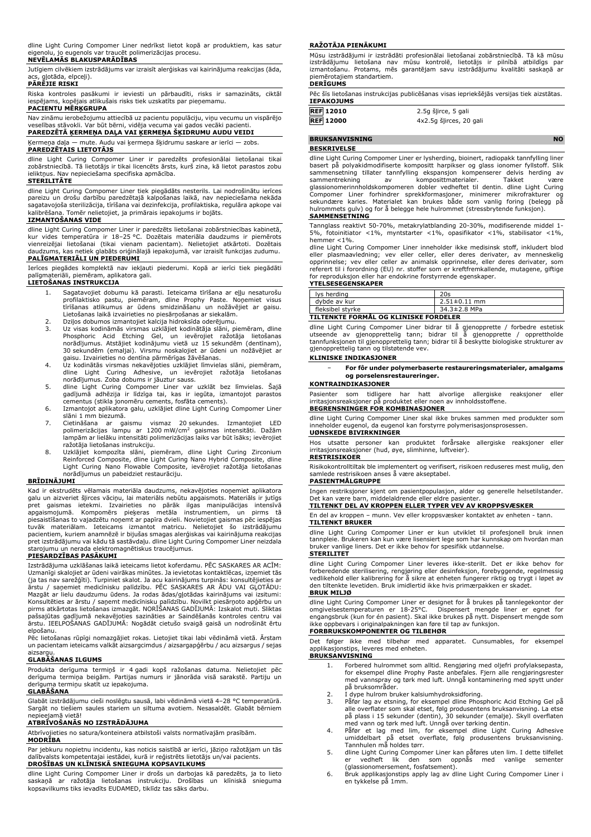dline Light Curing Compomer Liner nedrīkst lietot kopā ar produktiem, kas satur eigenolu, jo eugenols var traucēt polimerizācijas procesu.

#### **NEVĒLAMĀS BLAKUSPARĀDĪBAS**

Jutīgiem cilvēkiem izstrādājums var izraisīt alerģiskas vai kairinājuma reakcijas (āda, ,...<br>nlotāda, elpceļi).

# **PĀRĒJIE RISKI**

Riska kontroles pasākumi ir ieviesti un pārbaudīti, risks ir samazināts, ciktāl iespējams, kopējais atlikušais risks tiek uzskatīts par pieņemamu.

# **PACIENTU MĒRĶGRUPA**

Nav zināmu ierobežojumu attiecībā uz pacientu populāciju, viņu vecumu un vispārējo veselības stāvokli. Var būt bērni, vidēja vecuma vai gados vecāki pacienti. **PAREDZĒTĀ ĶERMEŅA DAĻA VAI ĶERMEŅA ŠĶIDRUMU AUDU VEIDI**

Ķermeņa daļa — mute. Audu vai ķermeņa šķidrumu saskare ar ierīci — zobs.

#### **PAREDZĒTAIS LIETOTĀJS**

dline Light Curing Compomer Liner ir paredzēts profesionālai lietošanai tikai zobārstniecībā. Tā lietotājs ir tikai licencēts ārsts, kurš zina, kā lietot parastos zobu ieliktņus. Nav nepieciešama specifiska apmācība.

#### **STERILITĀTE**

dline Light Curing Compomer Liner tiek piegādāts nesterils. Lai nodrošinātu ierīces pareizu un drošu darbību paredzētajā kalpošanas laikā, nav nepieciešama nekāda sagatavojoša sterilizācija, tīrīšana vai dezinfekcija, profilaktiska, regulāra apkope vai kalibrēšana. Tomēr nelietojiet, ja primārais iepakojums ir bojāts.

#### **IZMANTOŠANAS VIDE**

dline Light Curing Compomer Liner ir paredzēts lietošanai zobārstniecības kabinetā, kur vides temperatūra ir 18–25 °C. Dozētais materiāla daudzums ir piemērots vienreizējai lietošanai (tikai vienam pacientam). Nelietojiet atkārtoti. Dozētais daudzums, kas netiek glabāts oriģinālajā iepakojumā, var izraisīt funkcijas zudumu. **PALĪGMATERIĀLI UN PIEDERUMI**

Ierīces piegādes komplektā nav iekļauti piederumi. Kopā ar ierīci tiek piegādāti palīgmateriāli, piemēram, aplikatora gali.

#### **LIETOŠANAS INSTRUKCIJA**

- 1. Sagatavojiet dobumu kā parasti. Ieteicama tīrīšana ar eļļu nesaturošu profilaktisko pastu, piemēram, dline Prophy Paste. Noņemiet visus tīrīšanas atlikumus ar ūdens smidzināšanu un nožāvējiet ar gaisu. Lietošanas laikā izvairieties no piesārņošanas ar siekalām. 2. Dziļos dobumos izmantojiet kalcija hidroksīda oderējumu.
- 
- 3. Uz visas kodināmās virsmas uzklājiet kodinātāja slāni, piemēram, dline Phosphoric Acid Etching Gel, un ievērojiet ražotāja lietošanas norādījumus. Atstājiet kodinājumu vietā uz 15 sekundēm (dentīnam), 30 sekundēm (emaljai). Virsmu noskalojiet ar ūdeni un nožāvējiet ar gaisu. Izvairieties no dentīna pārmērīgas žāvēšanas.
- 4. Uz kodinātās virsmas nekavējoties uzklājiet līmvielas slāni, piemēram, dline Light Curing Adhesive, un ievērojiet ražotāja lietošanas norādījumus. Zoba dobums ir jāuztur sauss.
- 5. dline Light Curing Compomer Liner var uzklāt bez līmvielas. Šajā gadījumā adhēzija ir līdzīga tai, kas ir iegūta, izmantojot parastos cementus (stikla jonomēru cements, fosfāta cements).
- 6. Izmantojot aplikatora galu, uzklājiet dline Light Curing Compomer Liner slāni 1 mm biezumā.
- 7. Cietināšana ar gaismu vismaz 20 sekundes. Izmantojiet LED polimerizācijas lampu ar 1200 mW/cm<sup>2</sup> gaismas intensitāti. Dažām lampām ar lielāku intensitāti polimerizācijas laiks var būt īsāks; ievērojiet ražotāja lietošanas instrukciju.
- 8. Uzklājiet kompozīta slāni, piemēram, dline Light Curing Zirconium<br>Reinforced Composite, dline Light Curing Nano Hybrid Composite, dilne<br>Light Curing Nano Flowable Composite, ievērojiet ražotāja lietošanas norādījumus un pabeidziet restaurāciju.

#### **BRĪDINĀJUMI**

Kad ir ekstrudēts vēlamais materiāla daudzums, nekavējoties noņemiet aplikatora galu un aizveriet šļirces vāciņu, lai materiāls nebūtu apgaismots. Materiāls ir jutīgs<br>pret gaismas lietekmi. Izvairieties no pārāk ligas manipulācijas intensīvā<br>apgaismojumā. Kompomērs pieķeras metāla instrumentiem, un pi tuvāk materiālam. Ieteicams izmantot matricu. Nelietojiet šo izstrādājumu pacientiem, kuriem anamnēzē ir bijušas smagas alerģiskas vai kairinājuma reakcijas pret izstrādājumu vai kādu tā sastāvdaļu. dline Light Curing Compomer Liner neizdala starojumu un nerada elektromagnētiskus traucējumus.

#### **PIESARDZĪBAS PASĀKUMI**

Izstrādājuma uzklāšanas laikā ieteicams lietot koferdamu. PĒC SASKARES AR ACĪM: Uzmanīgi skalojiet ar ūdeni vairākas minūtes. Ja ievietotas kontaktlēcas, izņemiet tās (ja tas nav sarežģīti). Turpiniet skalot. Ja acu kairinājums turpinās: konsultējieties ar ārstu / saņemiet medicīnisku palīdzību. PĒC SASKARES AR ĀDU VAI GĻOTĀDU: Mazgāt ar lielu daudzumu ūdens. Ja rodas ādas/gļotādas kairinājums vai izsitumi: Konsultēties ar ārstu / saņemt medicīnisku palīdzību. Novilkt piesārņoto apģērbu un pirms atkārtotas lietošanas izmazgāt. NORĪŠANAS GADĪJUMĀ: Izskalot muti. Sliktas pašsajūtas gadījumā nekavējoties sazināties ar Saindēšanās kontroles centru vai ārstu. IEELPOŠANAS GADĪJUMĀ: Nogādāt cietušo svaigā gaisā un nodrošināt ērtu elpošanu.

Pēc lietošanas rūpīgi nomazgājiet rokas. Lietojiet tikai labi vēdināmā vietā. Ārstam un pacientam ieteicams valkāt aizsargcimdus / aizsargapģērbu / acu aizsargus / sejas aizsargu.

#### **GLABĀŠANAS ILGUMS**

Produkta derīguma termiņš ir 4 gadi kopš ražošanas datuma. Nelietojiet pēc derīguma termiņa beigām. Partijas numurs ir jānorāda visā sarakstē. Partiju un derīguma termiņu skatīt uz iepakojuma.

### **GLABĀŠANA**

Glabāt izstrādājumu cieši noslēgtu sausā, labi vēdināmā vietā 4–28 °C temperatūrā. Sargāt no tiešiem saules stariem un siltuma avotiem. Nesasaldēt. Glabāt bērniem nepieejamā vietā!

#### **ATBRĪVOŠANĀS NO IZSTRĀDĀJUMA**

Atbrīvojieties no satura/konteinera atbilstoši valsts normatīvajām prasībām.

**MODRĪBA**

Par jebkuru nopietnu incidentu, kas noticis saistībā ar ierīci, jāziņo ražotājam un tās dalībvalsts kompetentajai iestādei, kurā ir reģistrēts lietotājs un/vai pacients. **DROŠĪBAS UN KLĪNISKĀ SNIEGUMA KOPSAVILKUMS**

dline Light Curing Compomer Liner ir drošs un darbojas kā paredzēts, ja to lieto saskaņā ar ražotāja lietošanas instrukciju. Drošības un klīniskā snieguma kopsavilkums tiks ievadīts EUDAMED, tiklīdz tas sāks darbu.

#### **RAŽOTĀJA PIENĀKUMI**

Mūsu izstrādājumi ir izstrādāti profesionālai lietošanai zobārstniecībā. Tā kā mūsu izstrādājumu lietošana nav mūsu kontrolē, lietotājs ir pilnībā atbildīgs par izmantošanu. Protams, mēs garantējam savu izstrādājumu kvalitāti saskaņā ar piemērotajiem standartiem. **DERĪGUMS**

|                   | Pēc šīs lietošanas instrukcijas publicēšanas visas iepriekšējās versijas tiek aizstātas. |                      |  |  |
|-------------------|------------------------------------------------------------------------------------------|----------------------|--|--|
| <b>IEPAKOJUMS</b> |                                                                                          |                      |  |  |
| <b>DEE 12010</b>  |                                                                                          | 2 Eq člirog - Elgali |  |  |

| REF 12010        | 2.5g stirce, 5 gali     |
|------------------|-------------------------|
| <b>REF 12000</b> | 4x2.5q šlirces, 20 gali |
|                  |                         |

#### **BRUKSANVISNING NO BESKRIVELSE**

dline Light Curing Compomer Liner er lysherding, bioinert, radiopakk tannfylling liner basert på polyakidmodifiserte kompositt harpikser og glass ionomer fyllstoff. Slik sammensetning tillater tannfylling ekspansjon kompenserer delvis herding av sammentrekning av komposittmaterialer. Takket være glassionomerinnholdskompomeren dobler vedheftet til dentin. dline Light Curing Compomer Liner forhindrer sprekkformasjoner, minimerer mikrofrakturer og sekundære karies. Materialet kan brukes både som vanlig foring (belegg på hulrommets gulv) og for å belegge hele hulrommet (stressbrytende funksjon). **SAMMENSETNING**

Tannglass reaktivt 50-70%, metakrylatblanding 20-30%, modifiserende middel 1- 5%, fotoinitiator <1%, myntstarter <1%, opasifikator <1%, stabilisator <1%, hemmer <1%.

dline Light Curing Compomer Liner inneholder ikke medisinsk stoff, inkludert blod eller plasmaavledning; vev eller celler, eller deres derivater, av menneskelig<br>opprinnelse; vev eller celler av animalsk opprinnelse, eller deres derivater, som<br>referert til i forordning (EU) nr. stoffer som er kreftfremka

#### **YTELSESEGENSKAPER**

| lys herding                           | 20s                |  |
|---------------------------------------|--------------------|--|
| dybde av kur                          | $2.51 \pm 0.11$ mm |  |
| fleksibel styrke                      | 34.3±2.8 MPa       |  |
| TILTENKTE FORMÅL OG KLINISKE FORDELER |                    |  |

dline Light Curing Compomer Liner bidrar til å gjenopprette / forbedre estetisk<br>utseende av gjenopprettelig tann; bidrar til å gjenopprette / opprettholde<br>tannfunksjonen til gjenopprettelig tann; bidrar til å beskytte biol gjenopprettelig tann og tilstøtende vev.

## **KLINISKE INDIKASJONER**

− **For fôr under polymerbaserte restaureringsmaterialer, amalgams og porselensrestaureringer.**

#### **KONTRAINDIKASJONER**

Pasienter som tidligere har hatt alvorlige allergiske reaksjoner eller irritasjonsreaksjoner på produktet eller noen av innholdsstoffene. **BEGRENSNINGER FOR KOMBINASJONER**

dline Light Curing Compomer Liner skal ikke brukes sammen med produkter som inneholder eugenol, da eugenol kan forstyrre polymerisasjonsprosessen. **UØNSKEDE BIVIRKNINGER**

Hos utsatte personer kan produktet forårsake allergiske reaksjoner eller irritasjonsreaksjoner (hud, øye, slimhinne, luftveier). **RESTRISIKOER**

Risikokontrolltiltak ble implementert og verifisert, risikoen reduseres mest mulig, den samlede restrisikoen anses å være akseptabel.

**PASIENTMÅLGRUPPE**

Ingen restriksjoner kjent om pasientpopulasjon, alder og generelle helsetilstander. Det kan være barn, middelaldrende eller eldre pasienter. **TILTENKT DEL AV KROPPEN ELLER TYPER VEV AV KROPPSVÆSKER**

En del av kroppen – munn. Vev eller kroppsvæsker kontaktet av enheten - tann. **TILTENKT BRUKER**

dline Light Curing Compomer Liner er kun utviklet til profesjonell bruk innen tannpleie. Brukeren kan kun være lisensiert lege som har kunnskap om hvordan man bruker vanlige liners. Det er ikke behov for spesifikk utdannelse.

#### **STERILITET**

dline Light Curing Compomer Liner leveres ikke-sterilt. Det er ikke behov for forberedende sterilisering, rengjøring eller desinfeksjon, forebyggende, regelmessig vedlikehold eller kalibrering for å sikre at enheten fungerer riktig og trygt i løpet av den tiltenkte levetiden. Bruk imidlertid ikke hvis primærpakken er skadet. **BRUK MILJØ**

dline Light Curing Compomer Liner er designet for å brukes på tannlegekontor der omgivelsestemperaturen er 18-25°C. Dispensert mengde liner er egnet for engangsbruk (kun for én pasient). Skal ikke brukes på nytt. Dispensert mengde som ikke oppbevars i originalpakningen kan føre til tap av funksjon. **FORBRUKSKOMPONENTER OG TILBEHØR**

Det følger ikke med tilbehør med apparatet. Cunsumables, for eksempel applikasjonstips, leveres med enheten.

# **BRUKSANVISNING**

- 1. Forbered hulrommet som alltid. Rengjøring med oljefri profylaksepasta, for eksempel dline Prophy Paste anbefales. Fjern alle rengjøringsrester med vannspray og tørk med luft. Unngå kontaminering med spytt under på bruksområder.
- 2. I dype hulrom bruker kalsiumhydroksidforing.<br>3. Påfør lag av etsning, for eksempel dline Phos
- 3. Påfør lag av etsning, for eksempel dline Phosphoric Acid Etching Gel på alle overflater som skal etset, følg produsentens bruksanvisning. La etse
- på plass i 15 sekunder (dentin), 30 sekunder (emalje). Skyll overflaten<br>med vann og tørk med luft. Unngå over tørking dentin.<br>4. Påfør et lag med lim, for eksempel dline Light Curing Adhesive<br>umiddelbart på etset overflate
- 5. dline Light Curing Compomer Liner kan påføres uten lim. I dette tilfellet er vedheft lik den som oppnås med vanlige sementer (glassionomersement, fosfatsement).
- 6. Bruk applikasjonstips apply lag av dline Light Curing Compomer Liner i en tykkelse på 1mm.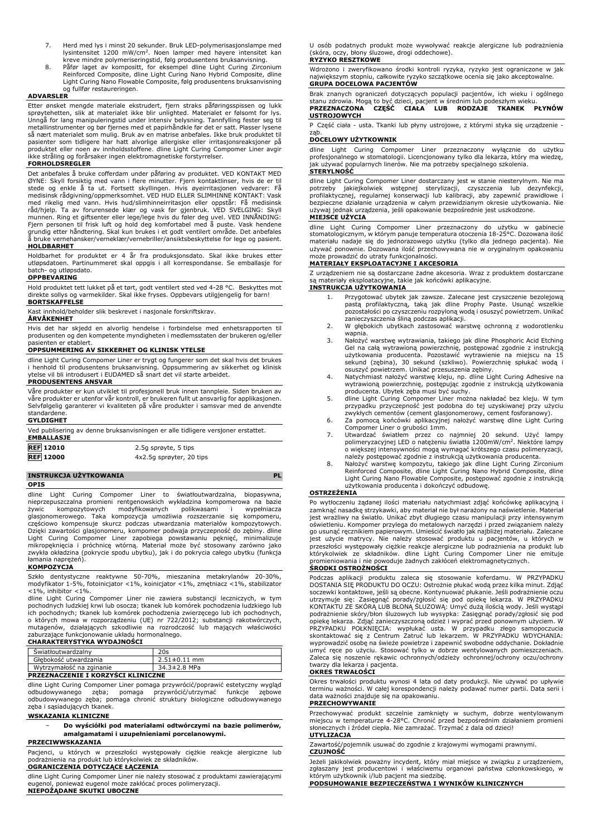- 7. Herd med lys i minst 20 sekunder. Bruk LED-polymerisasjonslampe med lysintensitet 1200 mW/cm<sup>2</sup>. Noen lamper med høyere intensitet kan kreve mindre polymeriseringstid, følg produsentens bruksanvisning.
- 8. Påfør laget av kompositt, for eksempel dline Light Curing Zirconium Reinforced Composite, dline Light Curing Nano Hybrid Composite, dline Light Curing Nano Flowable Composite, følg produsentens bruksanvisning og fullfør restaureringen.

#### **ADVARSLER**

Etter ønsket mengde materiale ekstrudert, fjern straks påføringsspissen og lukk sprøytehetten, slik at materialet ikke blir unlighted. Materialet er følsomt for lys.<br>Unngå for lang manipuleringstid under intensiv belysning. Tannfylling fester seg til<br>metallinstrumenter og bør fjernes med et papirhåndk ikke stråling og forårsaker ingen elektromagnetiske forstyrrelser.

#### **FORHOLDSREGLER**

Det anbefales å bruke cofferdam under påføring av produktet. VED KONTAKT MED ØYNE: Skyll forsiktig med vann i flere minutter. Fjern kontaktlinser, hvis de er til stede og enkle å ta ut. Fortsett skyllingen. Hvis øyeirritasjonen vedvarer: Få medisinsk rådgivning/oppmerksomhet. VED HUD ELLER SLIMHINNE KONTAKT: Vask med rikelig med vann. Hvis hud/slimhinneirritasjon eller oppstår: Få medisinsk<br>råd/hjelp. Ta av forurensede klær og vask før gjenbruk. VED SVELGING: Skyll<br>munnen. Ring et giftsenter eller lege/lege hvis du føler deg uvel. å bruke vernehansker/verneklær/vernebriller/ansiktsbeskyttelse for lege og pasient. **HOLDBARHET**

Holdbarhet for produktet er 4 år fra produksjonsdato. Skal ikke brukes etter utløpsdatoen. Partinummeret skal oppgis i all korrespondanse. Se emballasje for batch- og utløpsdato.

#### **OPPBEVARING**

Hold produktet tett lukket på et tørt, godt ventilert sted ved 4-28 °C. Beskyttes mot direkte sollys og varmekilder. Skal ikke fryses. Oppbevars utilgjengelig for barn! **BORTSKAFFELSE**

# Kast innhold/beholder slik beskrevet i nasjonale forskriftskrav.

#### **ÅRVÅKENHET**

Hvis det har skjedd en alvorlig hendelse i forbindelse med enhetsrapporten til produsenten og den kompetente myndigheten i medlemsstaten der brukeren og/eller pasienten er etablert.

#### **OPPSUMMERING AV SIKKERHET OG KLINISK YTELSE**

dline Light Curing Compomer Liner er trygt og fungerer som det skal hvis det brukes i henhold til produsentens bruksanvisning. Oppsummering av sikkerhet og klinisk ytelse vil bli introdusert i EUDAMED så snart det vil starte arbeidet. **PRODUSENTENS ANSVAR**

Våre produkter er kun utviklet til profesjonell bruk innen tannpleie. Siden bruken av våre produkter er utenfor vår kontroll, er brukeren fullt ut ansvarlig for applikasjonen. Selvfølgelig garanterer vi kvaliteten på våre produkter i samsvar med de anvendte standardene.

## **GYLDIGHET**

| Ved publisering av denne bruksanvisningen er alle tidligere versjoner erstattet. |  |
|----------------------------------------------------------------------------------|--|
| <b>EMBALLASJE</b>                                                                |  |

| <b>REF 12010</b> | 2.5g sprøyte, 5 tips     |
|------------------|--------------------------|
| <b>REF</b> 12000 | 4x2.5g sprøyter, 20 tips |

## **INSTRUKCJA UŻYTKOWANIA PL**

#### **OPIS**

dline Light Curing Compomer Liner to światłoutwardzalna, biopasywna, nieprzepuszczalna promieni rentgenowskich wykładzina kompomerowa na bazie żywic kompozytowych modyfikowanych polikwasami i wypełniacza glasjonomerowego. Taka kompozycja umożliwia rozszerzanie się kompomeru, częściowo kompensuje skurcz podczas utwardzania materiałów kompozytowych. Dzięki zawartości glasjonomeru, kompomer podwaja przyczepność do zębiny. dline Light Curing Compomer Liner zapobiega powstawaniu pęknięć, minimalizuje<br>mikropęknięcia i próchnicę wtórną. Materiał może być stosowany zarówno jako<br>zwykła-okładzina (pokrycie-spodu-ubytku), jak i do-pokrycia-całego-ubytku łamania naprężeń).

#### **KOMPOZYCJA**

Szkło dentystyczne reaktywne 50-70%, mieszanina metakrylanów 20-30%, modyfikator 1-5%, fotoinicjator <1%, koinicjator <1%, zmętniacz <1%, stabilizator  $<$ 1%, inhibitor  $<$ 1%.

dline Light Curing Compomer Liner nie zawiera substancji leczniczych, w tym pochodnych ludzkiej krwi lub osocza; tkanek lub komórek pochodzenia ludzkiego lub<br>ich pochodnych; tkanek lub komórek pochodzenia zwierzęcego lub ich pochodnych,<br>o których mowa w rozporządzeniu (UE) nr 722/2012; substancji mutagenów, działających szkodliwie na rozrodczość lub mających właściwości zaburzające funkcjonowanie układu hormonalnego. **CHARAKTERYSTYKA WYDAJNOŚCI**

|                                           | Swiatłoutwardzalny       | 20s                |
|-------------------------------------------|--------------------------|--------------------|
|                                           | Głebokość utwardzania    | $2.51 \pm 0.11$ mm |
|                                           | Wytrzymałość na zginanie | 34.3±2.8 MPa       |
| <b>PRZEZNACZENIE I KORZYŚCI KLINICZNE</b> |                          |                    |

dline Light Curing Compomer Liner pomaga przywrócić/poprawić estetyczny wygląd odbudowywanego zęba; pomaga przywrócić/utrzymać funkcje zębowe odbudowywanego zęba; pomaga chronić struktury biologiczne odbudowywanego zęba i sąsiadujących tkanek.

## **WSKAZANIA KLINICZNE**

#### − **Do wyściółki pod materiałami odtwórczymi na bazie polimerów, amalgamatami i uzupełnieniami porcelanowymi. PRZECIWWSKAZANIA**

Pacjenci, u których w przeszłości występowały ciężkie reakcje alergiczne lub podrażnienia na produkt lub którykolwiek ze składników.

**OGRANICZENIA DOTYCZĄCE ŁĄCZENIA**

dline Light Curing Compomer Liner nie należy stosować z produktami zawierającymi eugenol, ponieważ eugenol może zakłócać proces polimeryzacji. **NIEPOŻĄDANE SKUTKI UBOCZNE**

U osób podatnych produkt może wywoływać reakcje alergiczne lub podrażnienia (skóra, oczy, błony śluzowe, drogi oddechowe). **RYZYKO RESZTKOWE**

#### Wdrożono i zweryfikowano środki kontroli ryzyka, ryzyko jest ograniczone w jak największym stopniu, całkowite ryzyko szczątkowe ocenia się jako akceptowalne. **GRUPA DOCELOWA PACJENTÓW**

Brak znanych ograniczeń dotyczących populacji pacjentów, ich wieku i ogólnego stanu zdrowia. Mogą to być dzieci, pacjent w średnim lub podeszłym wieku. **PRZEZNACZONA CZĘŚĆ CIAŁA LUB RODZAJE TKANEK PŁYNÓW USTROJOWYCH**

P Część ciała - usta. Tkanki lub płyny ustrojowe, z którymi styka się urządzenie ząb.

#### **DOCELOWY UŻYTKOWNIK**

dline Light Curing Compomer Liner przeznaczony wyłącznie do użytku<br>profesjonalnego w stomatologii. Licencjonowany tylko dla lekarza, który ma wiedzę,<br>jak używać popularnych linerów. Nie ma potrzeby specjalnego szkolenia.

#### **STERYLNOŚĆ**

dline Light Curing Compomer Liner dostarczany jest w stanie niesterylnym. Nie ma potrzeby jakiejkolwiek wstępnej sterylizacji, czyszczenia lub dezynfekcji, profilaktycznej, regularnej konserwacji lub kalibracji, aby zapewnić prawidłowe i bezpieczne działanie urządzenia w całym przewidzianym okresie użytkowania. Nie używaj jednak urządzenia, jeśli opakowanie bezpośrednie jest uszkodzone.

#### **MIEJSCE UŻYCIA**

dline Light Curing Compomer Liner przeznaczony do użytku w gabinecie stomatologicznym, w którym panuje temperatura otoczenia 18-25°C. Dozowana ilość materiału nadaje się do jednorazowego użytku (tylko dla jednego pacjenta). Nie używać ponownie. Dozowana ilość przechowywana nie w oryginalnym opakowaniu prowadzić do utraty funkcjonalności.

# **MATERIAŁY EKSPLOATACYJNE I AKCESORIA**

Z urządzeniem nie są dostarczane żadne akcesoria. Wraz z produktem dostarczane są materiały eksploatacyjne, takie jak końcówki aplikacyjne. **INSTRUKCJA UŻYTKOWANIA**

# 1. Przygotować ubytek jak zawsze. Zalecane jest czyszczenie bezolejową pastą profilaktyczną, taką jak dline Prophy Paste. Usunąć wszelkie pozostałości po czyszczeniu rozpyloną wodą i osuszyć powietrzem. Unikać

- zanieczyszczenia śliną podczas aplikacji. 2. W głębokich ubytkach zastosować warstwę ochronną z wodorotlenku wapnia.
- 3. Nałożyć warstwę wytrawiania, takiego jak dline Phosphoric Acid Etching Gel na całą wytrawioną powierzchnię, postępować zgodnie z instrukcją użytkowania producenta. Pozostawić wytrawienie na miejscu na 15 sekund (zębina), 30 sekund (szkliwo). Powierzchnię spłukać wodą i
- osuszyć powietrzem. Unikać przesuszenia zębiny. 4. Natychmiast nałożyć warstwę kleju, np. dline Light Curing Adhesive na wytrawioną powierzchnię, postępując zgodnie z instrukcją użytkowania producenta. Ubytek zęba musi być suchy.
- 5. dline Light Curing Compomer Liner można nakładać bez kleju. W tym przypadku przyczepność jest podobna do tej uzyskiwanej przy użyciu zwykłych cementów (cement glasjonomerowy, cement fosforanowy).
- 6. Za pomocą końcówki aplikacyjnej nałożyć warstwę dline Light Curing Compomer Liner o grubości 1mm.
- 7. Utwardzać światłem przez co najmniej 20 sekund. Użyć lampy polimeryzacyjnej LED o natężeniu światła 1200mW/cm<sup>2</sup> . Niektóre lampy o większej intensywności mogą wymagać krótszego czasu polimeryzacji, należy postępować zgodnie z instrukcją użytkowania producenta.
- 8. Nałożyć warstwę kompozytu, takiego jak dline Light Curing Zirconium Reinforced Composite, dline Light Curing Nano Hybrid Composite, dline Light Curing Nano Flowable Composite, postępować zgodnie z instrukcją użytkowania producenta i dokończyć odbudowę.

#### **OSTRZEŻENIA**

Po wytłoczeniu żądanej ilości materiału natychmiast zdjąć końcówkę aplikacyjną i zamknąć nasadkę strzykawki, aby materiał nie był narażony na naświetlenie. Materiał jest wrażliwy na światło. Unikać zbyt długiego czasu manipulacji przy intensywnym oświetleniu. Kompomer przylega do metalowych narzędzi i przed związaniem należy<br>go usunąć ręcznikiem papierowym. Umieścić światło jak najbliżej materiału. Zalecane<br>jest użycie matrycy. Nie należy stosować produktu u przeszłości występowały ciężkie reakcje alergiczne lub podrażnienia na produkt lub którykolwiek ze składników. dline Light Curing Compomer Liner nie emituje promieniowania i nie powoduje żadnych zakłóceń elektromagnetycznych.

# **ŚRODKI OSTROŻNOŚCI**

Podczas aplikacji produktu zaleca się stosowanie koferdamu. W PRZYPADKU DOSTANIA SIĘ PRODUKTU DO OCZU: Ostrożnie płukać wodą przez kilka minut. Zdjąć soczewki kontaktowe, jeśli są obecne. Kontynuować płukanie. Jeśli podrażnienie oczu<br>utrzymuje się: Zasięgnąć porady/zgłosić się pod opiekę lekarza. W PRZYPADKU<br>KONTAKTU ZE SKÓRĄ LUB BŁONĄ SLUZOWĄ: Umyć dużą ilością wody. J opiekę lekarza. Zdjąć zanieczyszczoną odzież i wyprać przed ponownym użyciem. W PRZYPADKU POŁKNIĘCIA: wypłukać usta. W przypadku złego samopoczucia skontaktować się z Centrum Zatruć lub lekarzem. W PRZYPADKU WDYCHANIA: wyprowadzić osobę na świeże powietrze i zapewnić swobodne oddychanie. Dokładnie umyć ręce po użyciu. Stosować tylko w dobrze wentylowanych pomieszczeniach. Zaleca się noszenie rękawic ochronnych/odzieży ochronnej/ochrony oczu/ochrony twarzy dla lekarza i pacjenta.

# **OKRES TRWAŁOŚCI**

Okres trwałości produktu wynosi 4 lata od daty produkcji. Nie używać po upływie terminu ważności. W całej korespondencji należy podawać numer partii. Data serii i data ważności znajduje się na opakowaniu.

### **PRZECHOWYWANIE**

Przechowywać produkt szczelnie zamknięty w suchym, dobrze wentylowanym miejscu w temperaturze 4-28°C. Chronić przed bezpośrednim działaniem promieni słonecznych i źródeł ciepła. Nie zamrażać. Trzymać z dala od dzieci! **UTYLIZACJA**

# Zawartość/pojemnik usuwać do zgodnie z krajowymi wymogami prawnymi.

**CZUJNOŚĆ**

Jeżeli jakikolwiek poważny incydent, który miał miejsce w związku z urządzeniem, zgłaszany jest producentowi i właściwemu organowi państwa członkowskiego, w którym użytkownik i/lub pacjent ma siedzibę.

**PODSUMOWANIE BEZPIECZEŃSTWA I WYNIKÓW KLINICZNYCH**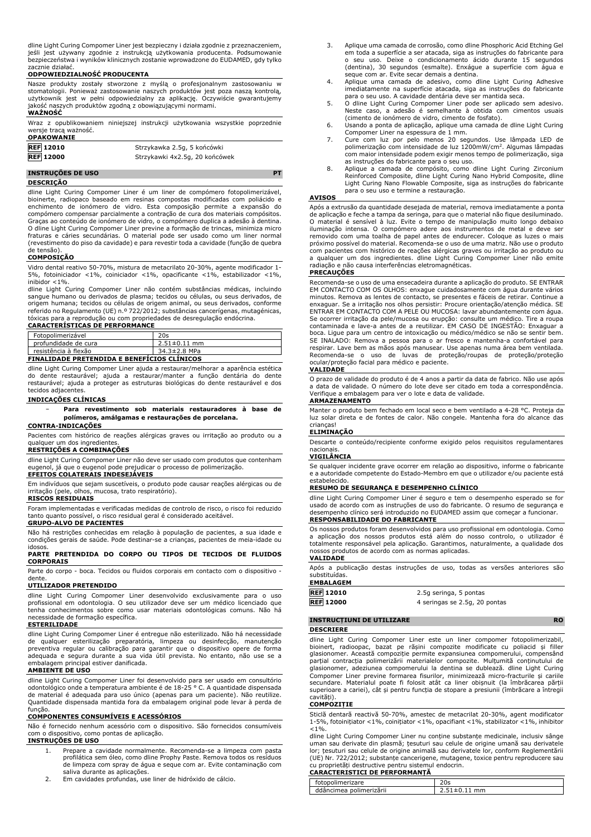dline Light Curing Compomer Liner jest bezpieczny i działa zgodnie z przeznaczeniem, jeśli jest używany zgodnie z instrukcją użytkowania producenta. Podsumowanie bezpieczeństwa i wyników klinicznych zostanie wprowadzone do EUDAMED, gdy tylko zacznie działać.

#### **ODPOWIEDZIALNOŚĆ PRODUCENTA**

Nasze produkty zostały stworzone z myślą o profesjonalnym zastosowaniu w stomatologii. Ponieważ zastosowanie naszych produktów jest poza naszą kontrolą, użytkownik jest w pełni odpowiedzialny za aplikację. Oczywiście gwarantujemy jakość naszych produktów zgodną z obowiązującymi normami.

# **WAŻNOŚĆ**

Wraz z opublikowaniem niniejszej instrukcji użytkowania wszystkie poprzednie wersje tracą ważność. **OPAKOWANIE**

| <b>UFARVWANIL</b> |                                |
|-------------------|--------------------------------|
| <b>REF 12010</b>  | Strzykawka 2.5g, 5 końcówki    |
| <b>REF 12000</b>  | Strzykawki 4x2.5g, 20 końcówek |

#### **INSTRUÇÕES DE USO PT DESCRIÇÃO**

dline Light Curing Compomer Liner é um liner de compómero fotopolimerizável, bioinerte, radiopaco baseado em resinas compostas modificadas com poliácido e enchimento de ionómero de vidro. Esta composição permite a expansão do compómero compensar parcialmente a contração de cura dos materiais compósitos. Graças ao conteúdo de ionómero de vidro, o compómero duplica a adesão à dentina. O dline Light Curing Compomer Liner previne a formação de trincas, minimiza micro<br>fraturas e cáries secundárias. O material pode ser usado como um liner normal<br>(revestimento do piso da cavidade) e para revestir toda a cavi de tensão).

#### **COMPOSIÇÃO**

Vidro dental reativo 50-70%, mistura de metacrilato 20-30%, agente modificador 1- 5%, fotoiniciador <1%, coiniciador <1%, opacificante <1%, estabilizador <1%, inibidor  $<$  1%.

dline Light Curing Compomer Liner não contém substâncias médicas, incluindo sangue humano ou derivados de plasma; tecidos ou células, ou seus derivados, de origem humana; tecidos ou células de origem animal, ou seus derivados, conforme referido no Regulamento (UE) n.º 722/2012; substâncias cancerígenas, mutagénicas, tóxicas para a reprodução ou com propriedades de desregulação endócrina.

#### **CARACTERÍSTICAS DE PERFORMANCE**

| Fotopolimerizável                                  | 20s                |
|----------------------------------------------------|--------------------|
| profundidade de cura                               | $2.51 \pm 0.11$ mm |
| resistência à flexão                               | 34.3±2.8 MPa       |
| <b>FINALIDADE PRETENDIDA E BENEFICIOS CLINICOS</b> |                    |

dline Light Curing Compomer Liner ajuda a restaurar/melhorar a aparência estética do dente restaurável; ajuda a restaurar/manter a função dentária do dente restaurável; ajuda a proteger as estruturas biológicas do dente restaurável e dos tecidos adjacentes.

#### **INDICAÇÕES CLÍNICAS**

− **Para revestimento sob materiais restauradores à base de polímeros, amálgamas e restaurações de porcelana.**

# **CONTRA-INDICAÇÕES**

Pacientes com histórico de reações alérgicas graves ou irritação ao produto ou a qualquer um dos ingredientes

#### **RESTRIÇÕES A COMBINAÇÕES**

dline Light Curing Compomer Liner não deve ser usado com produtos que contenham eugenol, já que o eugenol pode prejudicar o processo de polimerização.

# **EFEITOS COLATERAIS INDESEJÁVEIS**

Em indivíduos que sejam suscetíveis, o produto pode causar reações alérgicas ou de irritação (pele, olhos, mucosa, trato respiratório). **RISCOS RESIDUAIS**

Foram implementadas e verificadas medidas de controlo de risco, o risco foi reduzido tanto quanto possível, o risco residual geral é considerado aceitável.

# **GRUPO-ALVO DE PACIENTES**

Não há restrições conhecidas em relação à população de pacientes, a sua idade e condições gerais de saúde. Pode destinar-se a crianças, pacientes de meia-idade ou idosos.

# **PARTE PRETENDIDA DO CORPO OU TIPOS DE TECIDOS DE FLUIDOS CORPORAIS**

Parte do corpo - boca. Tecidos ou fluidos corporais em contacto com o dispositivo dente.

# **UTILIZADOR PRETENDIDO**

dline Light Curing Compomer Liner desenvolvido exclusivamente para o uso profissional em odontologia. O seu utilizador deve ser um médico licenciado que tenha conhecimentos sobre como usar materiais odontológicas comuns. Não há necessidade de formação específica.

#### **ESTERILIDADE**

dline Light Curing Compomer Liner é entregue não esterilizado. Não há necessidade<br>de qualquer esterilização preparatória, limpeza ou desinfecção, manutenção<br>preventiva regular ou calibração para garantir que o dispositivo embalagem principal estiver danificada. **AMBIENTE DE USO**

dline Light Curing Compomer Liner foi desenvolvido para ser usado em consultório odontológico onde a temperatura ambiente é de 18-25 ° C. A quantidade dispensada de material é adequada para uso único (apenas para um paciente). Não reutilize. Quantidade dispensada mantida fora da embalagem original pode levar à perda de função.

### **COMPONENTES CONSUMÍVEIS E ACESSÓRIOS**

Não é fornecido nenhum acessório com o dispositivo. São fornecidos consumíveis com o dispositivo, como pontas de aplicação.

# **INSTRUÇÕES DE USO**

- 1. Prepare a cavidade normalmente. Recomenda-se a limpeza com pasta profilática sem óleo, como dline Prophy Paste. Remova todos os resíduos de limpeza com spray de água e seque com ar. Evite contaminação com saliva durante as aplicações.
- 2. Em cavidades profundas, use liner de hidróxido de cálcio.
- 3. Aplique uma camada de corrosão, como dline Phosphoric Acid Etching Gel em toda a superfície a ser atacada, siga as instruções do fabricante para o seu uso. Deixe o condicionamento ácido durante 15 segundos (dentina), 30 segundos (esmalte). Enxágue a superfície com água e seque com ar. Evite secar demais a dentina.
- 4. Aplique uma camada de adesivo, como dline Light Curing Adhesive imediatamente na superfície atacada, siga as instruções do fabricante
- para o seu uso. A cavidade dentária deve ser mantida seca. 5. O dline Light Curing Compomer Liner pode ser aplicado sem adesivo. Neste caso, a adesão é semelhante à obtida com cimentos usuais (cimento de ionómero de vidro, cimento de fosfato).
- 6. Usando a ponta de aplicação, aplique uma camada de dline Light Curing
- Compomer Liner na espessura de 1 mm. 7. Cure com luz por pelo menos 20 segundos. Use lâmpada LED de polimerização com intensidade de luz 1200mW/cm<sup>2</sup> . Algumas lâmpadas com maior intensidade podem exigir menos tempo de polimerização, siga
- as instruções do fabricante para o seu uso. 8. Aplique a camada de compósito, como dline Light Curing Zirconium Reinforced Composite, dline Light Curing Nano Hybrid Composite, dline Light Curing Nano Flowable Composite, siga as instruções do fabricante para o seu uso e termine a restauração.

## **AVISOS**

Após a extrusão da quantidade desejada de material, remova imediatamente a ponta de aplicação e feche a tampa da seringa, para que o material não fique desiluminado. O material é sensivel à luz. Evite o tempo de manipulação muito longo debaixo<br>iluminação intensa. O compómero adere aos instrumentos de metal e deve ser<br>removido com um a toalha de papel antes de endurecer. Coloque as luze radiação e não causa interferências eletromagnéticas.

#### **PRECAUÇÕES**

Recomenda-se o uso de uma ensecadeira durante a aplicação do produto. SE ENTRAR EM CONTACTO COM OS OLHOS: enxague cuidadosamente com água durante vários minutos. Remova as lentes de contacto, se presentes e fáceis de retirar. Continue a enxaguar. Se a irritação nos olhos persistir: Procure orientação/atenção médica. SE ENTRAR EM CONTACTO COM A PELE OU MUCOSA: lavar abundantemente com água. Se ocorrer irritação da pele/mucosa ou erupção: consulte um médico. Tire a roupa contaminada e lave-a antes de a reutilizar. EM CASO DE INGESTÃO: Enxaguar a boca. Ligue para um centro de intoxicação ou médico/médico se não se sentir bem. SE INALADO: Remova a pessoa para o ar fresco e mantenha-a confortável para respirar. Lave bem as mãos após manusear. Use apenas numa área bem ventilada. Recomenda-se o uso de luvas de proteção/roupas de proteção/proteção ocular/proteção facial para médico e paciente.

#### **VALIDADE**

O prazo de validade do produto é de 4 anos a partir da data de fabrico. Não use após a data de validade. O número do lote deve ser citado em toda a correspondência. Verifique a embalagem para ver o lote e data de validade.

#### **ARMAZENAMENTO**

Manter o produto bem fechado em local seco e bem ventilado a 4-28 °C. Proteja da luz solar direta e de fontes de calor. Não congele. Mantenha fora do alcance das crianças!

## **ELIMINAÇÃO**

Descarte o conteúdo/recipiente conforme exigido pelos requisitos regulamentares nacionais.

## **VIGILÂNCIA**

Se qualquer incidente grave ocorrer em relação ao dispositivo, informe o fabricante e a autoridade competente do Estado-Membro em que o utilizador e/ou paciente está estabelecido.

#### **RESUMO DE SEGURANÇA E DESEMPENHO CLÍNICO**

dline Light Curing Compomer Liner é seguro e tem o desempenho esperado se for usado de acordo com as instruções de uso do fabricante. O resumo de segurança e desempenho clínico será introduzido no EUDAMED assim que começar a funcionar. **RESPONSABILIDADE DO FABRICANTE**

Os nossos produtos foram desenvolvidos para uso profissional em odontologia. Como a aplicação dos nossos produtos está além do nosso controlo, o utilizador é totalmente responsável pela aplicação. Garantimos, naturalmente, a qualidade dos nossos produtos de acordo com as normas aplicadas. **VALIDADE**

Após a publicação destas instruções de uso, todas as versões anteriores são substituídas.

#### **EMBALAGEM**

**REF 12010** 2.5g seringa, 5 pontas

# **REF 12000** 4 seringas se 2.5g, 20 pontas

#### **INSTRUCȚIUNI DE UTILIZARE RO**

#### **DESCRIERE**

dline Light Curing Compomer Liner este un liner compomer fotopolimerizabil, bioinert, radioopac, bazat pe rășini compozite modificate cu poliacid și filler<br>glasionomer. Această compoziție permite expansiunea compomerului, compensând<br>parțial contracția polimerizării materialelor compozite. Mulțumit glasionomer, adeziunea compomerului la dentina se dublează. dline Light Curing<br>Compomer Liner previne formarea fisurilor, minimizează micro-fracturile și cariile<br>secundare. Materialul poate fi folosit atât ca liner obișnui superioare a cariei), cât și pentru funcția de stopare a presiunii (îmbrăcare a întregii cavități).

#### **COMPOZIȚIE**

Sticlă dentară reactivă 50-70%, amestec de metacrilat 20-30%, agent modificator 1-5%, fotoinițiator <1%, coinițiator <1%, opacifiant <1%, stabilizator <1%, inhibitor  $< 1\%$ .

dline Light Curing Compomer Liner nu conține substanțe medicinale, inclusiv sânge uman sau derivate din plasmă; țesuturi sau celule de origine umană sau derivatele lor; țesuturi sau celule de origine animală sau derivatele lor, conform Reglementării (UE) Nr. 722/2012; substanțe cancerigene, mutagene, toxice pentru reproducere sau cu proprietăți destructive pentru sistemul endocrin. **CARACTERISTICI DE PERFORMANȚĂ**

| fotopolimerizare        | 20s                                  |
|-------------------------|--------------------------------------|
| ddâncimea polimerizării | $\angle$ .51 $\pm$ 0 $\degree$<br>mm |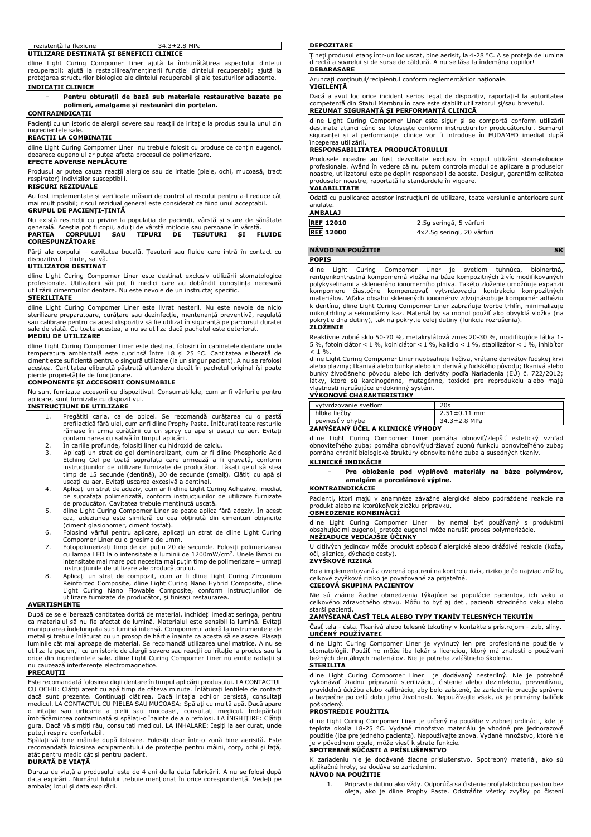| rezistentă la flexiune                   |  | $34.3 \pm 2.8$ MPa |  |
|------------------------------------------|--|--------------------|--|
| UTILIZARE DESTINATĂ SI BENEFICII CLINICE |  |                    |  |

dline Light Curing Compomer Liner ajută la îmbunătățirea aspectului dintelui recuperabil; ajută la restabilirea/menținerii funcției dintelui recuperabil; ajută la protejarea structurilor biologice ale dintelui recuperabil și ale țesuturilor adiacente.

# **INDICAȚII CLINICE**

− **Pentru obturații de bază sub materiale restaurative bazate pe polimeri, amalgame și restaurări din porțelan.**

# **CONTRAINDICAȚII**

Pacienți cu un istoric de alergii severe sau reacții de iritație la produs sau la unul din ingredientele sale.

#### **REACȚII LA COMBINAȚII**

dline Light Curing Compomer Liner nu trebuie folosit cu produse ce conțin eugenol, deoarece eugenolul ar putea afecta procesul de polimerizare.

# **EFECTE ADVERSE NEPLĂCUTE**

Produsul ar putea cauza reacții alergice sau de iritație (piele, ochi, mucoasă, tract respirator) indivizilor susceptibili.

#### **RISCURI REZIDUALE**

Au fost implementate și verificate măsuri de control al riscului pentru a-l reduce cât mai mult posibil; riscul rezidual general este considerat ca fiind unul acceptabil. **GRUPUL DE PACIENȚI-ȚINTĂ**

Nu există restricții cu privire la populația de pacienți, vârstă și stare de sănătate<br>generală. Aceștia pot fi copii, adulți de vârstă mijlocie sau persoane în vârstă.<br>**PARTEA - CORPULUI - SAU - TIPURI - DE - ȚESUTURI - ȘI CORESPUNZĂTOARE**

Părți ale corpului – cavitatea bucală. Țesuturi sau fluide care intră în contact cu dispozitivul – dinte, salivă. dinte, salivă.

#### **UTILIZATOR DESTINAT**

dline Light Curing Compomer Liner este destinat exclusiv utilizării stomatologice profesionale. Utilizatorii săi pot fi medici care au dobândit cunoștința necesară utilizării cimenturilor dentare. Nu este nevoie de un instructaj specific. **STERILITATE**

#### dline Light Curing Compomer Liner este livrat nesteril. Nu este nevoie de nicio sterilizare preparatoare, curățare sau dezinfecție, mentenanță preventivă, regulată sau calibrare pentru ca acest dispozitiv să fie utilizat în siguranță pe parcursul duratei Cu toate acestea, a nu se utiliza dacă pachetul este deteriorat.

#### **MEDIU DE UTILIZARE**

dline Light Curing Compomer Liner este destinat folosirii în cabinetele dentare unde<br>temperatura ambientală este cuprinsă între 18 și 25 °C. Cantitatea eliberată de<br>ciment este suficientă pentru o singură utiliz acestea. Cantitatea eliberată păstrată altundeva decât în pachetul original își poate

# pierde proprietățile de funcționare. **COMPONENTE ȘI ACCESORII CONSUMABILE**

Nu sunt furnizate accesorii cu dispozitivul. Consumabilele, cum ar fi vârfurile pentru aplicare, sunt furnizate cu dispozitivul.

# **INSTRUCȚIUNI DE UTILIZARE**

- 1. Pregătiți caria, ca de obicei. Se recomandă curățarea cu o pastă profilactică fără ulei, cum ar fi dline Prophy Paste. Înlăturați toate resturile rămase în urma curățării cu un spray cu apa și uscați cu aer. Evitați contaminarea cu salivă în timpul aplicării.
- 
- 2. În cariile profunde, folosiți liner cu hidroxid de calciu. 3. Aplicați un strat de gel demineralizant, cum ar fi dline Phosphoric Acid Etching Gel pe toată suprafața care urmează a fi gravată, conform instrucțiunilor de utilizare furnizate de producător. Lăsați gelul să stea timp de 15 secunde (dentină), 30 de secunde (smalț). Clătiți cu apă și
- uscați cu aer. Evitați uscarea excesivă a dentinei. 4. Aplicați un strat de adeziv, cum ar fi dline Light Curing Adhesive, imediat pe suprafața polimerizată, conform instrucțiunilor de utilizare furnizate de producător. Cavitatea trebuie menținută uscată.
- 5. dline Light Curing Compomer Liner se poate aplica fără adeziv. În acest
- caz, adeziunea este similară cu cea obținută din cimenturi obișnuite (ciment glasionomer, ciment fosfat). 6. Folosind vârful pentru aplicare, aplicați un strat de dline Light Curing Compomer Liner cu o grosime de 1mm.
- 7. Fotopolimerizați timp de cel puțin 20 de secunde. Folosiți polimerizarea cu lampa LED la o intensitate a luminii de 1200mW/cm<sup>2</sup> . Unele lămpi cu intensitate mai mare pot necesita mai puțin timp de polimerizare – urmați instrucțiunile de utilizare ale producătorului.
- 8. Aplicați un strat de compozit, cum ar fi dline Light Curing Zirconium<br>Reinforced Composite, dline Light Curing Nano Hybrid Composite, dline<br>Light Curing Nano Flowable Composite, conform instrucțiunilor de<br>utilizare furn

#### **AVERTISMENTE**

După ce se eliberează cantitatea dorită de material, închideți imediat seringa, pentru ca materialul să nu fie afectat de lumină. Materialul este sensibil la lumină. Evitați manipularea îndelungata sub lumină intensă. Compomerul aderă la instrumentele de metal și trebuie înlăturat cu un prosop de hârtie înainte ca acesta să se așeze. Plasați luminile cât mai aproape de material. Se recomandă utilizarea unei matrice. A nu se utiliza la pacienții cu un istoric de alergii severe sau reacții cu iritație la produs sau la orice din ingredientele sale. dline Light Curing Compomer Liner nu emite radiații și nu cauzează interferențe electromagnetice. **PRECAUȚII**

Este recomandată folosirea digii dentare în timpul aplicării produsului. LA CONTACTUL CU OCHII: Clătiți atent cu apă timp de câteva minute. Înlăturați lentilele de contact dacă sunt prezente. Continuați clătirea. Dacă iritația ochilor persistă, consultați<br>medicul.LA CONTACTUL CU PIELEA SAU MUCOASA: Spălați cu multă apă. Dacă apare<br>o iritație sau urticarie a pielii sau mucoasei, consultați me

puteți respira confortabil. Spălați-vă bine mâinile după folosire. Folosiți doar într-o zonă bine aerisită. Este recomandată folosirea echipamentului de protecție pentru mâini, corp, ochi și față, atât pentru medic cât și pentru pacient.

#### **DURATĂ DE VIAȚĂ**

Durata de viață a produsului este de 4 ani de la data fabricării. A nu se folosi după data expirării. Numărul lotului trebuie menționat în orice corespondență. Vedeți pe ambalaj lotul și data expirării.

#### **DEPOZITARE**

Țineți produsul etanș într-un loc uscat, bine aerisit, la 4-28 °C. A se proteja de lumina directă a soarelui și de surse de căldură. A nu se lăsa la îndemâna copiilor! **DEBARASARE**

Aruncați conținutul/recipientul conform reglementărilor naționale. **VIGILENȚĂ**

Dacă a avut loc orice incident serios legat de dispozitiv, raportați-l la autoritatea competentă din Statul Membru în care este stabilit utilizatorul și/sau brevetul. **REZUMAT SIGURANȚĂ ȘI PERFORMANȚĂ CLINICĂ**

dline Light Curing Compomer Liner este sigur și se comportă conform utilizării destinate atunci când se folosește conform instrucțiunilor producătorului. Sumarul siguranței și al performanței clinice vor fi introduse în EUDAMED imediat după începerea utilizării.

#### **RESPONSABILITATEA PRODUCĂTORULUI**

Produsele noastre au fost dezvoltate exclusiv în scopul utilizării stomatologice profesionale. Având în vedere că nu putem controla modul de aplicare a produselor noastre, utilizatorul este pe deplin responsabil de acesta. Desigur, garantăm calitatea produselor noastre, raportată la standardele în vigoare.

#### **VALABILITATE**

Odată cu publicarea acestor instrucțiuni de utilizare, toate versiunile anterioare sunt anulate. **AMBALAJ**

| AMBALAJ          |                            |
|------------------|----------------------------|
| <b>REF 12010</b> | 2.5g seringă, 5 vârfuri    |
| <b>REF</b> 12000 | 4x2.5q seringi, 20 vârfuri |

## **NÁVOD NA POUŽITIE SK**

#### **POPIS**

dline Light Curing Compomer Liner je svetlom tuhnúca, bioinertná, rentgenkontrastná kompomerná vložka na báze kompozitných živíc modifikovaných polykyselinami a skleneného ionomerního plniva. Takéto zloženie umožňuje expanzii kompomeru čiastočne kompenzovať vytvrdzovaciu kontrakciu kompozitných materiálov. Vďaka obsahu sklenených ionomérov zdvojnásobuje kompomér adhéziu k dentínu, dline Light Curing Compomer Liner zabraňuje tvorbe trhlín, minimalizuje mikrotrhliny a sekundárny kaz. Materiál by sa mohol použiť ako obvyklá vložka (na pokrytie dna dutiny), tak na pokrytie celej dutiny (funkcia rozrušenia). **ZLOŽENIE**

Reaktívne zubné sklo 50-70 %, metakrylátová zmes 20-30 %, modifikujúce látka 1- 5 %, fotoiniciátor < 1 %, koiniciátor < 1 %, kalidlo < 1 %, stabilizátor < 1 %, inhibítor  $< 1 \%$ 

dline Light Curing Compomer Liner neobsahuje liečiva, vrátane derivátov ľudskej krvi alebo plazmy; tkanivá alebo bunky alebo ich deriváty ľudského pôvodu; tkanivá alebo bunky živočíšneho pôvodu alebo ich deriváty podľa Nariadenia (EÚ) č. 722/2012; látky, ktoré sú karcinogénne, mutagénne, toxické pre reprodukciu alebo majú vlastnosti narušujúce endokrinný systém.

### **VÝKONOVÉ CHARAKTERISTIKY**

| vytyrdzovanie svetlom            | 20s                |
|----------------------------------|--------------------|
| hĺbka liečby                     | $2.51 \pm 0.11$ mm |
| pevnosť v ohvbe                  | 34.3±2.8 MPa       |
| ZAMÝŠĽANÝ ÚČEL A KLINICKE VYHODY |                    |

dline Light Curing Compomer Liner pomáha obnoviť/zlepšiť estetický vzhľad obnoviteľného zuba; pomáha obnoviť/udržiavať zubnú funkciu obnoviteľného zuba; pomáha chrániť biologické štruktúry obnoviteľného zuba a susedných tkanív.

#### **KLINICKÉ INDIKÁCIE**

− **Pre obloženie pod výplňové materiály na báze polymérov, amalgám a porcelánové výplne.**

# **KONTRAINDIKÁCIE**

Pacienti, ktorí majú v anamnéze závažné alergické alebo podráždené reakcie na produkt alebo na ktorúkoľvek zložku prípravku. **OBMEDZENIE KOMBINÁCIÍ**

dline Light Curing Compomer Liner by nemal byť používaný s produktmi obsahujúcimi eugenol, pretože eugenol môže narušiť proces polymerizácie. **NEŽIADUCE VEDĽAJŠIE ÚČINKY**

U citlivých jedincov môže produkt spôsobiť alergické alebo dráždivé reakcie (koža,<br>oči sliznice dýchacie cesty) dýchacie cesty).

# **ZVYŠKOVÉ RIZIKÁ**

Bola implementovaná a overená opatrení na kontrolu rizík, riziko je čo najviac znížilo, celkové zvyškové riziko je považované za prijateľné. **CIEĽOVÁ SKUPINA PACIENTOV**

Nie sú známe žiadne obmedzenia týkajúce sa populácie pacientov, ich veku a celkového zdravotného stavu. Môžu to byť aj deti, pacienti stredného veku alebo starší pacienti.

### **ZAMÝŠĽANÁ ČASŤ TELA ALEBO TYPY TKANÍV TELESNÝCH TEKUTÍN**

Časť tela - ústa. Tkanivá alebo telesné tekutiny v kontakte s prístrojom - zub, sliny. **URČENÝ POUŽÍVATEĽ**

dline Light Curing Compomer Liner je vyvinutý len pre profesionálne použitie v stomatológii. Použiť ho môže iba lekár s licenciou, ktorý má znalosti o používaní bežných dentálnych materiálov. Nie je potreba zvláštneho školenia. **STERILITA**

dline Light Curing Compomer Liner - je dodávaný nesterilný. Nie je potrebné<br>vykonávať žiadnu prípravnú sterilizáciu, čistenie alebo dezinfekciu, preventívnu,<br>pravidelnú údržbu alebo kalibráciu, aby bolo zaistené, že zariad a bezpečne po celú dobu jeho životnosti. Nepoužívajte však, ak je primárny balíček poškodený.

# **PROSTREDIE POUŽITIA**

dline Light Curing Compomer Liner je určený na použitie v zubnej ordinácii, kde je teplota okolia 18-25 °C. Vydané množstvo materiálu je vhodné pre jednorazové použitie (iba pre jedného pacienta). Nepoužívajte znova. Vydané množstvo, ktoré nie je v pôvodnom obale, môže viesť k strate funkcie. **SPOTREBNÉ SÚČASTI A PRÍSLUŠENSTVO**

K zariadeniu nie je dodávané žiadne príslušenstvo. Spotrebný materiál, ako sú aplikačné hroty, sa dodáva so zariadením. **NÁVOD NA POUŽITIE**

1. Pripravte dutinu ako vždy. Odporúča sa čistenie profylaktickou pastou bez oleja, ako je dline Prophy Paste. Odstráňte všetky zvyšky po čistení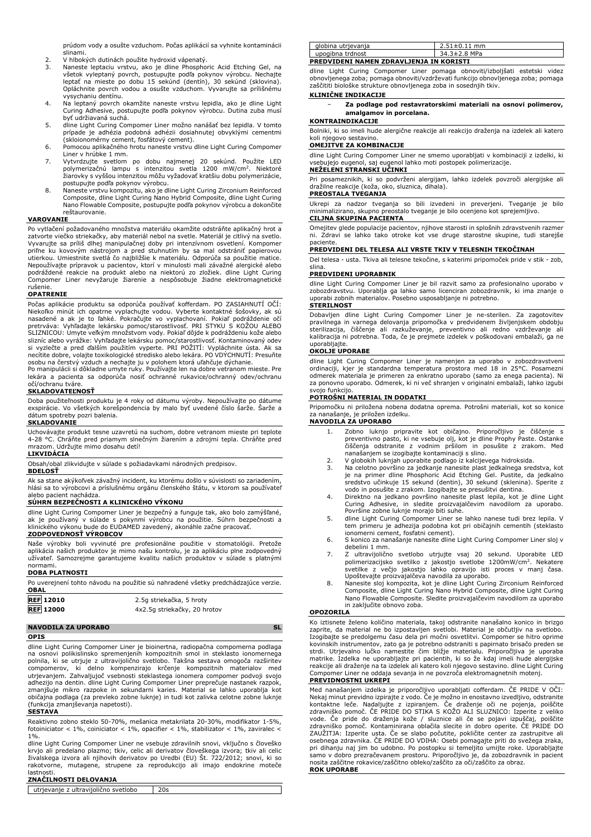prúdom vody a osušte vzduchom. Počas aplikácií sa vyhnite kontaminácii

- slinami. 2. V hlbokých dutinách použite hydroxid vápenatý.
- 3. Naneste leptaciu vrstvu, ako je dline Phosphoric Acid Etching Gel, na všetok vyleptaný povrch, postupujte podľa pokynov výrobcu. Nechajte<br>leptať na mieste po dobu 15 sekúnd (dentín), 30 sekúnd (sklovina).<br>Opláchnite povrch vodou a osušte vzduchom. Vyvarujte sa prílišnému vysychaniu dentínu.
- 4. Na leptaný povrch okamžite naneste vrstvu lepidla, ako je dline Light Curing Adhesive, postupujte podľa pokynov výrobcu. Dutina zuba musí byť udržiavaná suchá.
- 5. dline Light Curing Compomer Liner možno nanášať bez lepidla. V tomto prípade je adhézia podobná adhézii dosiahnutej obvyklými cementmi (skloionomérny cement, fosfátový cement).
- 6. Pomocou aplikačného hrotu naneste vrstvu dline Light Curing Compomer Liner v hrúbke 1 mm.
- 7. Vytvrdzujte svetlom po dobu najmenej 20 sekúnd. Použite LED polymerizačnú lampu s intenzitou svetla 1200 mW/cm<sup>2</sup> . Niektoré žiarovky s vyššou intenzitou môžu vyžadovať kratšiu dobu polymerizácie,
- postupujte podľa pokynov výrobcu. 8. Naneste vrstvu kompozitu, ako je dline Light Curing Zirconium Reinforced Composite, dline Light Curing Nano Hybrid Composite, dline Light Curing Nano Flowable Composite, postupujte podľa pokynov výrobcu a dokončite reštaurovanie.

#### **VAROVANIE**

Po vytlačení požadovaného množstva materiálu okamžite odstráňte aplikačný hrot a zatvorte viečko striekačky, aby materiál nebol na svetle. Materiál je citlivý na svetlo. Vyvarujte sa príliš dlhej manipulačnej doby pri intenzívnom osvetlení. Kompomer priľne ku kovovým nástrojom a pred stuhnutim by sa mal odstrániť papierovou<br>utierkou. Umiestnite svetlá čo najbližšie k materiálu. Odporúča sa použitie matice.<br>Nepoužívajte prípravok u pacientov, ktorí v minulosti mali záv podráždené reakcie na produkt alebo na niektorú zo zložiek. dline Light Curing Compomer Liner nevyžaruje žiarenie a nespôsobuje žiadne elektromagnetické rušenie.

## **OPATRENIE**

Počas aplikácie produktu sa odporúča používať kofferdam. PO ZASIAHNUTÍ OČÍ: Niekoľko minút ich opatrne vyplachujte vodou. Vyberte kontaktné šošovky, ak sú nasadené a ak je to ľahké. Pokračujte vo vyplachovaní. Pokiaľ podráždenie očí pretrváva: Vyhľadajte lekársku pomoc/starostlivosť. PRI STYKU S K osobu na čerstvý vzduch a nechajte ju v polohem ktorá uľahčuje dýchanie.

Po manipulácii si dôkladne umyte ruky. Používajte len na dobre vetranom mieste. Pre lekára a pacienta sa odporúča nosiť ochranné rukavice/ochranný odev/ochranu očí/ochranu tváre.

#### **SKLADOVATEĽNOSŤ**

Doba použiteľnosti produktu je 4 roky od dátumu výroby. Nepoužívajte po dátume exspirácie. Vo všetkých korešpondencia by malo byť uvedené číslo šarže. Šarže a dátum spotreby pozri balenia.

#### **SKLADOVANIE**

Uchovávajte produkt tesne uzavretú na suchom, dobre vetranom mieste pri teplote 4-28 °C. Chráňte pred priamym slnečným žiarením a zdrojmi tepla. Chráňte pred mrazom. Udržujte mimo dosahu detí!

# **LIKVIDÁCIA**

Obsah/obal zlikvidujte v súlade s požiadavkami národných predpisov.

# **BDELOSŤ**

Ak sa stane akýkoľvek závažný incident, ku ktorému došlo v súvislosti so zariadením, hlási sa to výrobcovi a príslušnému orgánu členského štátu, v ktorom sa používateľ alebo pacient nachádza.

# **SÚHRN BEZPEČNOSTI A KLINICKÉHO VÝKONU**

dline Light Curing Compomer Liner je bezpečný a funguje tak, ako bolo zamýšľané, ak je používaný v súlade s pokynmi výrobcu na použitie. Súhrn bezpečnosti a klinického výkonu bude do EUDAMED zavedený, akonáhle začne pracovať. **ZODPOVEDNOSŤ VÝROBCOV**

Naše výrobky boli vyvinuté pre profesionálne použitie v stomatológii. Pretože<br>aplikácia našich produktov je mimo našu kontrolu, je za aplikáciu plne zodpovedný<br>užívateľ. Samozrejme garantujeme kvalitu našich produktov v sú

# normami. **DOBA PLATNOSTI**

Po uverejnení tohto návodu na použitie sú nahradené všetky predchádzajúce verzie. **OBAL**

| <b>REF</b> 12010 | 2.5g striekačka, 5 hroty     |
|------------------|------------------------------|
| <b>REF 12000</b> | 4x2.5g striekačky, 20 hrotov |

# **NAVODILA ZA UPORABO** SL

**OPIS**

dline Light Curing Compomer Liner je bioinertna, radiopačna compomerna podlaga na osnovi polikislinsko spremenjenih kompozitnih smol in steklasto ionomernega polnila, ki se utrjuje z ultravijolično svetlobo. Takšna sestava omogoča razširitev compomerov, ki delno kompenzirajo krčenje kompozitnih materialov med utrjevanjem. Zahvaljujoč vsebnosti steklastega ionomera compomer podvoji svojo adhezijo na dentin. dline Light Curing Compomer Liner preprečuje nastanek razpok, zmanjšuje mikro razpoke in sekundarni karies. Material se lahko uporablja kot običajna podlaga (za prevleko zobne luknje) in tudi kot zalivka celotne zobne luknje (funkcija zmanjševanja napetosti).

#### **SESTAVA**

Reaktivno zobno steklo 50-70%, mešanica metakrilata 20-30%, modifikator 1-5%, fotoiniciator < 1%, coiniciator < 1%, opacifier < 1%, stabilizator < 1%, zaviralec < 1%. dline Light Curing Compomer Liner ne vsebuje zdravilnih snovi, vključno s človeško

krvjo ali predelano plazmo; tkiv, celic ali derivatov človeškega izvora; tkiv ali celic živalskega izvora ali njihovih derivatov po Uredbi (EU) Št. 722/2012; snovi, ki so rakotvorne, mutagene, strupene za reprodukcijo ali imajo endokrine moteče lastnosti.

#### **ZNAČILNOSTI DELOVANJA**

| utrievanie z ultravijolično svetlobo |  |
|--------------------------------------|--|

| globina utrjevanja                      | $2.51 \pm 0.11$ mm |  |
|-----------------------------------------|--------------------|--|
| upogibna trdnost                        | 34.3±2.8 MPa       |  |
| PREDVIDENI NAMEN ZDRAVLJENJA IN KORISTI |                    |  |

dline Light Curing Compomer Liner pomaga obnoviti/izboljšati estetski videz obnovljenega zoba; pomaga obnoviti/vzdrževati funkcijo obnovljenega zoba; pomaga zaščititi biološke strukture obnovljenega zoba in sosednjih tkiv.

#### **KLINIČNE INDIKACIJE**

− **Za podlage pod restavratorskimi materiali na osnovi polimerov, amalgamov in porcelana.**

#### **KONTRAINDIKACIJE**

Bolniki, ki so imeli hude alergične reakcije ali reakcijo draženja na izdelek ali katero koli njegovo sestavino.

#### **OMEJITVE ZA KOMBINACIJE**

dline Light Curing Compomer Liner ne smemo uporabljati v kombinaciji z izdelki, ki vsebujejo eugenol, saj eugenol lahko moti postopek polimerizacije. **NEŽELENI STRANSKI UČINKI**

Pri posameznikih, ki so podvrženi alergijam, lahko izdelek povzroči alergijske ali dražilne reakcije (koža, oko, sluznica, dihala).

#### **PREOSTALA TVEGANJA**

Ukrepi za nadzor tveganja so bili izvedeni in preverjeni. Tveganje je bilo minimalizirano, skupno preostalo tveganje je bilo ocenjeno kot sprejemljivo. **CILJNA SKUPINA PACIENTA**

Omejitev glede populacije pacientov, njihove starosti in splošnih zdravstvenih razmer ni. Zdravi se lahko tako otroke kot vse druge starostne skupine, tudi starejše paciente.

#### **PREDVIDENI DEL TELESA ALI VRSTE TKIV V TELESNIH TEKOČINAH**

Del telesa - usta. Tkiva ali telesne tekočine, s katerimi pripomoček pride v stik - zob, slina.

# **PREDVIDENI UPORABNIK**

dline Light Curing Compomer Liner je bil razvit samo za profesionalno uporabo v zobozdravstvu. Uporablja ga lahko samo licenciran zobozdravnik, ki ima znanje o uporabi zobnih materialov. Posebno usposabljanje ni potrebno. **STERILNOST**

Dobavljen dline Light Curing Compomer Liner je ne-sterilen. Za zagotovitev pravilnega in varnega delovanja pripomočka v predvidenem življenjskem obdobju<br>sterilizacija, čiščenje ali razkuževanje, preventivno ali redno vzdrževanje ali<br>kalibracija ni potrebna. Toda, če je prejmete izdelek v poškodov uporabljajte.

# **OKOLJE UPORABE**

dline Light Curing Compomer Liner je namenjen za uporabo v zobozdravstveni ordinaciji, kjer je standardna temperatura prostora med 18 in 25°C. Posamezni odmerek materiala je primeren za enkratno uporabo (samo za enega pacienta). Ni za ponovno uporabo. Odmerek, ki ni več shranjen v originalni embalaži, lahko izgubi svojo funkcijo.

#### **POTROŠNI MATERIAL IN DODATKI**

Pripomočku ni priložena nobena dodatna oprema. Potrošni materiali, kot so konice za nanašanje, je priložen izdelku.

#### **NAVODILA ZA UPORABO**

- 1. Zobno luknjo pripravite kot običajno. Priporočljivo je čiščenje s preventivno pasto, ki ne vsebuje olj, kot je dline Prophy Paste. Ostanke<br>čiščenja odstranite z vodnim pršilom in posušite z zrakom. Med<br>nanašanjem se izogibajte kontaminaciji s slino.
- 2. V globokih luknjah uporabite podlago iz kalcijevega hidroksida.<br>3. Na celotno površino za jedkanje panesite plast jedkalnega sre
- 3. Na celotno površino za jedkanje nanesite plast jedkalnega sredstva, kot je na primer dline Phosphoric Acid Etching Gel. Pustite, da jedkalno sredstvo učinkuje 15 sekund (dentin), 30 sekund (sklenina). Sperite z
- vodo in posušite z zrakom. Izogibajte se presušitvi dentina. 4. Direktno na jedkano površino nanesite plast lepila, kot je dline Light Curing Adhesive, in sledite proizvajalčevim navodilom za uporabo. Površine zobne luknje morajo biti suhe.
- 5. dline Light Curing Compomer Liner se lahko nanese tudi brez lepila. V tem primeru je adhezija podobna kot pri običajnih cementih (steklasto ionomerni cement, fosfatni cement).
- 6. S konico za nanašanje nanesite dline Light Curing Compomer Liner sloj v debelini 1 mm.
- 7. Z ultravijolično svetlobo utrjujte vsaj 20 sekund. Uporabite LED<br>polimerizacijsko svetilko z jakostjo svetlobe 1200mW/cm<sup>2</sup>. Nekatere<br>svetlike z večjo jakostjo lahko opravijo isti proces v manj časa.
- Upoštevajte proizvajalčeva navodila za uporabo. 8. Nanesite sloj kompozita, kot je dline Light Curing Zirconium Reinforced Composite, dline Light Curing Nano Hybrid Composite, dline Light Curing Nano Flowable Composite. Sledite proizvajalčevim navodilom za uporabo in zaključite obnovo zoba.

#### **OPOZORILA**

Ko iztisnete želeno količino materiala, takoj odstranite nanašalno konico in brizgo zaprite, da material ne bo izpostavljen svetlobi. Material je občutljiv na svetlobo. Izogibajte se predolgemu času dela pri močni osvetlitvi. Compomer se hitro oprime kovinskih instrumentov, zato ga je potrebno odstraniti s papirnato brisačo preden se<br>strdi. Utrjevalno lučko namestite čim bližje materialu. Priporočljiva je uporaba<br>matrike. Izdelka ne uporabljajte pri pacien Compomer Liner ne oddaja sevanja in ne povzroča elektromagnetnih motenj. **PREVIDNOSTNI UKREPI**

Med nanašanjem izdelka je priporočljivo uporabljati cofferdam. ČE PRIDE V OČI:<br>Nekaj minut previdno izpirajtez vodo. Če je možno in enostavno izvedljivo, odstranite<br>kontaktne leče. Nadaljujte z izpiranjem. Če draženje oči vode. Če pride do draženja kože / sluznice ali če se pojavi izpuščaj, poiščite zdravniško pomoč. Kontaminirana oblačila slecite in dobro operite. ČE PRIDE DO ZAUŽITJA: Izperite usta. Če se slabo počutite, pokličite center za zastrupitve ali osebnega zdravnika. ČE PRIDE DO VDIHA: Osebi pomagajte priti do svežega zraka, pri dihanju naj jim bo udobno. Po postopku si temeljito umijte roke. Uporabljajte samo v dobro prezračevanem prostoru. Priporočljivo je, da zobozdravnik in pacient nosita zaščitne rokavice/zaščitno obleko/zaščito za oči/zaščito za obraz. **ROK UPORABE**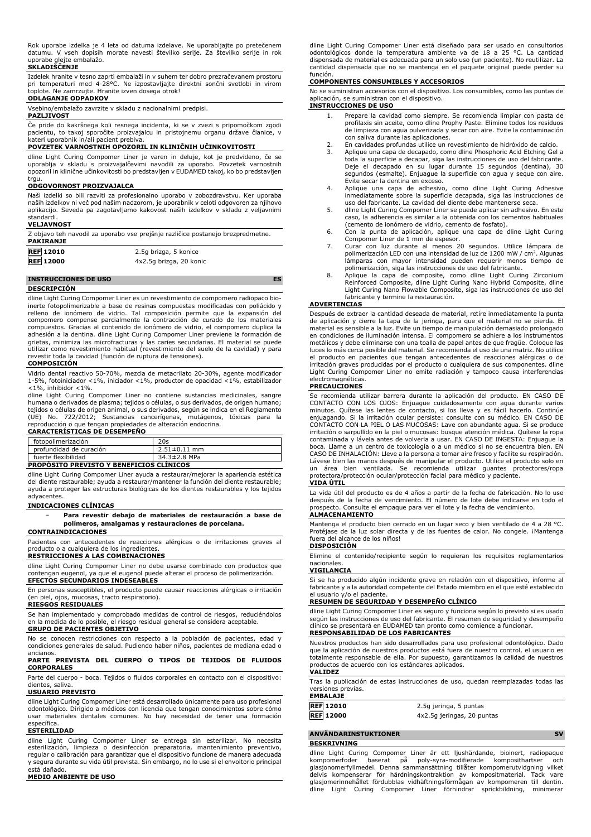Rok uporabe izdelka je 4 leta od datuma izdelave. Ne uporabljajte po pretečenem datumu. V vseh dopisih morate navesti številko serije. Za številko serije in rok uporabe glejte embalažo.

#### **SKLADIŠČENJE**

Izdelek hranite v tesno zaprti embalaži in v suhem ter dobro prezračevanem prostoru pri temperaturi med 4-28°C. Ne izpostavljajte direktni sončni svetlobi in virom toplote. Ne zamrzujte. Hranite izven dosega otrok!

## **ODLAGANJE ODPADKOV**

Vsebino/embalažo zavrzite v skladu z nacionalnimi predpisi.

# **PAZLJIVOST**

Če pride do kakršnega koli resnega incidenta, ki se v zvezi s pripomočkom zgodi pacientu, to takoj sporočite proizvajalcu in pristojnemu organu države članice, v kateri uporabnik in/ali pacient prebiva.

#### **POVZETEK VARNOSTNIH OPOZORIL IN KLINIČNIH UČINKOVITOSTI**

dline Light Curing Compomer Liner je varen in deluje, kot je predvideno, če se uporablja v skladu s proizvajalčevimi navodili za uporabo. Povzetek varnostnih opozoril in klinične učinkovitosti bo predstavljen v EUDAMED takoj, ko bo predstavljen

# trgu. **ODGOVORNOST PROIZVAJALCA**

Naši izdelki so bili razviti za profesionalno uporabo v zobozdravstvu. Ker uporaba naših izdelkov ni več pod našim nadzorom, je uporabnik v celoti odgovoren za njihovo aplikacijo. Seveda pa zagotavljamo kakovost naših izdelkov v skladu z veljavnimi standardi. **VELJAVNOST**

| Z objavo teh navodil za uporabo vse prejšnje različice postanejo brezpredmetne.<br><b>PAKIRANJE</b> |                         |  |
|-----------------------------------------------------------------------------------------------------|-------------------------|--|
| <b>REF 12010</b>                                                                                    | 2.5g brizga, 5 konice   |  |
| <b>REF</b> 12000                                                                                    | 4x2.5q brizga, 20 konic |  |

### **INSTRUCCIONES DE USO ES DESCRIPCIÓN**

dline Light Curing Compomer Liner es un revestimiento de compomero radiopaco bioinerte fotopolimerizable a base de resinas compuestas modificadas con poliácido y relleno de ionómero de vidrio. Tal composición permite que la expansión del compomero compense parcialmente la contracción de curado de los materiales<br>compuestos. Gracias al contenido de ionómero de vidrio, el compomero duplica la<br>adhesión a la dentina. dline Light Curing Compomer Liner previene l grietas, minimiza las microfracturas y las caries secundarias. El material se puede utilizar como revestimiento habitual (revestimiento del suelo de la cavidad) y para revestir toda la cavidad (función de ruptura de tensiones).

#### **COMPOSICIÓN**

Vidrio dental reactivo 50-70%, mezcla de metacrilato 20-30%, agente modificador 1-5%, fotoiniciador <1%, iniciador <1%, productor de opacidad <1%, estabilizador  $<$ 1%, inhibidor  $<$ 1%.

dline Light Curing Compomer Liner no contiene sustancias medicinales, sangre humana o derivados de plasma; tejidos o células, o sus derivados, de origen humano; tejidos o células de origen animal, o sus derivados, según se indica en el Reglamento (UE) No. 722/2012; Sustancias cancerígenas, mutágenos, tóxicas para la reproducción o que tengan propiedades de alteración endocrina.

#### **CARACTERÍSTICAS DE DESEMPEÑO**

| profundidad de curación                                                | $2.51 \pm 0.11$ mm |
|------------------------------------------------------------------------|--------------------|
| fuerte flexibilidad<br><b>PROPOSITO PREVISTO Y BENEFICIOS CLINICOS</b> | 34.3±2.8 MPa       |
|                                                                        |                    |

dline Light Curing Compomer Liner ayuda a restaurar/mejorar la apariencia estética del diente restaurable; ayuda a restaurar/mantener la función del diente restaurable; ayuda a proteger las estructuras biológicas de los dientes restaurables y los tejidos adyacentes.

#### **INDICACIONES CLÍNICAS**

− **Para revestir debajo de materiales de restauración a base de polímeros, amalgamas y restauraciones de porcelana.**

## **CONTRAINDICACIONES**

Pacientes con antecedentes de reacciones alérgicas o de irritaciones graves al

# producto o a cualquiera de los ingredientes. **RESTRICCIONES A LAS COMBINACIONES**

dline Light Curing Compomer Liner no debe usarse combinado con productos que contengan eugenol, ya que el eugenol puede alterar el proceso de polimerización. **EFECTOS SECUNDARIOS INDESEABLES**

En personas susceptibles, el producto puede causar reacciones alérgicas o irritación (en piel, ojos, mucosas, tracto respiratorio).

#### **RIESGOS RESIDUALES**

Se han implementado y comprobado medidas de control de riesgos, reduciéndolos en la medida de lo posible, el riesgo residual general se considera aceptable. **GRUPO DE PACIENTES OBJETIVO**

No se conocen restricciones con respecto a la población de pacientes, edad y condiciones generales de salud. Pudiendo haber niños, pacientes de mediana edad o ancianos.

#### **PARTE PREVISTA DEL CUERPO O TIPOS DE TEJIDOS DE FLUIDOS CORPORALES**

Parte del cuerpo - boca. Tejidos o fluidos corporales en contacto con el dispositivo: dientes, saliva.

# **USUARIO PREVISTO**

dline Light Curing Compomer Liner está desarrollado únicamente para uso profesional odontológico. Dirigido a médicos con licencia que tengan conocimientos sobre cómo usar materiales dentales comunes. No hay necesidad de tener una formación específica.

#### **ESTERILIDAD**

dline Light Curing Compomer Liner se entrega sin esterilizar. No necesita esterilización, limpieza o desinfección preparatoria, mantenimiento preventivo, regular o calibración para garantizar que el dispositivo funcione de manera adecuada y segura durante su vida útil prevista. Sin embargo, no lo use si el envoltorio principal está dañado. **MEDIO AMBIENTE DE USO**

dline Light Curing Compomer Liner está diseñado para ser usado en consultorios odontológicos donde la temperatura ambiente va de 18 a 25 °C. La cantidad dispensada de material es adecuada para un solo uso (un paciente). No reutilizar. La cantidad dispensada que no se mantenga en el paquete original puede perder su función.

#### **COMPONENTES CONSUMIBLES Y ACCESORIOS**

No se suministran accesorios con el dispositivo. Los consumibles, como las puntas de aplicación, se suministran con el dispositivo.

# **INSTRUCCIONES DE USO**

- 1. Prepare la cavidad como siempre. Se recomienda limpiar con pasta de profilaxis sin aceite, como dline Prophy Paste. Elimine todos los residuos de limpieza con agua pulverizada y secar con aire. Evite la contaminación con saliva durante las aplicaciones.
- 2. En cavidades profundas utilice un revestimiento de hidróxido de calcio.<br>3. Aplique una capa de decapado, como dline Phosphoric Acid Etching Gel
- 3. Aplique una capa de decapado, como dline Phosphoric Acid Etching Gel a toda la superficie a decapar, siga las instrucciones de uso del fabricante. Deje el decapado en su lugar durante 15 segundos (dentina), 30 segundos (esmalte). Enjuague la superficie con agua y seque con aire. Evite secar la dentina en exceso.
- 4. Aplique una capa de adhesivo, como dline Light Curing Adhesive inmediatamente sobre la superficie decapada, siga las instrucciones de uso del fabricante. La cavidad del diente debe mantenerse seca.
- 5. dline Light Curing Compomer Liner se puede aplicar sin adhesivo. En este caso, la adherencia es similar a la obtenida con los cementos habituales (cemento de ionómero de vidrio, cemento de fosfato). 6. Con la punta de aplicación, aplique una capa de dline Light Curing
- 
- Compomer Liner de 1 mm de espesor. 7. Curar con luz durante al menos 20 segundos. Utilice lámpara de polimerización LED con una intensidad de luz de 1200 mW / cm². Algunas lámparas con mayor intensidad pueden requerir menos tiempo de polimerización, siga las instrucciones de uso del fabricante.
- 8. Aplique la capa de composite, como dline Light Curing Zirconium Reinforced Composite, dline Light Curing Nano Hybrid Composite, dline Light Curing Nano Flowable Composite, siga las instrucciones de uso del fabricante y termine la restauración.

#### **ADVERTENCIAS**

Después de extraer la cantidad deseada de material, retire inmediatamente la punta de aplicación y cierre la tapa de la jeringa, para que el material no se pierda. El material es sensible a la luz. Evite un tiempo de manipulación demasiado prolongado en condiciones de iluminación intensa. El compomero se adhiere a los instrumentos metálicos y debe eliminarse con una toalla de papel antes de que fragüe. Coloque las luces lo más cerca posible del material. Se recomienda el uso de una matriz. No utilice el producto en pacientes que tengan antecedentes de reacciones alérgicas o de irritación graves producidas por el producto o cualquiera de sus componentes. dline Light Curing Compomer Liner no emite radiación y tampoco causa interferencias

# electromagnéticas. **PRECAUCIONES**

Se recomienda utilizar barrera durante la aplicación del producto. EN CASO DE CONTACTO CON LOS OJOS: Enjuague cuidadosamente con agua durante varios minutos. Quítese las lentes de contacto, si los lleva y es fácil hacerlo. Continúe enjuagando. Si la irritación ocular persiste: consulte con su médico. EN CASO DE<br>CONTACTO CON LA PIEL O LAS MUCOSAS: Lave con abundante agua. Si se produce<br>irritación o sarpullido en la piel o mucosas: busque atención médi contaminada y lávela antes de volverla a usar. EN CASO DE INGESTA: Enjuague la boca. Llame a un centro de toxicología o a un médico si no se encuentra bien. EN CASO DE INHALACIÓN: Lleve a la persona a tomar aire fresco y facilite su respiración. Lávese bien las manos después de manipular el producto. Utilice el producto solo en un área bien ventilada. Se recomienda utilizar guantes protectores/ropa protectora/protección ocular/protección facial para médico y paciente. **VIDA ÚTIL**

La vida útil del producto es de 4 años a partir de la fecha de fabricación. No lo use después de la fecha de vencimiento. El número de lote debe indicarse en todo el prospecto. Consulte el empaque para ver el lote y la fecha de vencimiento. **ALMACENAMIENTO**

Mantenga el producto bien cerrado en un lugar seco y bien ventilado de 4 a 28 °C. Protéjase de la luz solar directa y de las fuentes de calor. No congele. ¡Mantenga fuera del alcance de los niños! **DISPOSICIÓN**

Elimine el contenido/recipiente según lo requieran los requisitos reglamentarios nacionales. **VIGILANCIA**

Si se ha producido algún incidente grave en relación con el dispositivo, informe al fabricante y a la autoridad competente del Estado miembro en el que esté establecido el usuario y/o el paciente.

#### **RESUMEN DE SEGURIDAD Y DESEMPEÑO CLÍNICO**

dline Light Curing Compomer Liner es seguro y funciona según lo previsto si es usado según las instrucciones de uso del fabricante. El resumen de seguridad y desempeño clínico se presentará en EUDAMED tan pronto como comience a funcionar. **RESPONSABILIDAD DE LOS FABRICANTES**

Nuestros productos han sido desarrollados para uso profesional odontológico. Dado que la aplicación de nuestros productos está fuera de nuestro control, el usuario es totalmente responsable de ella. Por supuesto, garantizamos la calidad de nuestros productos de acuerdo con los estándares aplicados.

# **VALIDEZ**

Tras la publicación de estas instrucciones de uso, quedan reemplazadas todas las versiones previas. **EMBALAJE**

| EMDALAJE         |                            |
|------------------|----------------------------|
| <b>REF 12010</b> | 2.5g jeringa, 5 puntas     |
| <b>REF</b> 12000 | 4x2.5g jeringas, 20 puntas |

## **ANVÄNDARINSTUKTIONER** SV **BESKRIVNING**

dline Light Curing Compomer Liner är ett ljushärdande, bioinert, radiopaque<br>kompomerfoder baserat på poly-syra-modifierade komposithartser och<br>glasjonomerfyllmedel. Denna sammansättning tillåter kompomerutvidgning vilket delvis kompenserar för härdningskontraktion av kompositmaterial. Tack vare glasjomerinnehållet fördubblas vidhäftningsförmågan av kompomeren till dentin. dline Light Curing Compomer Liner förhindrar sprickbildning, minimerar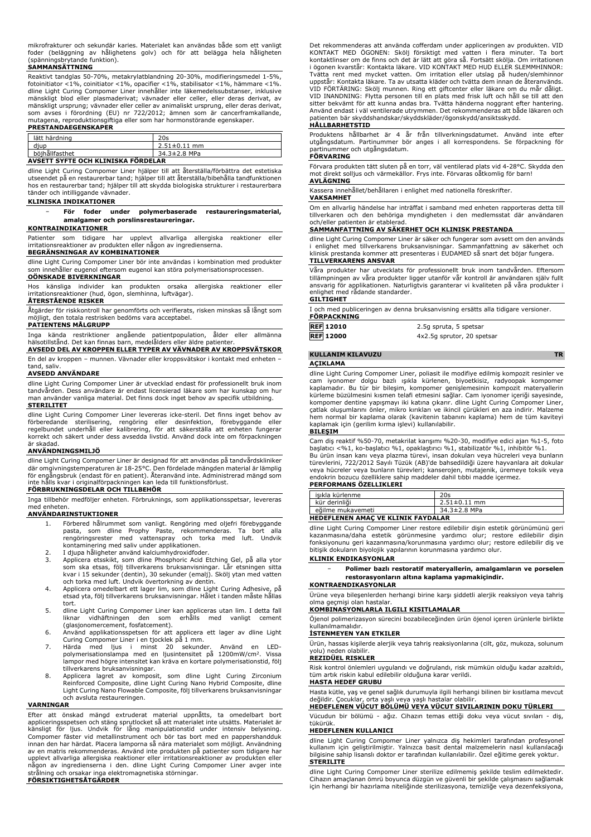mikrofrakturer och sekundär karies. Materialet kan användas både som ett vanligt foder (beläggning av hålighetens golv) och för att belägga hela håligheten (spänningsbrytande funktion).

# **SAMMANSÄTTNING**

Reaktivt tandglas 50-70%, metakrylatblandning 20-30%, modifieringsmedel 1-5%, fotoinitiator <1%, coinitiator <1%, opacifier <1%, stabilisator <1%, hämmare <1%. dline Light Curing Compomer Liner innehåller inte läkemedelssubstanser, inklusive mänskligt blod eller plasmaderivat; vävnader eller celler, eller deras derivat, av mänskligt ursprung; vävnader eller celler av animaliskt ursprung, eller deras derivat, som avses i förordning (EU) nr 722/2012; ämnen som är cancerframkallande, mutagena, reproduktionsgiftiga eller som har hormonstörande egenskaper.

#### **PRESTANDAEGENSKAPER**

| lätt härdning                      | 20s                |  |
|------------------------------------|--------------------|--|
| diup                               | $2.51 \pm 0.11$ mm |  |
| böihållfasthet                     | 34.3±2.8 MPa       |  |
| AVSETT SYFTE OCH KLINISKA FÖRDELAR |                    |  |

dline Light Curing Compomer Liner hjälper till att återställa/förbättra det estetiska utseendet på en restaurerbar tand; hjälper till att återställa/bibehålla tandfunktionen hos en restaurerbar tand; hjälper till att skydda biologiska strukturer i restaurerbara tänder och intilliggande vävnader.

# **KLINISKA INDIKATIONER**

#### − **För foder under polymerbaserade restaureringsmaterial, amalgamer och porslinsrestaureringar.**

#### **KONTRAINDIKATIONER**

Patienter som tidigare har upplevt allvarliga allergiska reaktioner eller irritationsreaktioner av produkten eller någon av ingredienserna.

#### **BEGRÄNSNINGAR AV KOMBINATIONER**

dline Light Curing Compomer Liner bör inte användas i kombination med produkter som innehåller eugenol eftersom eugenol kan störa polymerisationsprocessen. **OÖNSKADE BIVERKNINGAR**

Hos känsliga individer kan produkten orsaka allergiska reaktioner eller irritationsreaktioner (hud, ögon, slemhinna, luftvägar).

# **ÅTERSTÅENDE RISKER**

Åtgärder för riskkontroll har genomförts och verifierats, risken minskas så långt som möjligt, den totala restrisken bedöms vara acceptabel.

#### **PATIENTENS MÅLGRUPP**

Inga kända restriktioner angående patientpopulation, ålder eller allmänna hälsotillstånd. Det kan finnas barn, medelålders eller äldre patienter.

#### **AVSEDD DEL AV KROPPEN ELLER TYPER AV VÄVNADER AV KROPPSVÄTSKOR** En del av kroppen – munnen. Vävnader eller kroppsvätskor i kontakt med enheten –

#### tand, saliv. **AVSEDD ANVÄNDARE**

dline Light Curing Compomer Liner är utvecklad endast för professionellt bruk inom tandvården. Dess användare är endast licensierad läkare som har kunskap om hur man använder vanliga material. Det finns dock inget behov av specifik utbildning. **STERILITET**

dline Light Curing Compomer Liner levereras icke-steril. Det finns inget behov av<br>förberedande - sterilisering, - rengöring - eller - desinfektion, - förebyggande - eller<br>regelbundet underhåll eller kalibrering, för att sä korrekt och säkert under dess avsedda livstid. Använd dock inte om förpackningen är skadad.

#### **ANVÄNDNINGSMILJÖ**

dline Light Curing Compomer Liner är designad för att användas på tandvårdskliniker där omgivningstemperaturen är 18-25°C. Den fördelade mängden material är lämplig<br>för engångsbruk (endast för en patient). Återanvänd inte. Administrerad mängd som<br>inte hålls kvar i originalförpackningen kan leda till funkt

# **FÖRBRUKNINGSDELAR OCH TILLBEHÖR**

Inga tillbehör medföljer enheten. Förbruknings, som applikationsspetsar, levereras med enheten.

# **ANVÄNDARINSTUKTIONER**

- 1. Förbered hålrummet som vanligt. Rengöring med oljefri förebyggande pasta, som dline Prophy Paste, rekommenderas. Ta bort alla rengöringsrester med vattenspray och torka med luft. Undvik kontaminering med saliv under applikationen. 2. I djupa håligheter använd kalciumhydroxidfoder.
- 
- 3. Applicera etsskikt, som dline Phosphoric Acid Etching Gel, på alla ytor som ska etsas, följ tillverkarens bruksanvisningar. Lår etsningen sitta kvar i 15 sekunder (dentin), 30 sekunder (emalj). Skölj ytan med vatten
- och torka med luft. Undvik övertorkning av dentin. 4. Applicera omedelbart ett lager lim, som dline Light Curing Adhesive, på etsad yta, följ tillverkarens bruksanvisningar. Hålet i tanden måste hållas tort.
- 5. dline Light Curing Compomer Liner kan appliceras utan lim. I detta fall liknar vidhäftningen den som erhålls med vanligt cement (glasjonomercement, fosfatcement).
- 6. Använd applikationsspetsen för att applicera ett lager av dline Light Curing Compomer Liner i en tjocklek på 1 mm.
- 7. Härda med ljus i minst 20 sekunder. Använd en LED-polymerisationslampa med en ljusintensitet på 1200mW/cm<sup>2</sup> . Vissa lampor med högre intensitet kan kräva en kortare polymerisationstid, följ
- tillverkarens bruksanvisningar. 8. Applicera lagret av komposit, som dline Light Curing Zirconium Reinforced Composite, dline Light Curing Nano Hybrid Composite, dline Light Curing Nano Flowable Composite, följ tillverkarens bruksanvisningar och avsluta restaureringen.

#### **VARNINGAR**

Efter att önskad mängd extruderat material uppnåtts, ta omedelbart bort appliceringsspetsen och stäng sprutlocket så att materialet inte utsätts. Materialet är<br>känsligt för ljus. Undvik för lång manipulationstid under intensiv belysning.<br>Compomer fäster vid metallinstrument och bör innan den har härdat. Placera lamporna så nära materialet som möjligt. Användning<br>av en matris rekommenderas. Använd inte produkten på patienter som tidigare har<br>upplevt allvarliga allergiska reaktioner eller irritationsre strålning och orsakar inga elektromagnetiska störningar.

**FÖRSIKTIGHETSÅTGÄRDER**

Det rekommenderas att använda cofferdam under appliceringen av produkten. VID KONTAKT MED ÖGONEN: Skölj försiktigt med vatten i flera minuter. Ta bort kontaktlinser om de finns och det är lätt att göra så. Fortsätt skölja. Om irritationen i ögonen kvarstår: Kontakta läkare. VID KONTAKT MED HUD ELLER SLEMMHINNOR: Tvätta rent med mycket vatten. Om irritation eller utslag på huden/slemhinnor uppstår: Kontakta läkare. Ta av utsatta kläder och tvätta dem innan de återanvänds. VID FORTARING: Skölj munnen. Ring ett giftcenter eller läkare om du mär däligt.<br>VID INANDNING: Flytta personen till en plats med frisk luft och håll se till att den<br>sitter bekvämt för att kunna andas bra. Tvätta händerna n Använd endast i väl ventilerade utrymmen. Det rekommenderas att både läkaren och patienten bär skyddshandskar/skyddskläder/ögonskydd/ansiktsskydd.

# **HÅLLBARHETSTID**

Produktens hållbarhet är 4 år från tillverkningsdatumet. Använd inte efter utgångsdatum. Partinummer bör anges i all korrespondens. Se förpackning för partinummer och utgångsdatum. **FÖRVARING**

Förvara produkten tätt sluten på en torr, väl ventilerad plats vid 4-28°C. Skydda den mot direkt solljus och värmekällor. Frys inte. Förvaras oåtkomlig för barn! **AVLÄGNING**

Kassera innehållet/behållaren i enlighet med nationella föreskrifter.

#### **VAKSAMHET**

Om en allvarlig händelse har inträffat i samband med enheten rapporteras detta till tillverkaren och den behöriga myndigheten i den medlemsstat där användaren och/eller patienten är etablerad.

#### **SAMMANFATTNING AV SÄKERHET OCH KLINISK PRESTANDA**

dline Light Curing Compomer Liner är säker och fungerar som avsett om den används i enlighet med tillverkarens bruksanvisningar. Sammanfattning av säkerhet och klinisk prestanda kommer att presenteras i EUDAMED så snart det böjar fungera. **TILLVERKARENS ANSVAR**

# Våra produkter har utvecklats för professionellt bruk inom tandvården. Eftersom tillämpningen av våra produkter ligger utanför vår kontroll är användaren själv fullt ansvarig för applikationen. Naturligtvis garanterar vi kvaliteten på våra produkter i enlighet med rådande standarder.

#### **GILTIGHET**

I och med publiceringen av denna bruksanvisning ersätts alla tidigare versioner.

| <b>FORPACKNING</b> |                            |
|--------------------|----------------------------|
| <b>REF</b> 12010   | 2.5g spruta, 5 spetsar     |
| <b>REF 12000</b>   | 4x2.5q sprutor, 20 spetsar |

# **KULLANIM KILAVUZU TR**

#### **AÇIKLAMA**

dline Light Curing Compomer Liner, poliasit ile modifiye edilmiş kompozit resinler ve cam iyonomer dolgu bazlı ışıkla kürlenen, biyoetkisiz, radyoopak kompomer kaplamadır. Bu tür bir bileşim, kompomer genişlemesinin kompozit materyallerin kürleme büzülmesini kısmen telafi etmesini sağlar. Cam iyonomer içeriği sayesinde, kompomer dentine yapışmayı iki katına çıkarır. dline Light Curing Compomer Liner, çatlak oluşumlarını önler, mikro kırıkları ve ikincil çürükleri en aza indirir. Malzeme hem normal bir kaplama olarak (kavitenin tabanını kaplama) hem de tüm kaviteyi kaplamak için (gerilim kırma işlevi) kullanılabilir.

#### **BILEŞIM**

Cam diş reaktif %50-70, metakrilat karışımı %20-30, modifiye edici ajan %1-5, foto başlatıcı <%1, ko-başlatıcı %1, opaklaştırıcı %1, stabilizatör %1, inhibitör %1. Bu ürün insan kanı veya plazma türevi, insan dokuları veya hücreleri veya bunların türevlerini, 722/2012 Sayılı Tüzük (AB)'de bahsedildiği üzere hayvanlara ait dokular veya hücreler veya bunların türevleri; kanserojen, mutajenik, üremeye toksik veya endokrin bozucu özelliklere sahip maddeler dahil tıbbi madde içermez. **PERFORMANS ÖZELLIKLERI**

| isıkla kürlenme                           | 20s                |
|-------------------------------------------|--------------------|
| kür derinliği                             | $2.51 \pm 0.11$ mm |
| eăilme mukavemeti                         | 34.3±2.8 MPa       |
| <b>HEDEFLENEN AMAC VE KLINIK FAYDALAR</b> |                    |

dline Light Curing Compomer Liner restore edilebilir dişin estetik görünümünü geri kazanmasına/daha estetik görünmesine yardımcı olur; restore edilebilir dişin fonksiyonunu geri kazanmasına/korunmasına yardımcı olur; restore edilebilir diş ve bitişik dokuların biyolojik yapılarının korunmasına yardımcı olur. **KLINIK ENDIKASYONLAR**

− **Polimer bazlı restoratif materyallerin, amalgamların ve porselen restorasyonların altına kaplama yapmakiçindir.**

# **KONTRAENDIKASYONLAR**

Ürüne veya bileşenlerden herhangi birine karşı şiddetli alerjik reaksiyon veya tahriş olma geçmişi olan hastalar.

## **KOMBINASYONLARLA ILGILI KISITLAMALAR**

Öjenol polimerizasyon sürecini bozabileceğinden ürün öjenol içeren ürünlerle birlikte kullanılmamalıdır.

#### **İSTENMEYEN YAN ETKILER**

Ürün, hassas kişilerde alerjik veya tahriş reaksiyonlarına (cilt, göz, mukoza, solunum yolu) neden olabilir.

# **REZIDÜEL RISKLER**

Risk kontrol önlemleri uygulandı ve doğrulandı, risk mümkün olduğu kadar azaltıldı, tüm artık riskin kabul edilebilir olduğuna karar verildi. **HASTA HEDEF GRUBU**

# Hasta kütle, yaş ve genel sağlık durumuyla ilgili herhangi bilinen bir kısıtlama mevcut değildir. Çocuklar, orta yaşlı veya yaşlı hastalar olabilir. **HEDEFLENEN VÜCUT BÖLÜMÜ VEYA VÜCUT SIVILARININ DOKU TÜRLERI**

Vücudun bir bölümü - ağız. Cihazın temas ettiği doku veya vücut sıvıları - diş, tükürük.

#### **HEDEFLENEN KULLANICI**

dline Light Curing Compomer Liner yalnızca diş hekimleri tarafından profesyonel kullanım için geliştirilmiştir. Yalnızca basit dental malzemelerin nasıl kullanılacağı bilgisine sahip lisanslı doktor er tarafından kullanılabilir. Özel eğitime gerek yoktur. **STERILITE**

dline Light Curing Compomer Liner sterilize edilmemiş şekilde teslim edilmektedir. Cihazın amaçlanan ömrü boyunca düzgün ve güvenli bir şekilde çalışmasını sağlamak için herhangi bir hazırlama niteliğinde sterilizasyona, temizliğe veya dezenfeksiyona,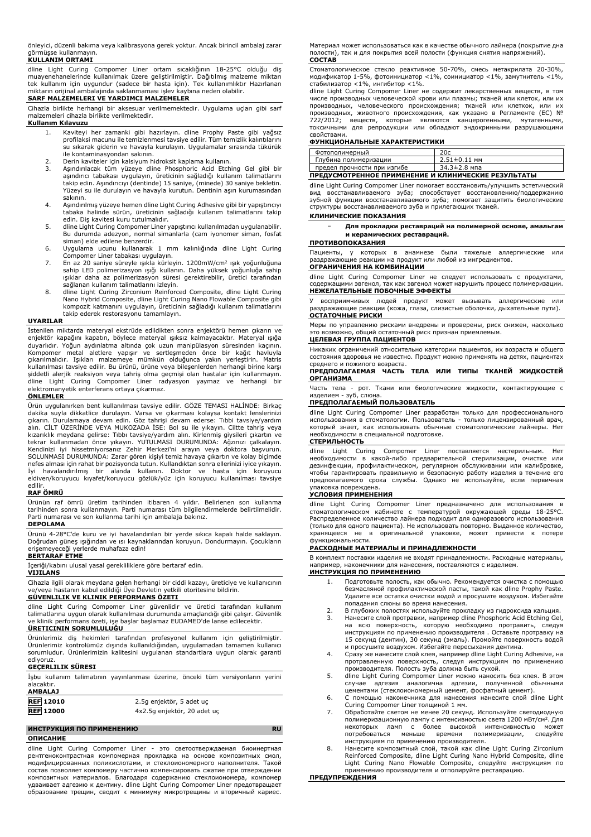önleyici, düzenli bakıma veya kalibrasyona gerek yoktur. Ancak birincil ambalaj zarar görmüşse kullanmayın.

**KULLANIM ORTAMI**

dline Light Curing Compomer Liner ortam sıcaklığının 18-25°C olduğu diş<br>muayenehanelerinde kullanılmak üzere geliştirilmiştir. Dağıtılmış malzeme miktarı<br>tek kullanım için uygundur (sadece bir hasta için). Tek kullanımlıkt miktarın orijinal ambalajında saklanmaması işlev kaybına neden olabilir.

#### **SARF MALZEMELERI VE YARDIMCI MALZEMELER**

Cihazla birlikte herhangi bir aksesuar verilmemektedir. Uygulama uçları gibi sarf malzemeleri cihazla birlikte verilmektedir.

# **Kullanım Kılavuzu**

- 1. Kaviteyi her zamanki gibi hazırlayın. dline Prophy Paste gibi yağsız profilaksi macunu ile temizlenmesi tavsiye edilir. Tüm temizlik kalıntılarını su sıkarak giderin ve havayla kurulayın. Uygulamalar sırasında tükürük ile kontaminasyondan sakının.
- 2. Derin kaviteler için kalsiyum hidroksit kaplama kullanın.<br>3. Asındırılacak tüm yüzeye dline Phosphoric Acid Etch
- 3. Aşındırılacak tüm yüzeye dline Phosphoric Acid Etching Gel gibi bir aşındırıcı tabakası uygulayın, üreticinin sağladığı kullanım talimatlarını takip edin. Aşındırıcıyı (dentinde) 15 saniye, (minede) 30 saniye bekletin. Yüzeyi su ile durulayın ve havayla kurutun. Dentinin aşırı kurumasından sakının.
- 4. Aşındırılmış yüzeye hemen dline Light Curing Adhesive gibi bir yapıştırıcıyı tabaka halinde sürün, üreticinin sağladığı kullanım talimatlarını takip
- edin. Diş kavitesi kuru tutulmalıdır. 5. dline Light Curing Compomer Liner yapıştırıcı kullanılmadan uygulanabilir. Bu durumda adezyon, normal simanlarla (cam iyonomer siman, fosfat
- siman) elde edilene benzerdir. 6. Uygulama ucunu kullanarak 1 mm kalınlığında dline Light Curing Compomer Liner tabakası uygulayın.
- 7. En az 20 saniye süreyle ışıkla kürleyin. 1200mW/cm<sup>2</sup> ışık yoğunluğuna sahip LED polimerizasyon ışığı kullanın. Daha yüksek yoğunluğa sahip ışıklar daha az polimerizasyon süresi gerektirebilir, üretici tarafından sağlanan kullanım talimatlarını izleyin.
- 8. dline Light Curing Zirconium Reinforced Composite, dline Light Curing Nano Hybrid Composite, dline Light Curing Nano Flowable Composite gibi kompozit katmanını uygulayın, üreticinin sağladığı kullanım talimatlarını takip ederek restorasyonu tamamlayın.

### **UYARILAR**

İstenilen miktarda materyal ekstrüde edildikten sonra enjektörü hemen çıkarın ve enjektör kapağını kapatın, böylece materyal ışıksız kalmayacaktır. Materyal ışığa duyarlıdır. Yoğun aydınlatma altında çok uzun manipülasyon süresinden kaçının.<br>Kompomer metal aletlere yapışır ve sertleşmeden önce bir kağıt havluyla<br>çıkarılmalıdır. İşıkları malzemeye mümkün olduğunca yakın yerleştirin. kullanılması tavsiye edilir. Bu ürünü, ürüne veya bileşenlerden herhangi birine karşı şiddetli alerjik reaksiyon veya tahriş olma geçmişi olan hastalar için kullanmayın. dline Light Curing Compomer Liner radyasyon yaymaz ve herhangi bir elektromanyetik enterferans ortaya çıkarmaz.

# **ÖNLEMLER**

Urün uygulanırken bent kullanılması tavsiye edilir. GOZE TEMASI HALINDE: Birkaçı akika suyla dikkatilce durulayın. Varsa ve çıkarması kolaysa kontakt lenslerinizi çıkarın. Durulamaya devam edin. Göz tahrişi devam ederse: T SOLUNMASI DURUMUNDA: Zarar gören kişiyi temiz havaya çıkartın ve kolay biçimde nefes alması için rahat bir pozisyonda tutun. Kullandıktan sonra ellerinizi iyice yıkayın. İyi havalandırılmış bir alanda kullanın. Doktor ve hasta için koruyucu eldiven/koruyucu kıyafet/koruyucu gözlük/yüz için koruyucu kullanılması tavsiye edilir.

# **RAF ÖMRÜ**

Ürünün raf ömrü üretim tarihinden itibaren 4 yıldır. Belirlenen son kullanma tarihinden sonra kullanmayın. Parti numarası tüm bilgilendirmelerde belirtilmelidir. Parti numarası ve son kullanma tarihi için ambalaja bakınız.

# **DEPOLAMA**

Ürünü 4-28°C'de kuru ve iyi havalandırılan bir yerde sıkıca kapalı halde saklayın. Doğrudan güneş ışığından ve ısı kaynaklarından koruyun. Dondurmayın. Çocukların erişemeyeceği yerlerde muhafaza edin!

**BERTARAF ETME**

İçeriği/kabını ulusal yasal gerekliliklere göre bertaraf edin. **VIJILANS**

Cihazla ilgili olarak meydana gelen herhangi bir ciddi kazayı, üreticiye ve kullanıcının ve/veya hastanın kabul edildiği Üye Devletin yetkili otoritesine bildirin.

# **GÜVENLILIK VE KLINIK PERFORMANS ÖZETI**

dline Light Curing Compomer Liner güvenlidir ve üretici tarafından kullanım talimatlarına uygun olarak kullanılması durumunda amaçlandığı gibi çalışır. Güvenlik ve klinik performans özeti, işe başlar başlamaz EUDAMED'de lanse edilecektir. **ÜRETICININ SORUMLULUĞU**

Ürünlerimiz diş hekimleri tarafından profesyonel kullanım için geliştirilmiştir. Ürünlerimiz kontrolümüz dışında kullanıldığından, uygulamadan tamamen kullanıcı sorumludur. Ürünlerimizin kalitesini uygulanan standartlara uygun olarak garanti

# ediyoruz. **GEÇERLILIK SÜRESI**

İşbu kullanım talimatının yayınlanması üzerine, önceki tüm versiyonların yerini alacaktır. **AMBALAJ**

рентгеноконтрастная компомерная прокладка на основе композитных смол, модифицированных поликислотами, и стеклоиономерного наполнителя. Такой состав позволяет компомеру частично компенсировать сжатие при отверждении композитных материалов. Благодаря содержанию стеклоиономера, компомер удваивает адгезию к дентину. dline Light Curing Compomer Liner предотвращает образование трещин, сводит к минимуму микротрещины и вторичный кариес.

| 2.5g enjektör, 5 adet uc    |
|-----------------------------|
| 4x2.5g enjektör, 20 adet uç |
|                             |

# **ИНСТРУКЦИЯ ПО ПРИМЕНЕНИЮ RU**

**ОПИСАНИЕ** dline Light Curing Compomer Liner - это светоотверждаемая биоинертная Материал может использоваться как в качестве обычного лайнера (покрытие дна полости), так и для покрытия всей полости (функция снятия напряжений). **СОСТАВ**

Стоматологическое стекло реактивное 50-70%, смесь метакрилата 20-30%, модификатор 1-5%, фотоинициатор <1%, соинициатор <1%, замутнитель <1%, стабилизатор <1%, ингибитор <1%.

dline Light Curing Compomer Liner не содержит лекарственных веществ, в том числе производных человеческой крови или плазмы; тканей или клеток, или их<br>производных, человеческого происхождения: тканей или клеткок, или их производных, человеческого происхождения; тканей или клеткок, производных, животного происхождения, как указано в Регламенте (ЕС) № 722/2012; веществ, которые являются канцерогенными, мутагенными, токсичными для репродукции или обладают эндокринными разрушающими свойствами.

# **ФУНКЦИОНАЛЬНЫЕ ХАРАКТЕРИСТИКИ**

| Фотополимерный                                      |                    |  |
|-----------------------------------------------------|--------------------|--|
| Глубина полимеризации                               | $2.51 \pm 0.11$ MM |  |
| $34.3 \pm 2.8$ Mna<br>предел прочности при изгибе   |                    |  |
| ПРЕДУСМОТРЕННОЕ ПРИМЕНЕНИЕ И КЛИНИЧЕСКИЕ РЕЗУЛЬТАТЫ |                    |  |

dline Light Curing Compomer Liner помогает восстановить/улучшить эстетический вид восстанавливаемого зуба; способствует восстановлению/поддержанию зубной функции восстанавливаемого зуба; помогает защитить биологические структуры восстанавливаемого зуба и прилегающих тканей.

# **КЛИНИЧЕСКИЕ ПОКАЗАНИЯ**

− **Для прокладки реставраций на полимерной основе, амальгам и керамических реставраций.**

#### **ПРОТИВОПОКАЗАНИЯ**

Пациенты, у которых в анамнезе были тяжелые аллергические или раздражающие реакции на продукт или любой из ингредиентов. **ОГРАНИЧЕНИЯ НА КОМБИНАЦИИ**

dline Light Curing Compomer Liner не следует использовать с продуктами, содержащими эвгенол, так как эвгенол может нарушить процесс полимеризации. **НЕЖЕЛАТЕЛЬНЫЕ ПОБОЧНЫЕ ЭФФЕКТЫ**

У восприимчивых людей продукт может вызывать аллергические или раздражающие реакции (кожа, глаза, слизистые оболочки, дыхательные пути). **ОСТАТОЧНЫЕ РИСКИ**

Меры по управлению рисками внедрены и проверены, риск снижен, насколько это возможно, общий остаточный риск признан приемлемым.

#### **ЦЕЛЕВАЯ ГРУППА ПАЦИЕНТОВ**

Никаких ограничений относительно категории пациентов, их возраста и общего состояния здоровья не известно. Продукт можно применять на детях, пациентах среднего и пожилого возраста.

#### **ПРЕДПОЛАГАЕМАЯ ЧАСТЬ ТЕЛА ИЛИ ТИПЫ ТКАНЕЙ ЖИДКОСТЕЙ ОРГАНИЗМА**

Часть тела - рот. Ткани или биологические жидкости, контактирующие с<br>изделием - зуб, слюна. изделием - зуб

# **ПРЕДПОЛАГАЕМЫЙ ПОЛЬЗОВАТЕЛЬ**

dline Light Curing Compomer Liner разработан только для профессионального использования в стоматологии. Пользователь - только лицензированный врач, который знает, как использовать обычные стоматологические лайнеры. Нет необходимости в специальной подготовке.

## **СТЕРИЛЬНОСТЬ**

dline Light Curing Compomer Liner поставляется нестерильным. Нет необходимости в какой-либо предварительной стерилизации, очистке или дезинфекции, профилактическом, регулярном обслуживании или калибровке, чтобы гарантировать правильную и безопасную работу изделия в течение его предполагаемого срока службы. Однако не используйте, если первичная упаковка повреждена.

## **УСЛОВИЯ ПРИМЕНЕНИЯ**

dline Light Curing Compomer Liner предназначено для использования в стоматологическом кабинете с температурой окружающей среды 18-25°C. Распределенное количество лайнера подходит для одноразового использования (только для одного пациента). Не использовать повторно. Выданное количество, хранящееся не в оригинальной упаковке, может привести к потере  $m$ 

# **РАСХОДНЫЕ МАТЕРИАЛЫ И ПРИНАДЛЕЖНОСТИ**

В комплект поставки изделия не входят принадлежности. Расходные материалы, например, наконечники для нанесения, поставляются с изделием.

### **ИНСТРУКЦИЯ ПО ПРИМЕНЕНИЮ**

- 1. Подготовьте полость, как обычно. Рекомендуется очистка с помощью безмасляной профилактической пасты, такой как dline Prophy Paste. Удалите все остатки очистки водой и просушите воздухом. Избегайте попадания слюны во время нанесения.
- 2. В глубоких полостях используйте прокладку из гидроксида кальция.<br>3. Нанесите слой протравки, например dline Phosphoric Acid Etching Gel,<br>на всю поверхность, которую необходимо протравить, следуя инструкциям по применению производителя . Оставьте протравку на 15 секунд (дентин), 30 секунд (эмаль). Промойте поверхность водой
- и просушите воздухом. Избегайте пересыхания дентина. 4. Сразу же нанесите слой клея, например dline Light Curing Adhesive, на протравленную поверхность, следуя инструкциям по применению производителя. Полость зуба должна быть сухой.
- 5. dline Light Curing Compomer Liner можно наносить без клея. В этом случае адгезия аналогична адгезии, полученной обычными
- цементами (стеклоиономерный цемент, фосфатный цемент). 6. С помощью наконечника для нанесения нанесите слой dline Light Curing Compomer Liner толщиной 1 мм.
- 7. Обработайте светом не менее 20 секунд. Используйте светодиодную полимеризационную лампу с интенсивностью света 1200 мВт/см<sup>2</sup>. Для некоторых ламп с более высокой интенсивностью может потребоваться меньше времени полимеризации, следуйте
- инструкциям по применению производителя. 8. Нанесите композитный слой, такой как dline Light Curing Zirconium Reinforced Composite, dline Light Curing Nano Hybrid Composite, dline Light Curing Nano Flowable Composite, следуйте инструкциям по применению производителя и отполируйте реставрацию.

# **ПРЕДУПРЕЖДЕНИЯ**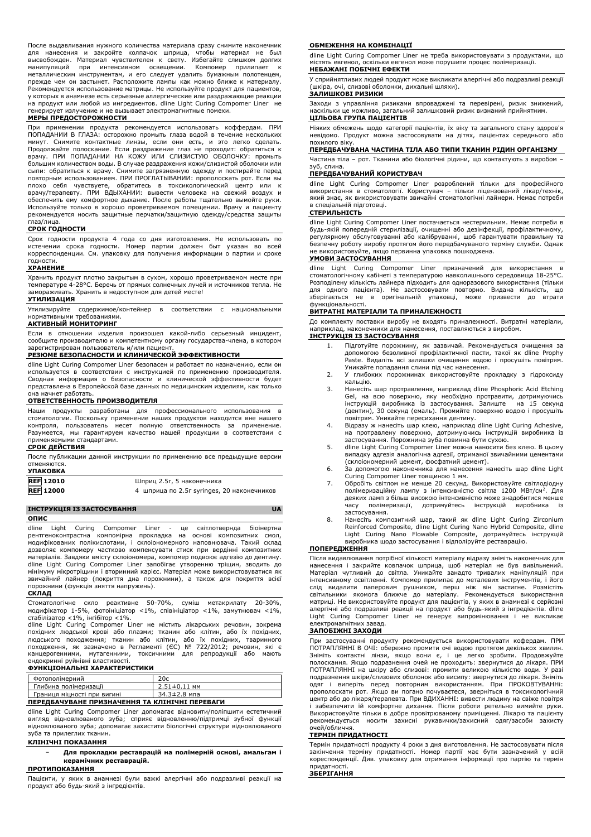После выдавливания нужного количества материала сразу снимите наконечник для нанесения и закройте колпачок шприца, чтобы материал не был<br>высвобожден. Материал чувствителен к свету. Избегайте слишком долгих<br>манипуляций при интенсивном освещении. Компомер прилипает к металлическим инструментам, и его следует удалить бумажным полотенцем, прежде чем он застынет. Расположите лампы как можно ближе к материалу. Рекомендуется использование матрицы. Не используйте продукт для пациентов, у которых в анамнезе есть серьезные аллергические или раздражающие реакции на продукт или любой из ингредиентов. dline Light Curing Compomer Liner не .<br>ует излучение и не вызывает электромагнитные помехи.

### **МЕРЫ ПРЕДОСТОРОЖНОСТИ**

При применении продукта рекомендуется использовать коффердам. ПРИ ПОПАДАНИИ В ГЛАЗА: осторожно промыть глаза водой в течение нескольких минут. Снимите контактные линзы, если они есть, и это легко сделать.<br>Продолжайте полоскание. Если раздражение глаз не проходит: обратиться к<br>врачу. ПРИ ПОПАДАНИИ НА КОЖУ ИЛИ СЛИЗИСТУЮ ОБОЛОЧКУ: промыть большим количеством воды. В случае раздражения кожи/слизистой оболочки или сыпи: обратиться к врачу. Снимите загрязненную одежду и постирайте перед повторным использованием. ПРИ ПРОГЛАТЫВАНИИ: прополоскать рот. Если вы плохо себя чувствуете, обратитесь в токсикологический центр или к врачу/терапевту. ПРИ ВДЫХАНИИ: вывести человека на свежий воздух и обеспечить ему комфортное дыхание. После работы тщательно вымойте руки. Используйте только в хорошо проветриваемом помещении. Врачу и пациенту рекомендуется носить защитные перчатки/защитную одежду/средства защиты глаз/лица.

#### **СРОК ГОДНОСТИ**

Срок годности продукта 4 года со дня изготовления. Не использовать по истечении срока годности. Номер партии должен быт указан во всей корреспонденции. См. упаковку для получения информации о партии и сроке годности.

#### **ХРАНЕНИЕ**

Хранить продукт плотно закрытым в сухом, хорошо проветриваемом месте при температуре 4-28°C. Беречь от прямых солнечных лучей и источников тепла. Не замораживать. Хранить в недоступном для детей месте!

### **УТИЛИЗАЦИЯ**

Утилизируйте содержимое/контейнер в соответствии с национальными нормативными требованиями.

# **АКТИВНЫЙ МОНИТОРИНГ**

Если в отношении изделия произошел какой-либо серьезный инцидент, сообщите производителю и компетентному органу государства-члена, в котором зарегистрирован пользователь и/или пациент.

## **РЕЗЮМЕ БЕЗОПАСНОСТИ И КЛИНИЧЕСКОЙ ЭФФЕКТИВНОСТИ**

dline Light Curing Compomer Liner безопасен и работает по назначению, если он используется в соответствии с инструкцией по применению производителя. Сводная информация о безопасности и клинической эффективности будет представлена в Европейской базе данных по медицинским изделиям, как только она начнет работать.

#### **ОТВЕТСТВЕННОСТЬ ПРОИЗВОДИТЕЛЯ**

Наши продукты разработаны для профессионального использования в стоматологии. Поскольку применение наших продуктов находится вне нашего контроля, пользователь несет полную ответственность за применение. Разумеется, мы гарантируем качество нашей продукции в соответствии с применяемыми стандартами.

#### **СРОК ДЕЙСТВИЯ**

После публикации данной инструкции по применению все предыдущие версии отменяются. **УПАКОВКА**

| <b>JIIANUDNA</b> |                                            |
|------------------|--------------------------------------------|
| <b>REF 12010</b> | Шприц 2.5г, 5 наконечника                  |
| <b>REF</b> 12000 | 4 шприца по 2.5г syringes, 20 наконечников |

# **ІНСТРУКЦІЯ ІЗ ЗАСТОСУВАННЯ UA**

# **ОПИС**

dline Light Curing Compomer Liner - це світлотвернда біоінертна<br>прентгеноконтрастна компомірна прокладка на основі композитних смол, прокладка на основі композитних модифікованих полікислотами, і склоіономерного наповнювача. Такий склад дозволяє компомеру частково компенсувати стиск при вердінні композитних матеріалів. Завдяки вмісту склоіономера, компомер подвоює адгезію до дентину. dline Light Curing Compomer Liner запобігає утворенню тріщин, зводить до мінімуму мікротріщини і вторинний карієс. Матеріал може використовуватися як звичайний лайнер (покриття дна порожнини), а також для покриття всієї порожнини (функція зняття напружень).

# **СКЛАД**

Стоматологічне скло реактивне 50-70%, суміш метакрилату 20-30%, модифікатор 1-5%, фотоініціатор <1%, співініціатор <1%, замутнювач <1%, стабілізатор <1%, інгібітор <1%.

dine Compomer Liner не містить лікарських речовин, зокрема похідних людської крові або плазми; тканин або клітин, або їх похідних, людського походження; тканин або клітин, або їх похідних, тваринного походження, як зазначено в Регламенті (ЄС) № 722/2012; речовин, які є канцерогенними, мутагенними, токсичними для репродукції або мають ендокринні руйнівні властивості.

#### **ФУНКЦІОНАЛЬНІ ХАРАКТЕРИСТИКИ**

| Фотополімерний                                 |                    |
|------------------------------------------------|--------------------|
| Глибина полімеризації                          | $2.51 \pm 0.11$ MM |
| 34.3±2.8 мпа<br>Границя міцності при вигині    |                    |
| ПЕРЕДБАЧУВАНЕ ПРИЗНАЧЕННЯ ТА КЛІНІЧНІ ПЕРЕВАГИ |                    |

dline Light Curing Compomer Liner допомагає відновити/поліпшити естетичний вигляд відновлюваного зуба; сприяє відновленню/підтримці зубної функції відновлюваного зуба; допомагає захистити біологічні структури відновлюваного зуба та прилеглих тканин.

#### **КЛІНІЧНІ ПОКАЗАННЯ**

#### − **Для прокладки реставрацій на полімерній основі, амальгам і керамічних реставрацій.**

#### **ПРОТИПОКАЗАННЯ**

Пацієнти, у яких в анамнезі були важкі алергічні або подразливі реакції на продукт або будь-який з інгредієнтів.

#### **ОБМЕЖЕННЯ НА КОМБІНАЦІЇ**

dline Light Curing Compomer Liner не треба використовувати з продуктами, що містять евгенол, оскільки евгенол може порушити процес полімеризації. **НЕБАЖАНІ ПОБІЧНІ ЕФЕКТИ**

У сприйнятливих людей продукт може викликати алергічні або подразливі реакції (шкіра, очі, слизові оболонки, дихальні шляхи).

# **ЗАЛИШКОВІ РИЗИКИ**

Заходи з управління ризиками впроваджені та перевірені, ризик знижений,<br>наскільки це можливо, загальний залишковий ризик визнаний прийнятним. загальний залишковий ризик визнаний прийнятним. **ЦІЛЬОВА ГРУПА ПАЦІЄНТІВ**

Ніяких обмежень щодо категорії пацієнтів, їх віку та загального стану здоров'я невідомо. Продукт можна застосовувати на дітях, пацієнтах середнього або похилого віку.

### **ПЕРЕДБАЧУВАНА ЧАСТИНА ТІЛА АБО ТИПИ ТКАНИН РІДИН ОРГАНІЗМУ**

Частина тіла – рот. Тканини або біологічні рідини, що контактують з виробом –<br>зуб. спина

# зуб, слина. **ПЕРЕДБАЧУВАНИЙ КОРИСТУВАЧ**

dline Light Curing Compomer Liner розроблений тільки для професійного використання в стоматології. Користувач – тільки ліцензований лікар/технік, який знає, як використовувати звичайні стоматологічні лайнери. Немає потреби в спеціальній підготовці.

# **СТЕРИЛЬНІСТЬ**

dline Light Curing Compomer Liner постачається нестерильним. Немає потреби в будь-якій попередній стерилізації, очищенні або дезінфекції, профілактичному, регулярному обслуговуванні або калібруванні, щоб гарантувати правильну та безпечну роботу виробу протягом його передбачуваного терміну служби. Однак не використовуйте, якщо первинна упаковка пошкоджена.

#### **УМОВИ ЗАСТОСУВАННЯ**

dline Light Curing Compomer Liner призначений для використання в стоматологічному кабінеті з температурою навколишнього середовища 18-25°C. Розподілену кількість лайнера підходить для одноразового використання (тільки для одного пацієнта). Не застосовувати повторно. Видана кількість, що зберігається не в оригінальній упаковці, може призвести до втрати функціональності.

#### **ВИТРАТНІ МАТЕРІАЛИ ТА ПРИНАЛЕЖНОСТІ**

До комплекту поставки виробу не входять приналежності. Витратні матеріали, наприклад, наконечники для нанесення, поставляються з виробом. **ІНСТРУКЦІЯ ІЗ ЗАСТОСУВАННЯ**

- 1. Підготуйте порожнину, як зазвичай. Рекомендується очищення за допомогою безоливної профілактичної пасти, такої як dline Prophy Paste. Видаліть всі залишки очищення водою і просушіть повітрям. Уникайте попадання слини під час нанесення.
- 2. У глибоких порожнинах використовуйте прокладку з гідроксиду кальцію.
- 3. Нанесіть шар протравлення, наприклад dline Phosphoric Acid Etching Gel, на всю поверхню, яку необхідно протравити, дотримуючись інструкцій виробника із застосування. Залиште на 15 секунд (дентин), 30 секунд (емаль). Промийте поверхню водою і просушіть повітрям. Уникайте пересихання дентину.
- 4. Відразу ж нанесіть шар клею, наприклад dline Light Curing Adhesive, на протравлену поверхню, дотримуючись інструкцій виробника із
- застосування. Порожнина зуба повинна бути сухою. 5. dline Light Curing Compomer Liner можна наносити без клею. В цьому випадку адгезія аналогічна адгезії, отриманої звичайними цементами
- (склоіономерний цемент, фосфатний цемент). 6. За допомогою наконечника для нанесення нанесіть шар dline Light Curing Compomer Liner товщиною 1 мм.
- 7. Обробіть світлом не менше 20 секунд. Використовуйте світлодіодну полімеризаційну лампу з інтенсивністю світла 1200 МВт/см<sup>2</sup>. Для деяких ламп з більш високою інтенсивністю може знадобитися менше ...<br>часу полімеризації, дотримуйтесь інструкцій виробника
- застосування. 8. Нанесіть композитний шар, такий як dline Light Curing Zirconium Reinforced Composite, dline Light Curing Nano Hybrid Composite, dline Light Curing Nano Flowable Composite, дотримуйтесь інструкцій виробника щодо застосування і відполіруйте реставрацію.

#### **ПОПЕРЕДЖЕННЯ**

Після видавлювання потрібної кількості матеріалу відразу зніміть наконечник для нанесення і закрийте ковпачок шприца, щоб матеріал не був вивільнений. Матеріал чутливий до світла. Уникайте занадто тривалих маніпуляцій при інтенсивному освітленні. Компомер прилипає до металевих інструментів, і його слід видалити паперовим рушником, перш ніж він застигне. Розмістіть світильники якомога ближче до матеріалу. Рекомендується використання матриці. Не використовуйте продукт для пацієнтів, у яких в анамнезі є серйозні<br>алергічні або подразливі реакції на продукт або будь-який з інгредієнтів. dline<br>Light Curing Compomer Liner не генерує випромінювання і електромагнітних завад.

#### **ЗАПОБІЖНІ ЗАХОДИ**

При застосуванні продукту рекомендується використовувати кофердам. ПРИ ПОТРАПЛЯННІ В ОЧІ: обережно промити очі водою протягом декількох хвилин. Зніміть контактні лінзи, якщо вони є, і це легко зробити. Продовжуйте полоскання. Якщо подразнення очей не проходить: звернутися до лікаря. ПРИ ПОТРАПЛЯННІ на шкіру або слизові: промити великою кількістю води. У разі подразнення шкіри/слизових оболонок або висипу: звернутися до лікаря. Зніміть одяг і виперіть перед повторним використанням. При ПРОКОВТУВАННі: прополоскати рот. Якщо ви погано почуваєтеся, зверніться в токсикологічний центр або до лікаря/терапевта. При ВДИХАННІ: вивести людину на свіже повітря і забезпечити їй комфортне дихання. Після роботи ретельно вимийте руки. Використовуйте тільки в добре провітрюваному приміщенні. Лікарю та пацієнту рекомендується носити захисні рукавички/захисний одяг/засоби захисту .<br>очей/обличча

# **ТЕРМІН ПРИДАТНОСТІ**

Термін придатності продукту 4 роки з дня виготовлення. Не застосовувати після закінчення терміну придатності. Номер партії має бути зазначений у всій кореспонденції. Див. упаковку для отримання інформації про партію та термін придатності.

#### **ЗБЕРІГАННЯ**